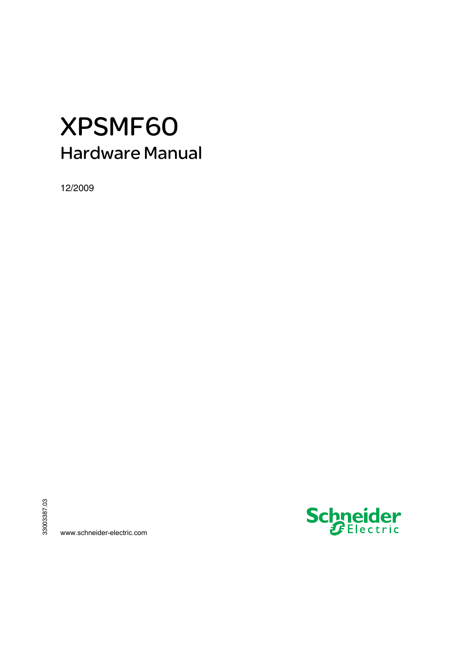# XPSMF60 Hardware Manual

12/2009



www.schneider-electric.com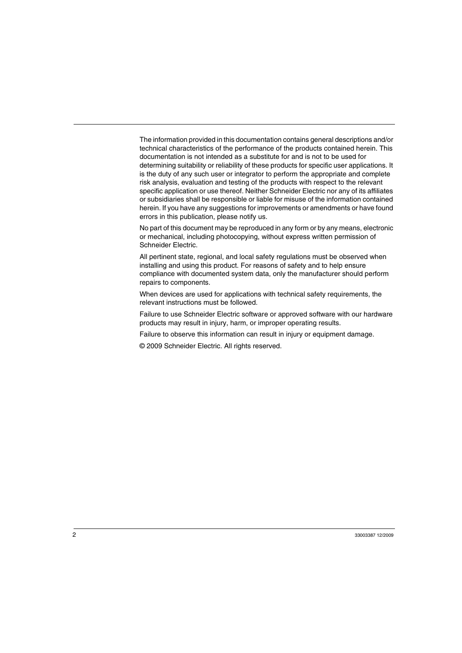The information provided in this documentation contains general descriptions and/or technical characteristics of the performance of the products contained herein. This documentation is not intended as a substitute for and is not to be used for determining suitability or reliability of these products for specific user applications. It is the duty of any such user or integrator to perform the appropriate and complete risk analysis, evaluation and testing of the products with respect to the relevant specific application or use thereof. Neither Schneider Electric nor any of its affiliates or subsidiaries shall be responsible or liable for misuse of the information contained herein. If you have any suggestions for improvements or amendments or have found errors in this publication, please notify us.

No part of this document may be reproduced in any form or by any means, electronic or mechanical, including photocopying, without express written permission of Schneider Electric.

All pertinent state, regional, and local safety regulations must be observed when installing and using this product. For reasons of safety and to help ensure compliance with documented system data, only the manufacturer should perform repairs to components.

When devices are used for applications with technical safety requirements, the relevant instructions must be followed.

Failure to use Schneider Electric software or approved software with our hardware products may result in injury, harm, or improper operating results.

Failure to observe this information can result in injury or equipment damage.

© 2009 Schneider Electric. All rights reserved.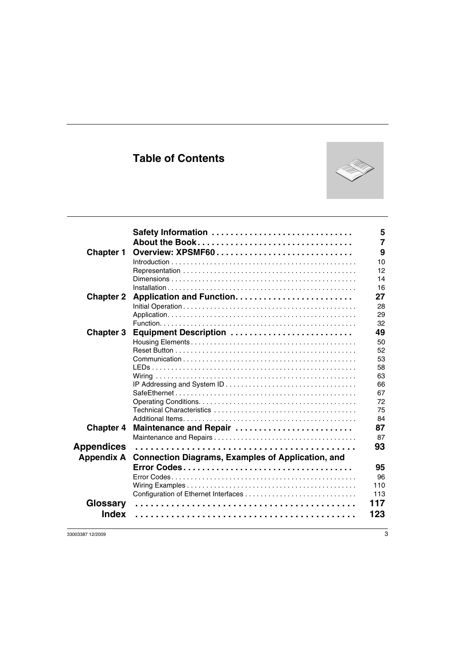## **Table of Contents**



| <b>Chapter 1</b>         | Safety Information<br>About the Book<br>Overview: XPSMF60 | 5<br>$\overline{7}$<br>9<br>10<br>12<br>14                     |
|--------------------------|-----------------------------------------------------------|----------------------------------------------------------------|
|                          |                                                           | 16                                                             |
| <b>Chapter 2</b>         |                                                           | 27<br>28<br>29<br>32                                           |
| <b>Chapter 3</b>         | Equipment Description                                     | 49<br>50<br>52<br>53<br>58<br>63<br>66<br>67<br>72<br>75<br>84 |
| <b>Chapter 4</b>         | Maintenance and Repair                                    | 87<br>87                                                       |
| Appendices               |                                                           | 93                                                             |
| <b>Appendix A</b>        | <b>Connection Diagrams, Examples of Application, and</b>  | 95<br>96<br>110<br>113                                         |
| Glossary<br><b>Index</b> | 117<br>123                                                |                                                                |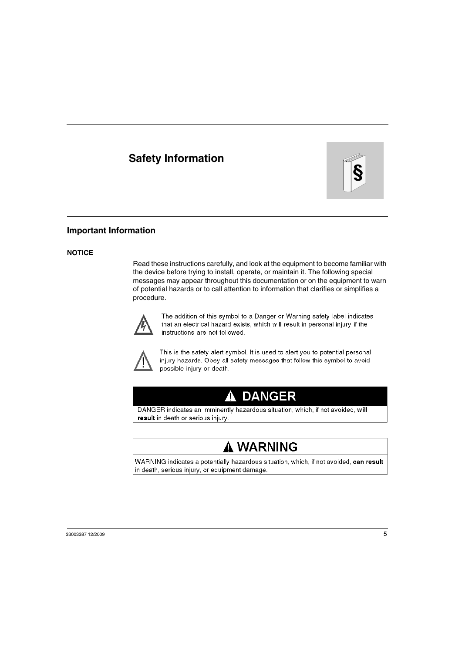## <span id="page-4-0"></span>**Safety Information**



### **Important Information**

#### **NOTICE**

Read these instructions carefully, and look at the equipment to become familiar with the device before trying to install, operate, or maintain it. The following special messages may appear throughout this documentation or on the equipment to warn of potential hazards or to call attention to information that clarifies or simplifies a procedure.



The addition of this symbol to a Danger or Warning safety label indicates that an electrical hazard exists, which will result in personal injury if the instructions are not followed.



This is the safety alert symbol. It is used to alert you to potential personal injury hazards. Obey all safety messages that follow this symbol to avoid possible injury or death.

# **A DANGER**

DANGER indicates an imminently hazardous situation, which, if not avoided, will result in death or serious injury.

# A WARNING

WARNING indicates a potentially hazardous situation, which, if not avoided, can result in death, serious injury, or equipment damage.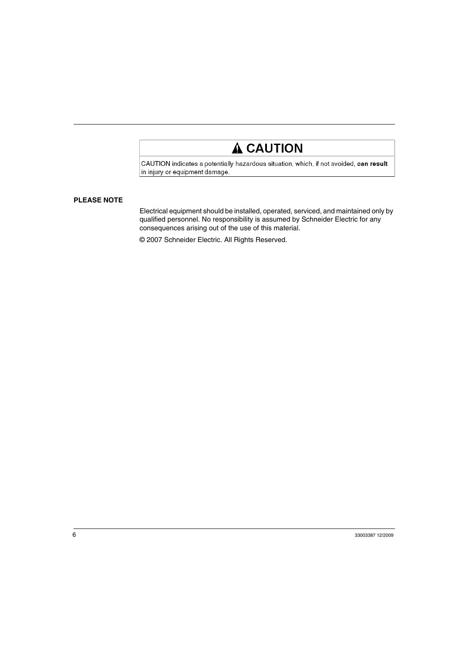# **A CAUTION**

CAUTION indicates a potentially hazardous situation, which, if not avoided, can result in injury or equipment damage.

#### **PLEASE NOTE**

Electrical equipment should be installed, operated, serviced, and maintained only by qualified personnel. No responsibility is assumed by Schneider Electric for any consequences arising out of the use of this material.

© 2007 Schneider Electric. All Rights Reserved.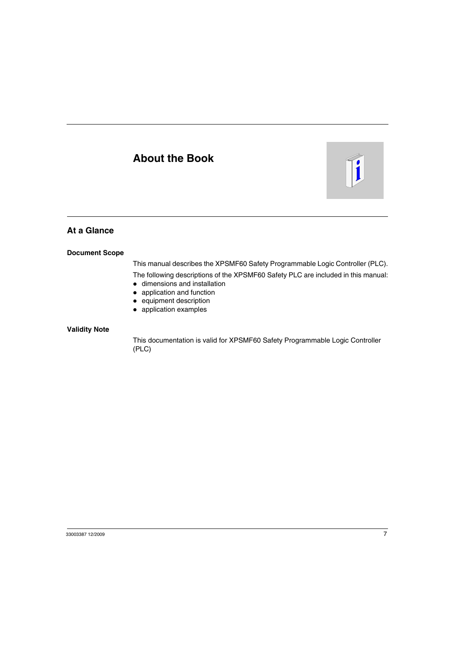## <span id="page-6-0"></span>**About the Book**



## **At a Glance**

#### **Document Scope**

This manual describes the XPSMF60 Safety Programmable Logic Controller (PLC).

The following descriptions of the XPSMF60 Safety PLC are included in this manual:

- $\bullet$  dimensions and installation
- $\bullet$  application and function
- $\bullet$  equipment description
- application examples

#### **Validity Note**

This documentation is valid for XPSMF60 Safety Programmable Logic Controller (PLC)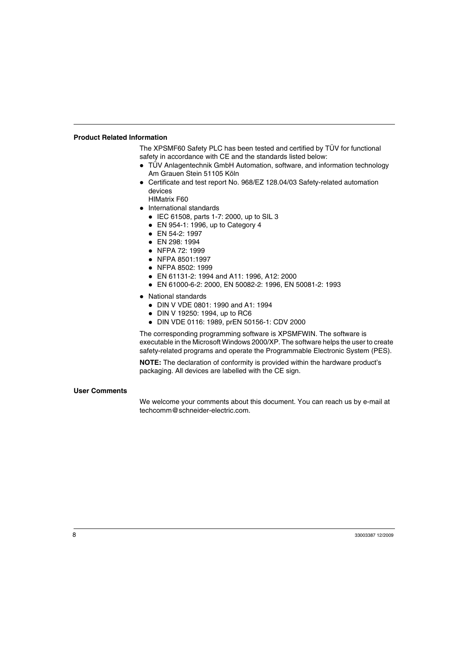#### **Product Related Information**

The XPSMF60 Safety PLC has been tested and certified by TÜV for functional safety in accordance with CE and the standards listed below:

- TÜV Anlagentechnik GmbH Automation, software, and information technology Am Grauen Stein 51105 Köln
- Certificate and test report No. 968/EZ 128.04/03 Safety-related automation devices
	- HIMatrix F60
- International standards
	- $\bullet$  IEC 61508, parts 1-7: 2000, up to SIL 3
	- $\bullet$  EN 954-1: 1996, up to Category 4
	- $\bullet$  EN 54-2: 1997
	- EN 298: 1994
	- $\bullet$  NFPA 72: 1999
	- NFPA 8501:1997
	- $\bullet$  NFPA 8502: 1999
	- z EN 61131-2: 1994 and A11: 1996, A12: 2000
	- z EN 61000-6-2: 2000, EN 50082-2: 1996, EN 50081-2: 1993
- National standards
	- DIN V VDE 0801: 1990 and A1: 1994
	- DIN V 19250: 1994, up to RC6
	- z DIN VDE 0116: 1989, prEN 50156-1: CDV 2000

The corresponding programming software is XPSMFWIN. The software is executable in the Microsoft Windows 2000/XP. The software helps the user to create safety-related programs and operate the Programmable Electronic System (PES).

**NOTE:** The declaration of conformity is provided within the hardware product's packaging. All devices are labelled with the CE sign.

#### **User Comments**

We welcome your comments about this document. You can reach us by e-mail at techcomm@schneider-electric.com.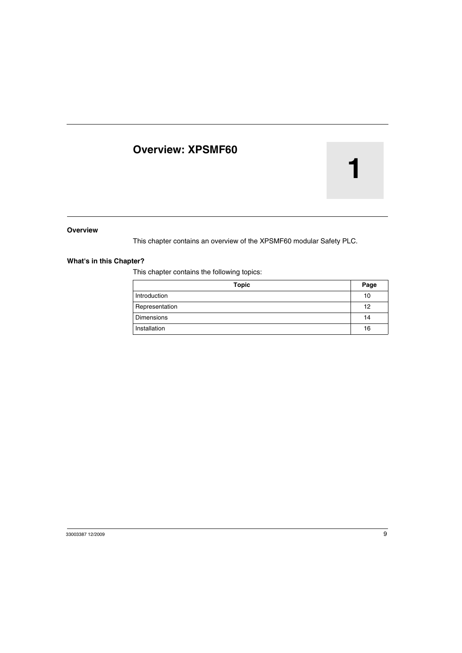## <span id="page-8-0"></span>**Overview: XPSMF60**

# **1**

#### **Overview**

This chapter contains an overview of the XPSMF60 modular Safety PLC.

#### **What's in this Chapter?**

This chapter contains the following topics:

| <b>Topic</b>      | Page |
|-------------------|------|
| Introduction      | 10   |
| Representation    | 12   |
| <b>Dimensions</b> | 14   |
| Installation      | 16   |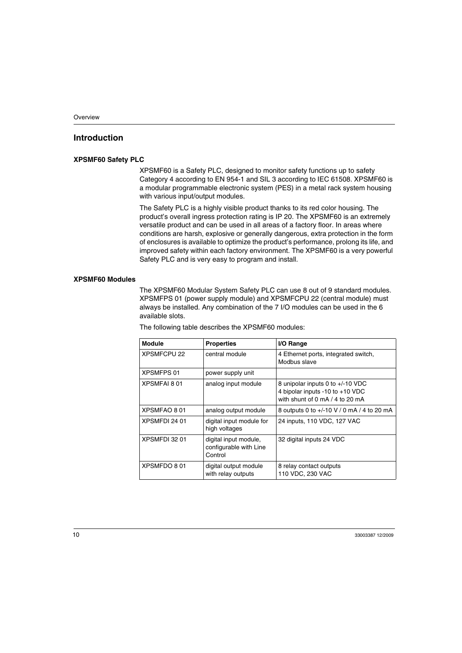## <span id="page-9-1"></span><span id="page-9-0"></span>**Introduction**

#### **XPSMF60 Safety PLC**

XPSMF60 is a Safety PLC, designed to monitor safety functions up to safety Category 4 according to EN 954-1 and SIL 3 according to IEC 61508. XPSMF60 is a modular programmable electronic system (PES) in a metal rack system housing with various input/output modules.

The Safety PLC is a highly visible product thanks to its red color housing. The product's overall ingress protection rating is IP 20. The XPSMF60 is an extremely versatile product and can be used in all areas of a factory floor. In areas where conditions are harsh, explosive or generally dangerous, extra protection in the form of enclosures is available to optimize the product's performance, prolong its life, and improved safety within each factory environment. The XPSMF60 is a very powerful Safety PLC and is very easy to program and install.

#### **XPSMF60 Modules**

The XPSMF60 Modular System Safety PLC can use 8 out of 9 standard modules. XPSMFPS 01 (power supply module) and XPSMFCPU 22 (central module) must always be installed. Any combination of the 7 I/O modules can be used in the 6 available slots.

The following table describes the XPSMF60 modules:

| <b>Module</b>      | <b>Properties</b>                                          | I/O Range                                                                                                |
|--------------------|------------------------------------------------------------|----------------------------------------------------------------------------------------------------------|
| <b>XPSMFCPU 22</b> | central module                                             | 4 Ethernet ports, integrated switch,<br>Modbus slave                                                     |
| <b>XPSMFPS 01</b>  | power supply unit                                          |                                                                                                          |
| XPSMFAI 801        | analog input module                                        | 8 unipolar inputs 0 to +/-10 VDC<br>4 bipolar inputs -10 to +10 VDC<br>with shunt of 0 mA $/$ 4 to 20 mA |
| XPSMFAO 801        | analog output module                                       | 8 outputs 0 to +/-10 V / 0 mA / 4 to 20 mA                                                               |
| XPSMFDI 24 01      | digital input module for<br>high voltages                  | 24 inputs, 110 VDC, 127 VAC                                                                              |
| XPSMFDI 32 01      | digital input module,<br>configurable with Line<br>Control | 32 digital inputs 24 VDC                                                                                 |
| XPSMFDO 801        | digital output module<br>with relay outputs                | 8 relay contact outputs<br>110 VDC, 230 VAC                                                              |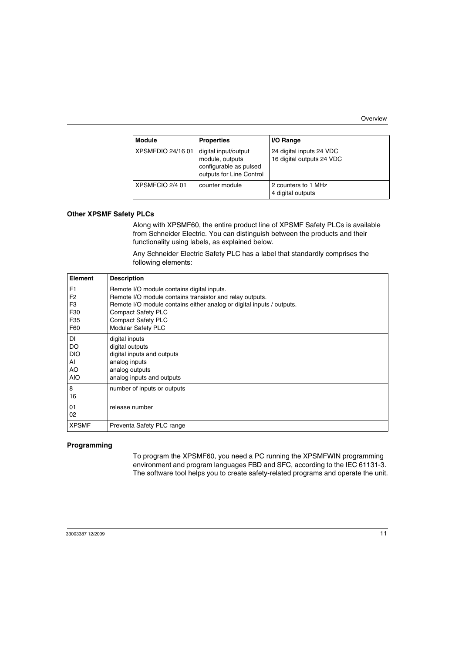| <b>Module</b>     | <b>Properties</b>                                                                             | I/O Range                                             |
|-------------------|-----------------------------------------------------------------------------------------------|-------------------------------------------------------|
| XPSMFDIO 24/16 01 | digital input/output<br>module, outputs<br>configurable as pulsed<br>outputs for Line Control | 24 digital inputs 24 VDC<br>16 digital outputs 24 VDC |
| XPSMFCIO 2/4 01   | counter module                                                                                | 2 counters to 1 MHz<br>4 digital outputs              |

#### **Other XPSMF Safety PLCs**

Along with XPSMF60, the entire product line of XPSMF Safety PLCs is available from Schneider Electric. You can distinguish between the products and their functionality using labels, as explained below.

Any Schneider Electric Safety PLC has a label that standardly comprises the following elements:

| <b>Element</b> | <b>Description</b>                                                    |
|----------------|-----------------------------------------------------------------------|
| F1             | Remote I/O module contains digital inputs.                            |
| F <sub>2</sub> | Remote I/O module contains transistor and relay outputs.              |
| F <sub>3</sub> | Remote I/O module contains either analog or digital inputs / outputs. |
| F30            | <b>Compact Safety PLC</b>                                             |
| F35            | <b>Compact Safety PLC</b>                                             |
| F60            | <b>Modular Safety PLC</b>                                             |
| DI             | digital inputs                                                        |
| DO             | digital outputs                                                       |
| <b>DIO</b>     | digital inputs and outputs                                            |
| AI             | analog inputs                                                         |
| AO             | analog outputs                                                        |
| AIO            | analog inputs and outputs                                             |
| 8              | number of inputs or outputs                                           |
| 16             |                                                                       |
| 01             | release number                                                        |
| 02             |                                                                       |
| <b>XPSMF</b>   | Preventa Safety PLC range                                             |

#### **Programming**

To program the XPSMF60, you need a PC running the XPSMFWIN programming environment and program languages FBD and SFC, according to the IEC 61131-3. The software tool helps you to create safety-related programs and operate the unit.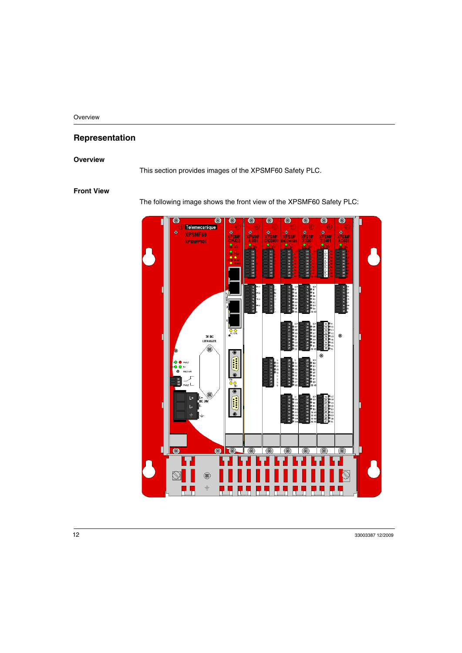## <span id="page-11-1"></span><span id="page-11-0"></span>**Representation**

#### **Overview**

This section provides images of the XPSMF60 Safety PLC.

#### **Front View**

The following image shows the front view of the XPSMF60 Safety PLC:

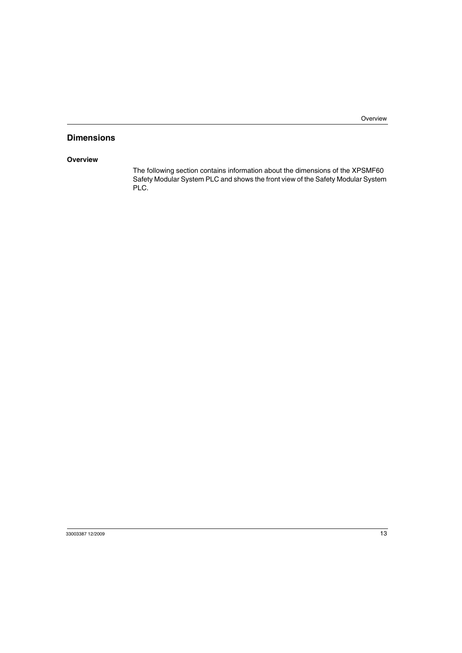## <span id="page-12-1"></span><span id="page-12-0"></span>**Dimensions**

#### **Overview**

The following section contains information about the dimensions of the XPSMF60 Safety Modular System PLC and shows the front view of the Safety Modular System PLC.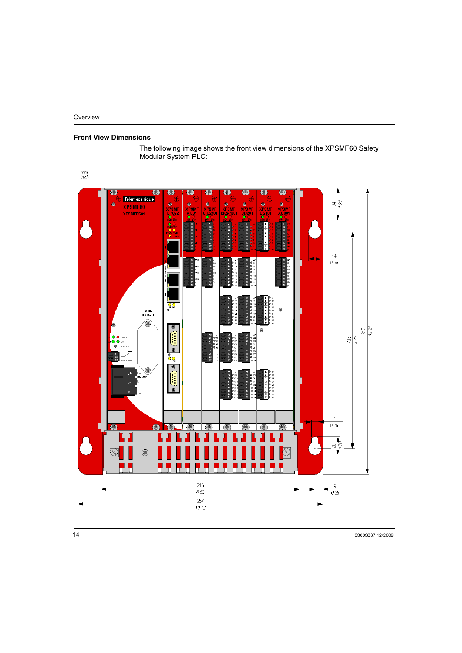#### **Front View Dimensions**

The following image shows the front view dimensions of the XPSMF60 Safety Modular System PLC:

 $\frac{mm}{inch}$ 

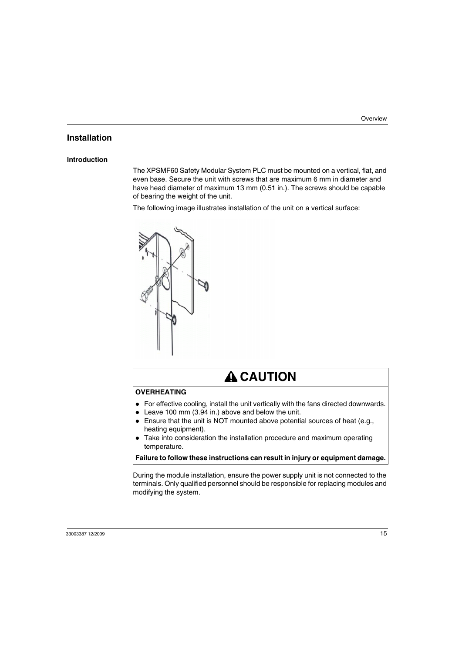## <span id="page-14-1"></span><span id="page-14-0"></span>**Installation**

#### **Introduction**

The XPSMF60 Safety Modular System PLC must be mounted on a vertical, flat, and even base. Secure the unit with screws that are maximum 6 mm in diameter and have head diameter of maximum 13 mm (0.51 in.). The screws should be capable of bearing the weight of the unit.

The following image illustrates installation of the unit on a vertical surface:



# **A** CAUTION

#### **OVERHEATING**

- $\bullet$  For effective cooling, install the unit vertically with the fans directed downwards.
- $\bullet$  Leave 100 mm (3.94 in.) above and below the unit.
- $\bullet$  Ensure that the unit is NOT mounted above potential sources of heat (e.g., heating equipment).
- Take into consideration the installation procedure and maximum operating temperature.

**Failure to follow these instructions can result in injury or equipment damage.**

During the module installation, ensure the power supply unit is not connected to the terminals. Only qualified personnel should be responsible for replacing modules and modifying the system.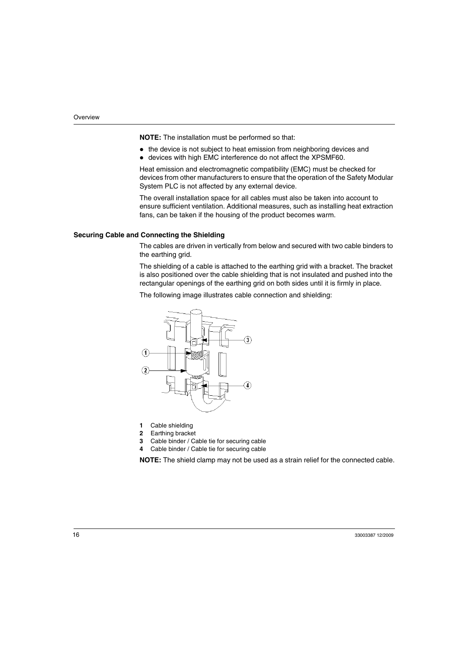**NOTE:** The installation must be performed so that:

- $\bullet$  the device is not subject to heat emission from neighboring devices and
- devices with high EMC interference do not affect the XPSMF60.

Heat emission and electromagnetic compatibility (EMC) must be checked for devices from other manufacturers to ensure that the operation of the Safety Modular System PLC is not affected by any external device.

The overall installation space for all cables must also be taken into account to ensure sufficient ventilation. Additional measures, such as installing heat extraction fans, can be taken if the housing of the product becomes warm.

#### **Securing Cable and Connecting the Shielding**

The cables are driven in vertically from below and secured with two cable binders to the earthing grid.

The shielding of a cable is attached to the earthing grid with a bracket. The bracket is also positioned over the cable shielding that is not insulated and pushed into the rectangular openings of the earthing grid on both sides until it is firmly in place.

The following image illustrates cable connection and shielding:



- **1** Cable shielding
- **2** Earthing bracket
- **3** Cable binder / Cable tie for securing cable
- **4** Cable binder / Cable tie for securing cable

**NOTE:** The shield clamp may not be used as a strain relief for the connected cable.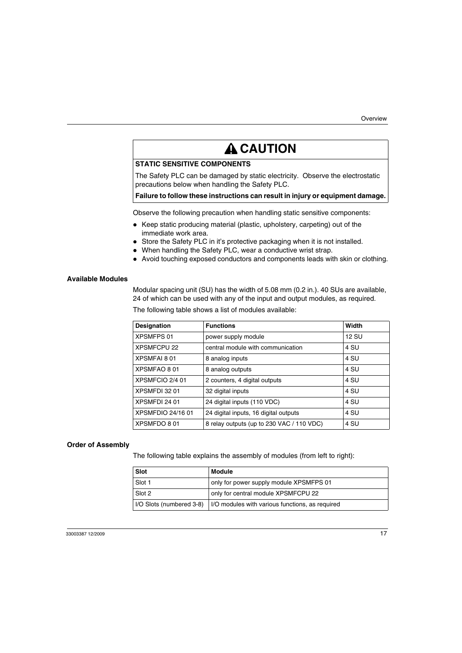# **A CAUTION**

#### **STATIC SENSITIVE COMPONENTS**

The Safety PLC can be damaged by static electricity. Observe the electrostatic precautions below when handling the Safety PLC.

#### **Failure to follow these instructions can result in injury or equipment damage.**

Observe the following precaution when handling static sensitive components:

- Keep static producing material (plastic, upholstery, carpeting) out of the immediate work area.
- Store the Safety PLC in it's protective packaging when it is not installed.
- When handling the Safety PLC, wear a conductive wrist strap.
- Avoid touching exposed conductors and components leads with skin or clothing.

#### **Available Modules**

Modular spacing unit (SU) has the width of 5.08 mm (0.2 in.). 40 SUs are available, 24 of which can be used with any of the input and output modules, as required.

| Designation        | <b>Functions</b>                          | Width        |
|--------------------|-------------------------------------------|--------------|
| <b>XPSMFPS 01</b>  | power supply module                       | <b>12 SU</b> |
| <b>XPSMFCPU 22</b> | central module with communication         | 4 SU         |
| <b>XPSMFAI 801</b> | 8 analog inputs                           | 4 SU         |
| XPSMFAO 801        | 8 analog outputs                          | 4 SU         |
| XPSMFCIO 2/4 01    | 2 counters, 4 digital outputs             | 4 SU         |
| XPSMFDI 32 01      | 32 digital inputs                         | 4 SU         |
| XPSMFDI 24 01      | 24 digital inputs (110 VDC)               | 4 SU         |
| XPSMFDIO 24/16 01  | 24 digital inputs, 16 digital outputs     | 4 SU         |
| XPSMFDO 801        | 8 relay outputs (up to 230 VAC / 110 VDC) | 4 SU         |

The following table shows a list of modules available:

#### **Order of Assembly**

The following table explains the assembly of modules (from left to right):

| Slot                     | Module                                          |
|--------------------------|-------------------------------------------------|
| Slot 1                   | only for power supply module XPSMFPS 01         |
| Slot 2                   | only for central module XPSMFCPU 22             |
| I/O Slots (numbered 3-8) | I/O modules with various functions, as required |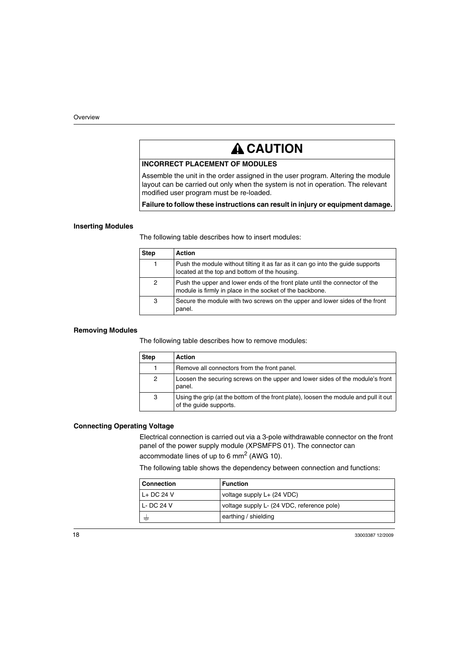# **A CAUTION**

#### **INCORRECT PLACEMENT OF MODULES**

Assemble the unit in the order assigned in the user program. Altering the module layout can be carried out only when the system is not in operation. The relevant modified user program must be re-loaded.

**Failure to follow these instructions can result in injury or equipment damage.**

#### **Inserting Modules**

The following table describes how to insert modules:

| <b>Step</b> | Action                                                                                                                                  |
|-------------|-----------------------------------------------------------------------------------------------------------------------------------------|
| 1           | Push the module without tilting it as far as it can go into the quide supports<br>located at the top and bottom of the housing.         |
| 2           | Push the upper and lower ends of the front plate until the connector of the<br>module is firmly in place in the socket of the backbone. |
| 3           | Secure the module with two screws on the upper and lower sides of the front<br>panel.                                                   |

#### **Removing Modules**

The following table describes how to remove modules:

| <b>Step</b>    | Action                                                                                                         |
|----------------|----------------------------------------------------------------------------------------------------------------|
|                | Remove all connectors from the front panel.                                                                    |
| $\overline{2}$ | Loosen the securing screws on the upper and lower sides of the module's front<br>panel.                        |
| 3              | Using the grip (at the bottom of the front plate), loosen the module and pull it out<br>of the quide supports. |

#### **Connecting Operating Voltage**

Electrical connection is carried out via a 3-pole withdrawable connector on the front panel of the power supply module (XPSMFPS 01). The connector can accommodate lines of up to 6 mm2 (AWG 10).

The following table shows the dependency between connection and functions:

| <b>Connection</b> | <b>Function</b>                            |
|-------------------|--------------------------------------------|
| L+DC 24 V         | voltage supply L+ (24 VDC)                 |
| $L$ -DC 24 V      | voltage supply L- (24 VDC, reference pole) |
|                   | earthing / shielding                       |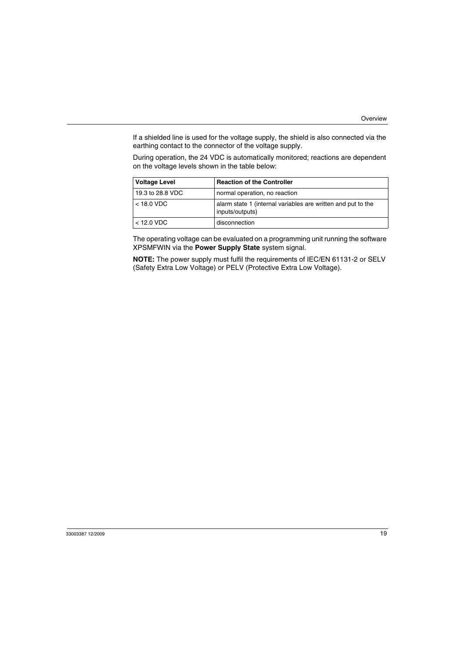If a shielded line is used for the voltage supply, the shield is also connected via the earthing contact to the connector of the voltage supply.

During operation, the 24 VDC is automatically monitored; reactions are dependent on the voltage levels shown in the table below:

| <b>Voltage Level</b> | <b>Reaction of the Controller</b>                                               |
|----------------------|---------------------------------------------------------------------------------|
| 19.3 to 28.8 VDC     | normal operation, no reaction                                                   |
| $<$ 18.0 VDC         | alarm state 1 (internal variables are written and put to the<br>inputs/outputs) |
| $<$ 12.0 VDC         | disconnection                                                                   |

The operating voltage can be evaluated on a programming unit running the software XPSMFWIN via the **Power Supply State** system signal.

**NOTE:** The power supply must fulfil the requirements of IEC/EN 61131-2 or SELV (Safety Extra Low Voltage) or PELV (Protective Extra Low Voltage).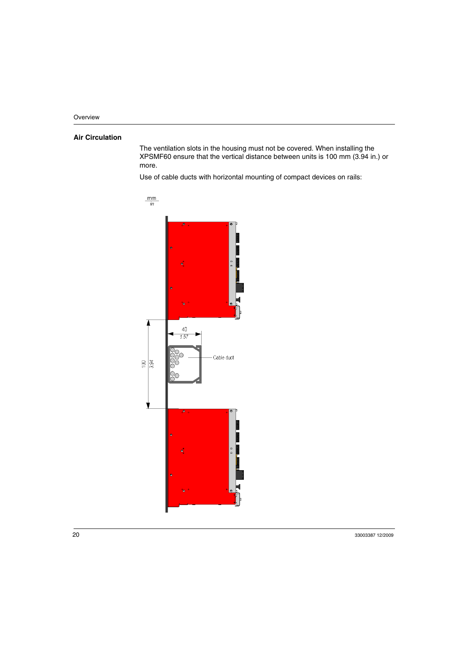### **Air Circulation**

The ventilation slots in the housing must not be covered. When installing the XPSMF60 ensure that the vertical distance between units is 100 mm (3.94 in.) or more.

Use of cable ducts with horizontal mounting of compact devices on rails:

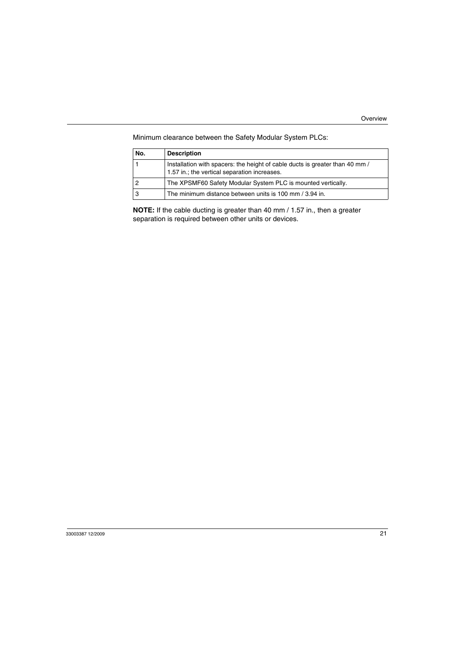| No. | <b>Description</b>                                                                                                           |
|-----|------------------------------------------------------------------------------------------------------------------------------|
|     | Installation with spacers: the height of cable ducts is greater than 40 mm /<br>1.57 in.; the vertical separation increases. |
| 2   | The XPSMF60 Safety Modular System PLC is mounted vertically.                                                                 |
| 3   | The minimum distance between units is 100 mm / 3.94 in.                                                                      |

Minimum clearance between the Safety Modular System PLCs:

**NOTE:** If the cable ducting is greater than 40 mm / 1.57 in., then a greater separation is required between other units or devices.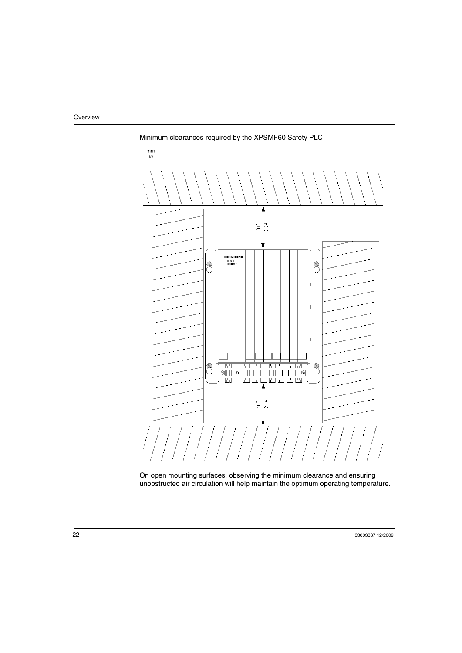

Minimum clearances required by the XPSMF60 Safety PLC

On open mounting surfaces, observing the minimum clearance and ensuring unobstructed air circulation will help maintain the optimum operating temperature.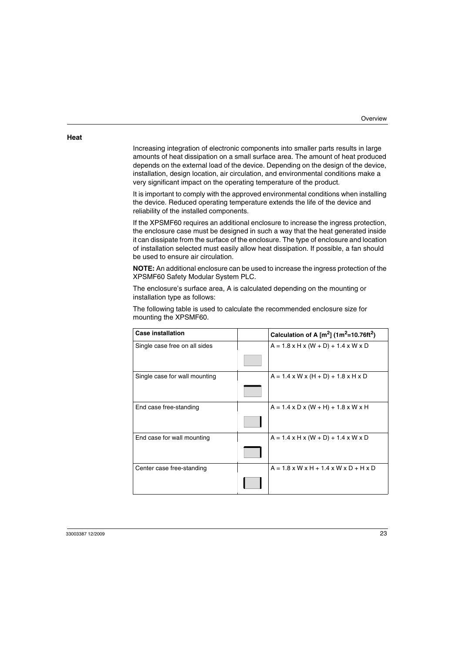#### **Heat**

Increasing integration of electronic components into smaller parts results in large amounts of heat dissipation on a small surface area. The amount of heat produced depends on the external load of the device. Depending on the design of the device, installation, design location, air circulation, and environmental conditions make a very significant impact on the operating temperature of the product.

It is important to comply with the approved environmental conditions when installing the device. Reduced operating temperature extends the life of the device and reliability of the installed components.

If the XPSMF60 requires an additional enclosure to increase the ingress protection, the enclosure case must be designed in such a way that the heat generated inside it can dissipate from the surface of the enclosure. The type of enclosure and location of installation selected must easily allow heat dissipation. If possible, a fan should be used to ensure air circulation.

**NOTE:** An additional enclosure can be used to increase the ingress protection of the XPSMF60 Safety Modular System PLC.

The enclosure's surface area, A is calculated depending on the mounting or installation type as follows:

The following table is used to calculate the recommended enclosure size for mounting the XPSMF60.

| <b>Case installation</b>      | Calculation of A $[m^2]$ (1m <sup>2</sup> =10.76ft <sup>2</sup> ) |
|-------------------------------|-------------------------------------------------------------------|
| Single case free on all sides | $A = 1.8 \times H \times (W + D) + 1.4 \times W \times D$         |
|                               |                                                                   |
| Single case for wall mounting | $A = 1.4 \times W \times (H + D) + 1.8 \times H \times D$         |
|                               |                                                                   |
| End case free-standing        | $A = 1.4 \times D \times (W + H) + 1.8 \times W \times H$         |
|                               |                                                                   |
| End case for wall mounting    | $A = 1.4 \times H \times (W + D) + 1.4 \times W \times D$         |
|                               |                                                                   |
| Center case free-standing     | $A = 1.8 \times W \times H + 1.4 \times W \times D + H \times D$  |
|                               |                                                                   |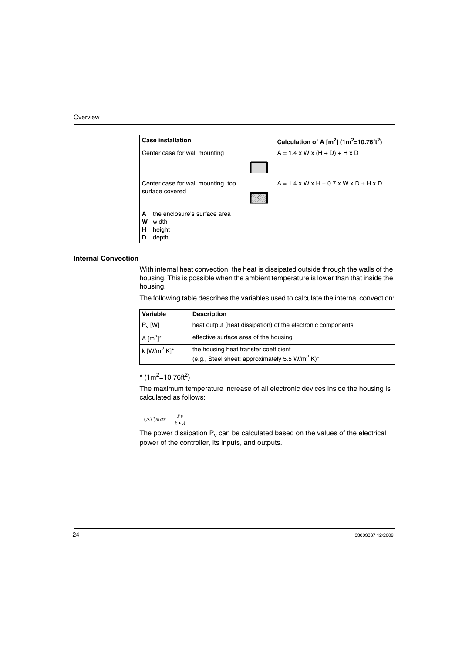| <b>Case installation</b>                        | Calculation of A $[m^2]$ (1m <sup>2</sup> =10.76ft <sup>2</sup> ) |
|-------------------------------------------------|-------------------------------------------------------------------|
| Center case for wall mounting                   | $A = 1.4 \times W \times (H + D) + H \times D$                    |
|                                                 |                                                                   |
| Center case for wall mounting, top              | $A = 1.4 \times W \times H + 0.7 \times W \times D + H \times D$  |
| surface covered                                 |                                                                   |
| the enclosure's surface area<br>A<br>w<br>width |                                                                   |
| height<br>н                                     |                                                                   |
| depth<br>D                                      |                                                                   |
|                                                 |                                                                   |

#### **Internal Convection**

With internal heat convection, the heat is dissipated outside through the walls of the housing. This is possible when the ambient temperature is lower than that inside the housing.

The following table describes the variables used to calculate the internal convection:

| Variable                | <b>Description</b>                                                     |
|-------------------------|------------------------------------------------------------------------|
| $P_V$ [W]               | heat output (heat dissipation) of the electronic components            |
| A $\lceil m^2 \rceil^*$ | effective surface area of the housing                                  |
| k $[{\rm W/m^2~K}]^*$   | the housing heat transfer coefficient                                  |
|                         | (e.g., Steel sheet: approximately 5.5 W/m <sup>2</sup> K) <sup>*</sup> |

 $*(1m^2=10.76ft^2)$ 

The maximum temperature increase of all electronic devices inside the housing is calculated as follows:

$$
(\Delta T) max = \frac{Pv}{k \bullet A}
$$

The power dissipation  $P_v$  can be calculated based on the values of the electrical power of the controller, its inputs, and outputs.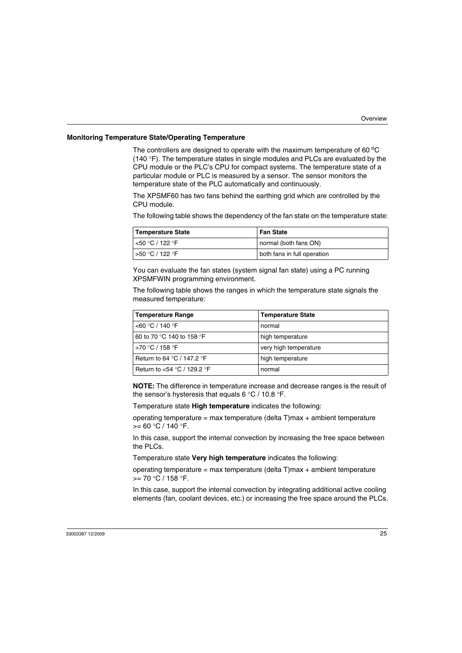#### **Monitoring Temperature State/Operating Temperature**

The controllers are designed to operate with the maximum temperature of 60 $\mathrm{^{\circ}C}$ (140 °F). The temperature states in single modules and PLCs are evaluated by the CPU module or the PLC's CPU for compact systems. The temperature state of a particular module or PLC is measured by a sensor. The sensor monitors the temperature state of the PLC automatically and continuously.

The XPSMF60 has two fans behind the earthing grid which are controlled by the CPU module.

The following table shows the dependency of the fan state on the temperature state:

| Temperature State     | <b>Fan State</b>            |
|-----------------------|-----------------------------|
| $\sim$ 50 °C / 122 °F | normal (both fans ON)       |
| l >50 °C / 122 °F     | both fans in full operation |

You can evaluate the fan states (system signal fan state) using a PC running XPSMFWIN programming environment.

The following table shows the ranges in which the temperature state signals the measured temperature:

| <b>Temperature Range</b>                     | <b>Temperature State</b> |
|----------------------------------------------|--------------------------|
| $<$ 60 °C / 140 °F                           | normal                   |
| 60 to 70 °C 140 to 158 °F                    | high temperature         |
| >70 °C / 158 °F                              | very high temperature    |
| Return to 64 $\degree$ C / 147.2 $\degree$ F | high temperature         |
| Return to $<$ 54 °C / 129.2 °F               | normal                   |

**NOTE:** The difference in temperature increase and decrease ranges is the result of the sensor's hysteresis that equals 6 °C / 10.8 °F.

Temperature state **High temperature** indicates the following:

operating temperature = max temperature (delta  $T$ )max + ambient temperature  $>= 60 °C / 140 °F$ .

In this case, support the internal convection by increasing the free space between the PLCs.

Temperature state **Very high temperature** indicates the following:

operating temperature = max temperature (delta T)max + ambient temperature  $>= 70 °C / 158 °F$ .

In this case, support the internal convection by integrating additional active cooling elements (fan, coolant devices, etc.) or increasing the free space around the PLCs.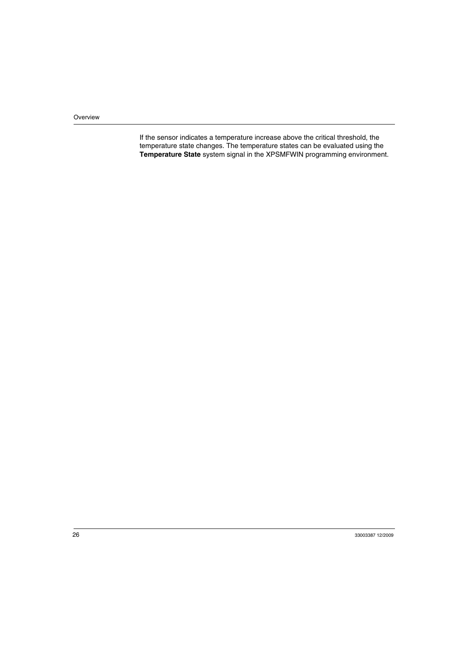If the sensor indicates a temperature increase above the critical threshold, the temperature state changes. The temperature states can be evaluated using the **Temperature State** system signal in the XPSMFWIN programming environment.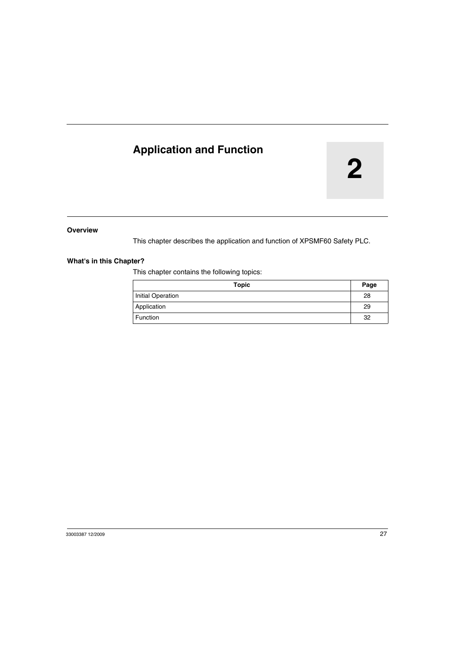## <span id="page-26-0"></span>**Application and Function**

# **2**

#### **Overview**

This chapter describes the application and function of XPSMF60 Safety PLC.

#### **What's in this Chapter?**

This chapter contains the following topics:

| Topic             | Page |
|-------------------|------|
| Initial Operation | 28   |
| Application       | 29   |
| Function          | 32   |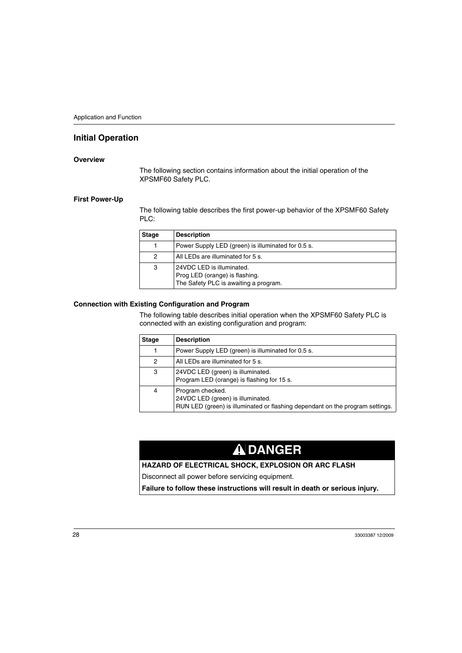## <span id="page-27-1"></span><span id="page-27-0"></span>**Initial Operation**

#### **Overview**

The following section contains information about the initial operation of the XPSMF60 Safety PLC.

#### **First Power-Up**

The following table describes the first power-up behavior of the XPSMF60 Safety PLC:

| <b>Stage</b> | <b>Description</b>                                                                                   |
|--------------|------------------------------------------------------------------------------------------------------|
|              | Power Supply LED (green) is illuminated for 0.5 s.                                                   |
| 2            | All LEDs are illuminated for 5 s.                                                                    |
| 3            | 24VDC LED is illuminated.<br>Prog LED (orange) is flashing.<br>The Safety PLC is awaiting a program. |

#### **Connection with Existing Configuration and Program**

The following table describes initial operation when the XPSMF60 Safety PLC is connected with an existing configuration and program:

| <b>Stage</b> | <b>Description</b>                                                                                                                     |
|--------------|----------------------------------------------------------------------------------------------------------------------------------------|
|              | Power Supply LED (green) is illuminated for 0.5 s.                                                                                     |
| 2            | All LEDs are illuminated for 5 s.                                                                                                      |
| 3            | 24VDC LED (green) is illuminated.<br>Program LED (orange) is flashing for 15 s.                                                        |
| 4            | Program checked.<br>24VDC LED (green) is illuminated.<br>RUN LED (green) is illuminated or flashing dependant on the program settings. |

# **DANGER**

#### **HAZARD OF ELECTRICAL SHOCK, EXPLOSION OR ARC FLASH**

Disconnect all power before servicing equipment.

**Failure to follow these instructions will result in death or serious injury.**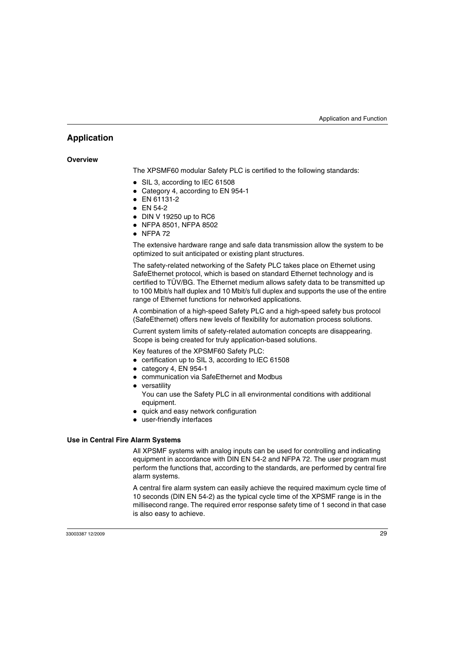## <span id="page-28-1"></span><span id="page-28-0"></span>**Application**

#### **Overview**

The XPSMF60 modular Safety PLC is certified to the following standards:

- SIL 3, according to IEC 61508
- Category 4, according to EN 954-1
- $\bullet$  EN 61131-2
- $\bullet$  EN 54-2
- $\bullet$  DIN V 19250 up to RC6
- NFPA 8501, NFPA 8502
- $\bullet$  NFPA 72

The extensive hardware range and safe data transmission allow the system to be optimized to suit anticipated or existing plant structures.

The safety-related networking of the Safety PLC takes place on Ethernet using SafeEthernet protocol, which is based on standard Ethernet technology and is certified to TÜV/BG. The Ethernet medium allows safety data to be transmitted up to 100 Mbit/s half duplex and 10 Mbit/s full duplex and supports the use of the entire range of Ethernet functions for networked applications.

A combination of a high-speed Safety PLC and a high-speed safety bus protocol (SafeEthernet) offers new levels of flexibility for automation process solutions.

Current system limits of safety-related automation concepts are disappearing. Scope is being created for truly application-based solutions.

Key features of the XPSMF60 Safety PLC:

- $\bullet$  certification up to SIL 3, according to IEC 61508
- $\bullet$  category 4, EN 954-1
- communication via SafeEthernet and Modbus
- $\bullet$  versatility You can use the Safety PLC in all environmental conditions with additional equipment.
- quick and easy network configuration
- user-friendly interfaces

#### **Use in Central Fire Alarm Systems**

All XPSMF systems with analog inputs can be used for controlling and indicating equipment in accordance with DIN EN 54-2 and NFPA 72. The user program must perform the functions that, according to the standards, are performed by central fire alarm systems.

A central fire alarm system can easily achieve the required maximum cycle time of 10 seconds (DIN EN 54-2) as the typical cycle time of the XPSMF range is in the millisecond range. The required error response safety time of 1 second in that case is also easy to achieve.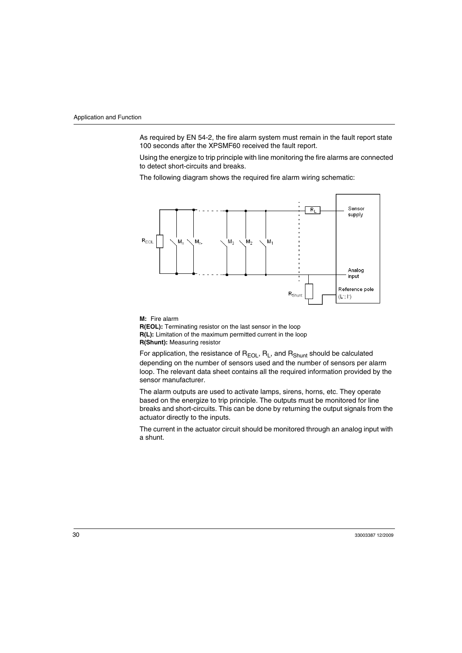As required by EN 54-2, the fire alarm system must remain in the fault report state 100 seconds after the XPSMF60 received the fault report.

Using the energize to trip principle with line monitoring the fire alarms are connected to detect short-circuits and breaks.

The following diagram shows the required fire alarm wiring schematic:



**M:** Fire alarm **R(EOL):** Terminating resistor on the last sensor in the loop **R(L):** Limitation of the maximum permitted current in the loop **R(Shunt):** Measuring resistor

For application, the resistance of  $R_{EOL}$ ,  $R_L$ , and  $R_{Shunt}$  should be calculated depending on the number of sensors used and the number of sensors per alarm loop. The relevant data sheet contains all the required information provided by the sensor manufacturer.

The alarm outputs are used to activate lamps, sirens, horns, etc. They operate based on the energize to trip principle. The outputs must be monitored for line breaks and short-circuits. This can be done by returning the output signals from the actuator directly to the inputs.

The current in the actuator circuit should be monitored through an analog input with a shunt.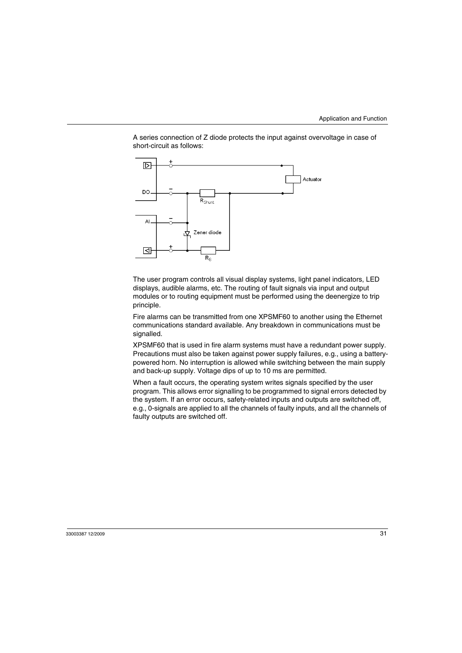A series connection of Z diode protects the input against overvoltage in case of short-circuit as follows:



The user program controls all visual display systems, light panel indicators, LED displays, audible alarms, etc. The routing of fault signals via input and output modules or to routing equipment must be performed using the deenergize to trip principle.

Fire alarms can be transmitted from one XPSMF60 to another using the Ethernet communications standard available. Any breakdown in communications must be signalled.

XPSMF60 that is used in fire alarm systems must have a redundant power supply. Precautions must also be taken against power supply failures, e.g., using a batterypowered horn. No interruption is allowed while switching between the main supply and back-up supply. Voltage dips of up to 10 ms are permitted.

When a fault occurs, the operating system writes signals specified by the user program. This allows error signalling to be programmed to signal errors detected by the system. If an error occurs, safety-related inputs and outputs are switched off, e.g., 0-signals are applied to all the channels of faulty inputs, and all the channels of faulty outputs are switched off.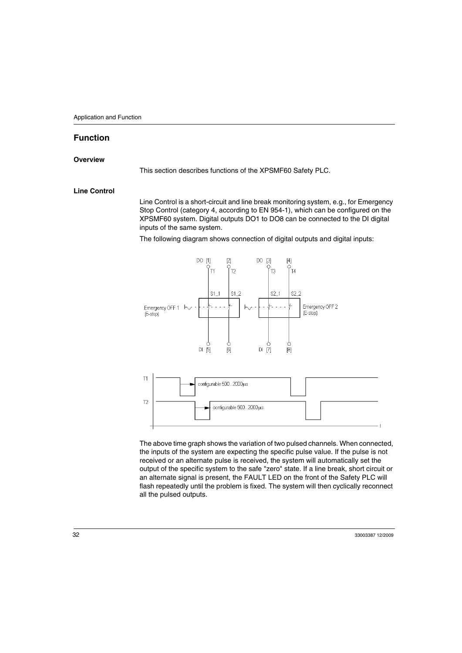## <span id="page-31-1"></span><span id="page-31-0"></span>**Function**

#### **Overview**

This section describes functions of the XPSMF60 Safety PLC.

#### **Line Control**

Line Control is a short-circuit and line break monitoring system, e.g., for Emergency Stop Control (category 4, according to EN 954-1), which can be configured on the XPSMF60 system. Digital outputs DO1 to DO8 can be connected to the DI digital inputs of the same system.

The following diagram shows connection of digital outputs and digital inputs:



The above time graph shows the variation of two pulsed channels. When connected, the inputs of the system are expecting the specific pulse value. If the pulse is not received or an alternate pulse is received, the system will automatically set the output of the specific system to the safe "zero" state. If a line break, short circuit or an alternate signal is present, the FAULT LED on the front of the Safety PLC will flash repeatedly until the problem is fixed. The system will then cyclically reconnect all the pulsed outputs.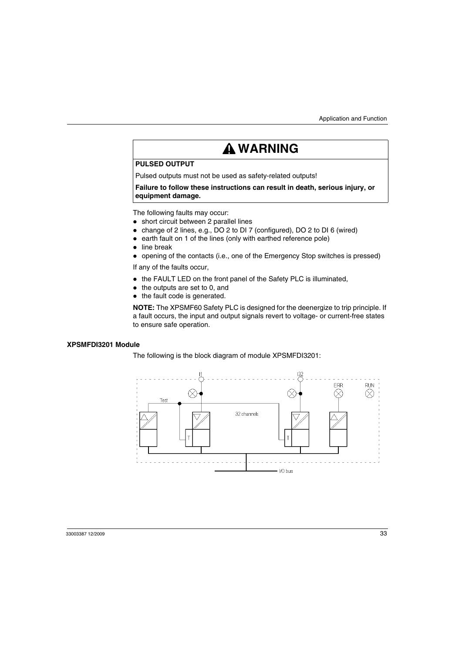# **WARNING**

#### **PULSED OUTPUT**

Pulsed outputs must not be used as safety-related outputs!

**Failure to follow these instructions can result in death, serious injury, or equipment damage.**

The following faults may occur:

- short circuit between 2 parallel lines
- change of 2 lines, e.g., DO 2 to DI 7 (configured), DO 2 to DI 6 (wired)
- $\bullet$  earth fault on 1 of the lines (only with earthed reference pole)
- $\bullet$  line break
- opening of the contacts (i.e., one of the Emergency Stop switches is pressed)

If any of the faults occur,

- the FAULT LED on the front panel of the Safety PLC is illuminated,
- $\bullet$  the outputs are set to 0, and
- $\bullet$  the fault code is generated.

**NOTE:** The XPSMF60 Safety PLC is designed for the deenergize to trip principle. If a fault occurs, the input and output signals revert to voltage- or current-free states to ensure safe operation.

#### **XPSMFDI3201 Module**

The following is the block diagram of module XPSMFDI3201:

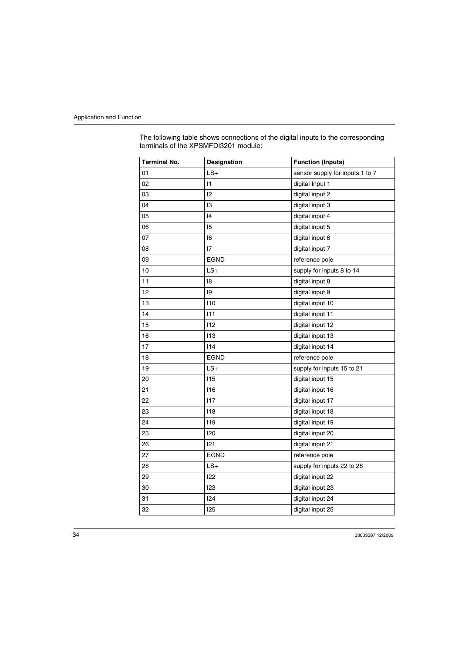The following table shows connections of the digital inputs to the corresponding terminals of the XPSMFDI3201 module:

| <b>Terminal No.</b> | <b>Designation</b> | <b>Function (Inputs)</b>        |
|---------------------|--------------------|---------------------------------|
| 01                  | $LS+$              | sensor supply for inputs 1 to 7 |
| 02                  | $\vert$ 1          | digital Input 1                 |
| 03                  | 12                 | digital input 2                 |
| 04                  | 13                 | digital input 3                 |
| 05                  | 4                  | digital input 4                 |
| 06                  | 15                 | digital input 5                 |
| 07                  | 16                 | digital input 6                 |
| 08                  | 17                 | digital input 7                 |
| 09                  | EGND               | reference pole                  |
| 10                  | $LS+$              | supply for inputs 8 to 14       |
| 11                  | 18                 | digital input 8                 |
| 12                  | 19                 | digital input 9                 |
| 13                  | 110                | digital input 10                |
| 14                  | 111                | digital input 11                |
| 15                  | 112                | digital input 12                |
| 16                  | 113                | digital input 13                |
| 17                  | 114                | digital input 14                |
| 18                  | <b>EGND</b>        | reference pole                  |
| 19                  | $LS+$              | supply for inputs 15 to 21      |
| 20                  | 115                | digital input 15                |
| 21                  | 116                | digital input 16                |
| 22                  | 117                | digital input 17                |
| 23                  | 118                | digital input 18                |
| 24                  | 119                | digital input 19                |
| 25                  | 120                | digital input 20                |
| 26                  | 121                | digital input 21                |
| 27                  | <b>EGND</b>        | reference pole                  |
| 28                  | $LS+$              | supply for inputs 22 to 28      |
| 29                  | 122                | digital input 22                |
| 30                  | 123                | digital input 23                |
| 31                  | 124                | digital input 24                |
| 32                  | 125                | digital input 25                |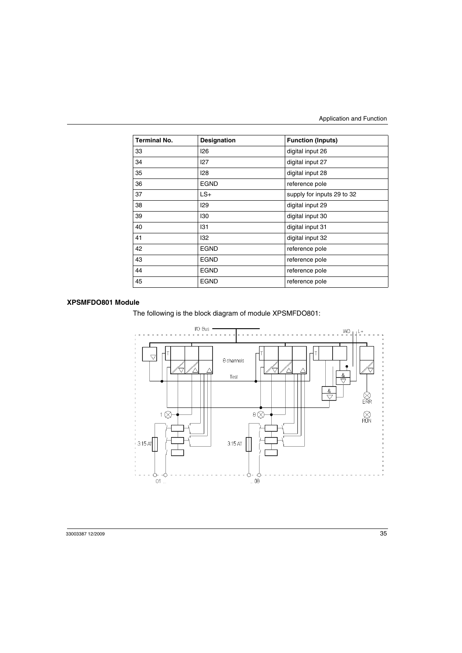| <b>Terminal No.</b> | Designation | <b>Function (Inputs)</b>   |
|---------------------|-------------|----------------------------|
| 33                  | 126         | digital input 26           |
| 34                  | 127         | digital input 27           |
| 35                  | 128         | digital input 28           |
| 36                  | EGND        | reference pole             |
| 37                  | $LS+$       | supply for inputs 29 to 32 |
| 38                  | 129         | digital input 29           |
| 39                  | 130         | digital input 30           |
| 40                  | 131         | digital input 31           |
| 41                  | 132         | digital input 32           |
| 42                  | <b>EGND</b> | reference pole             |
| 43                  | <b>EGND</b> | reference pole             |
| 44                  | <b>EGND</b> | reference pole             |
| 45                  | <b>EGND</b> | reference pole             |

#### **XPSMFDO801 Module**

The following is the block diagram of module XPSMFDO801:

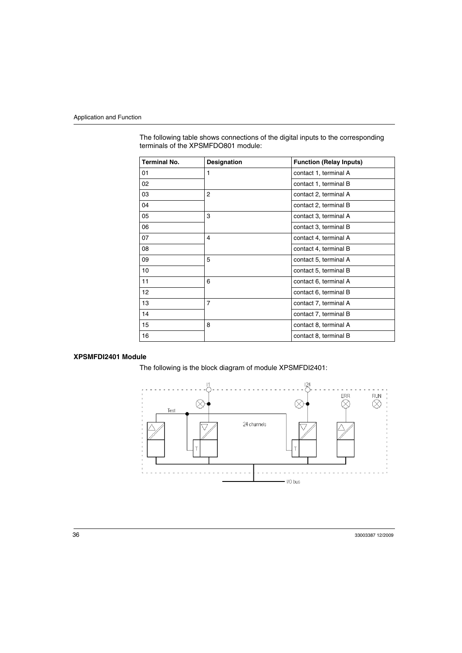| <b>Terminal No.</b> | <b>Designation</b> | <b>Function (Relay Inputs)</b> |
|---------------------|--------------------|--------------------------------|
| 01                  | 1                  | contact 1, terminal A          |
| 02                  |                    | contact 1, terminal B          |
| 03                  | $\overline{2}$     | contact 2, terminal A          |
| 04                  |                    | contact 2, terminal B          |
| 05                  | 3                  | contact 3, terminal A          |
| 06                  |                    | contact 3, terminal B          |
| 07                  | 4                  | contact 4, terminal A          |
| 08                  |                    | contact 4, terminal B          |
| 09                  | 5                  | contact 5, terminal A          |
| 10                  |                    | contact 5, terminal B          |
| 11                  | 6                  | contact 6, terminal A          |
| 12                  |                    | contact 6, terminal B          |
| 13                  | $\overline{7}$     | contact 7, terminal A          |
| 14                  |                    | contact 7, terminal B          |
| 15                  | 8                  | contact 8, terminal A          |
| 16                  |                    | contact 8, terminal B          |

The following table shows connections of the digital inputs to the corresponding terminals of the XPSMFDO801 module:

#### **XPSMFDI2401 Module**

The following is the block diagram of module XPSMFDI2401:

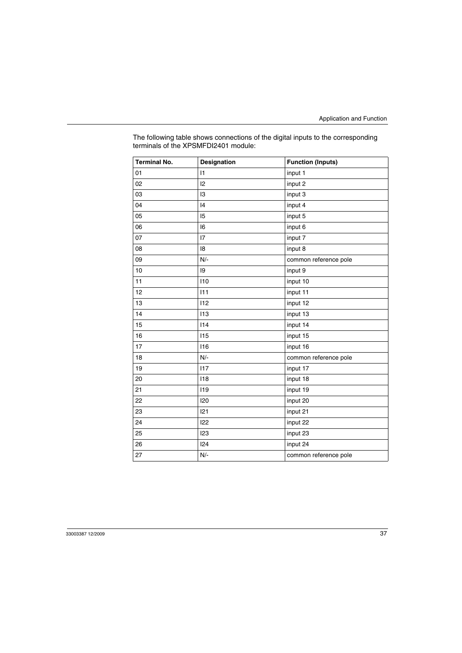| The following table shows connections of the digital inputs to the corresponding |
|----------------------------------------------------------------------------------|
| terminals of the XPSMFDI2401 module:                                             |

| <b>Terminal No.</b> | Designation | <b>Function (Inputs)</b> |
|---------------------|-------------|--------------------------|
| 01                  | 1           | input 1                  |
| 02                  | 12          | input 2                  |
| 03                  | 3           | input 3                  |
| 04                  | 4           | input 4                  |
| 05                  | 15          | input 5                  |
| 06                  | 16          | input 6                  |
| 07                  | 17          | input 7                  |
| 08                  | 18          | input 8                  |
| 09                  | $N/-$       | common reference pole    |
| 10                  | 9           | input 9                  |
| 11                  | 110         | input 10                 |
| 12                  | 111         | input 11                 |
| 13                  | 112         | input 12                 |
| 14                  | 113         | input 13                 |
| 15                  | 114         | input 14                 |
| 16                  | 115         | input 15                 |
| 17                  | 116         | input 16                 |
| 18                  | $N/-$       | common reference pole    |
| 19                  | 117         | input 17                 |
| 20                  | 118         | input 18                 |
| 21                  | 119         | input 19                 |
| 22                  | 120         | input 20                 |
| 23                  | 121         | input 21                 |
| 24                  | 122         | input 22                 |
| 25                  | 123         | input 23                 |
| 26                  | 124         | input 24                 |
| 27                  | $N/-$       | common reference pole    |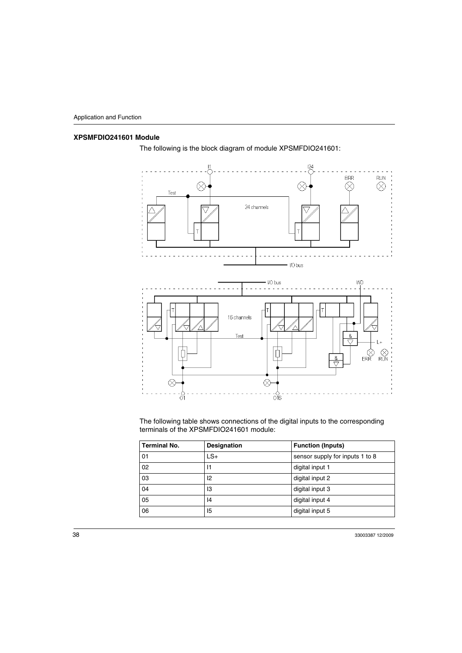## **XPSMFDIO241601 Module**



The following is the block diagram of module XPSMFDIO241601:

The following table shows connections of the digital inputs to the corresponding terminals of the XPSMFDIO241601 module:

| <b>Terminal No.</b> | <b>Designation</b> | <b>Function (Inputs)</b>        |
|---------------------|--------------------|---------------------------------|
| 01                  | $LS+$              | sensor supply for inputs 1 to 8 |
| 02                  | 11                 | digital input 1                 |
| 03                  | 12                 | digital input 2                 |
| 04                  | 13                 | digital input 3                 |
| 05                  | 14                 | digital input 4                 |
| 06                  | 15                 | digital input 5                 |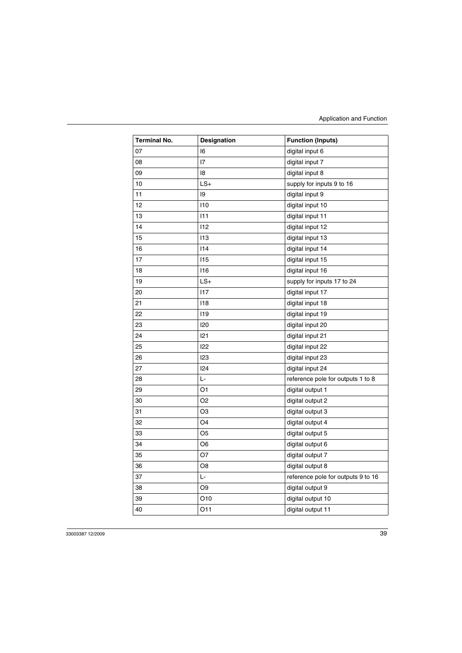| <b>Terminal No.</b> | Designation     | <b>Function (Inputs)</b>           |
|---------------------|-----------------|------------------------------------|
| 07                  | 16              | digital input 6                    |
| 08                  | 17              | digital input 7                    |
| 09                  | 18              | digital input 8                    |
| 10                  | $LS+$           | supply for inputs 9 to 16          |
| 11                  | 19              | digital input 9                    |
| 12                  | 110             | digital input 10                   |
| 13                  | 111             | digital input 11                   |
| 14                  | 112             | digital input 12                   |
| 15                  | 113             | digital input 13                   |
| 16                  | 114             | digital input 14                   |
| 17                  | 115             | digital input 15                   |
| 18                  | 116             | digital input 16                   |
| 19                  | $LS+$           | supply for inputs 17 to 24         |
| 20                  | 117             | digital input 17                   |
| 21                  | 118             | digital input 18                   |
| 22                  | 119             | digital input 19                   |
| 23                  | 120             | digital input 20                   |
| 24                  | 121             | digital input 21                   |
| 25                  | 122             | digital input 22                   |
| 26                  | 123             | digital input 23                   |
| 27                  | 124             | digital input 24                   |
| 28                  | Ŀ               | reference pole for outputs 1 to 8  |
| 29                  | O <sub>1</sub>  | digital output 1                   |
| 30                  | O <sub>2</sub>  | digital output 2                   |
| 31                  | O <sub>3</sub>  | digital output 3                   |
| 32                  | O <sub>4</sub>  | digital output 4                   |
| 33                  | O <sub>5</sub>  | digital output 5                   |
| 34                  | O6              | digital output 6                   |
| 35                  | O7              | digital output 7                   |
| 36                  | O8              | digital output 8                   |
| 37                  | Ŀ               | reference pole for outputs 9 to 16 |
| 38                  | O <sub>9</sub>  | digital output 9                   |
| 39                  | O <sub>10</sub> | digital output 10                  |
| 40                  | 011             | digital output 11                  |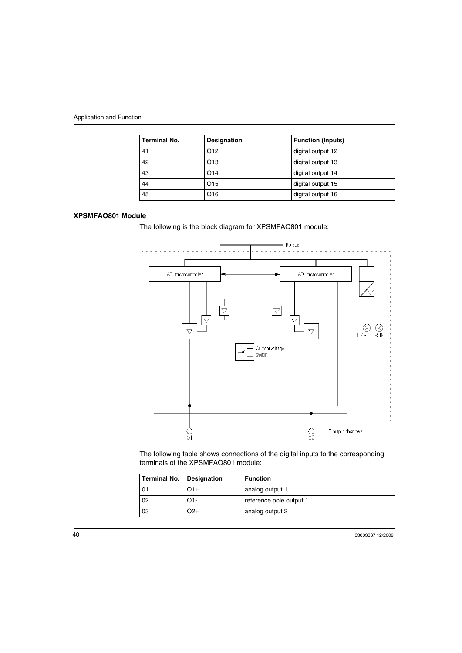| <b>Terminal No.</b> | Designation     | <b>Function (Inputs)</b> |
|---------------------|-----------------|--------------------------|
| 41                  | O <sub>12</sub> | digital output 12        |
| 42                  | O <sub>13</sub> | digital output 13        |
| 43                  | O <sub>14</sub> | digital output 14        |
| 44                  | O <sub>15</sub> | digital output 15        |
| 45                  | O <sub>16</sub> | digital output 16        |

#### **XPSMFAO801 Module**

The following is the block diagram for XPSMFAO801 module:



The following table shows connections of the digital inputs to the corresponding terminals of the XPSMFAO801 module:

| Terminal No. | Designation | <b>Function</b>         |
|--------------|-------------|-------------------------|
| 01           | O1+         | analog output 1         |
| 02           | O1-         | reference pole output 1 |
| 03           | O2+         | analog output 2         |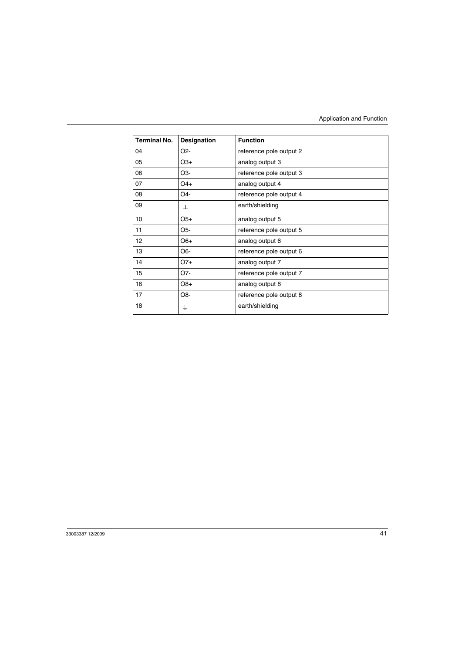| <b>Terminal No.</b> | Designation      | <b>Function</b>         |
|---------------------|------------------|-------------------------|
| 04                  | O <sub>2</sub> - | reference pole output 2 |
| 05                  | $O3+$            | analog output 3         |
| 06                  | O3-              | reference pole output 3 |
| 07                  | O4+              | analog output 4         |
| 08                  | O4-              | reference pole output 4 |
| 09                  | ∔                | earth/shielding         |
| 10                  | $O5+$            | analog output 5         |
| 11                  | O5-              | reference pole output 5 |
| 12                  | $O6+$            | analog output 6         |
| 13                  | O6-              | reference pole output 6 |
| 14                  | $O7+$            | analog output 7         |
| 15                  | O7-              | reference pole output 7 |
| 16                  | $O8+$            | analog output 8         |
| 17                  | O8-              | reference pole output 8 |
| 18                  | ÷                | earth/shielding         |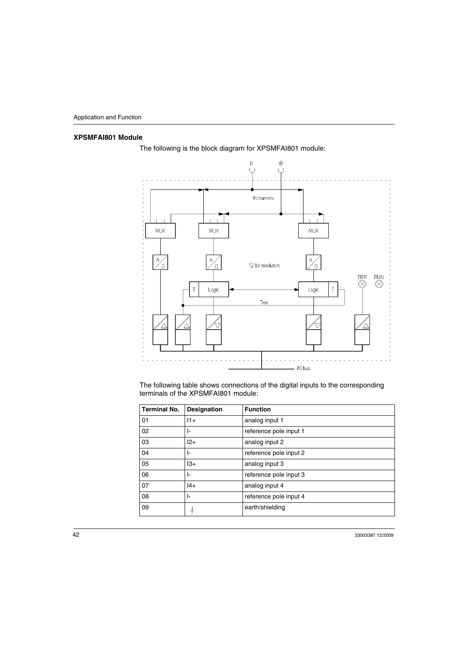# **XPSMFAI801 Module**



The following is the block diagram for XPSMFAI801 module:

The following table shows connections of the digital inputs to the corresponding terminals of the XPSMFAI801 module:

| <b>Terminal No.</b> | Designation | <b>Function</b>        |
|---------------------|-------------|------------------------|
| 01                  | $11+$       | analog input 1         |
| 02                  | ŀ           | reference pole input 1 |
| 03                  | $12+$       | analog input 2         |
| 04                  | ŀ-          | reference pole input 2 |
| 05                  | $13+$       | analog input 3         |
| 06                  | ŀ.          | reference pole input 3 |
| 07                  | $ 4+$       | analog input 4         |
| 08                  | ŀ           | reference pole input 4 |
| 09                  | ╧           | earth/shielding        |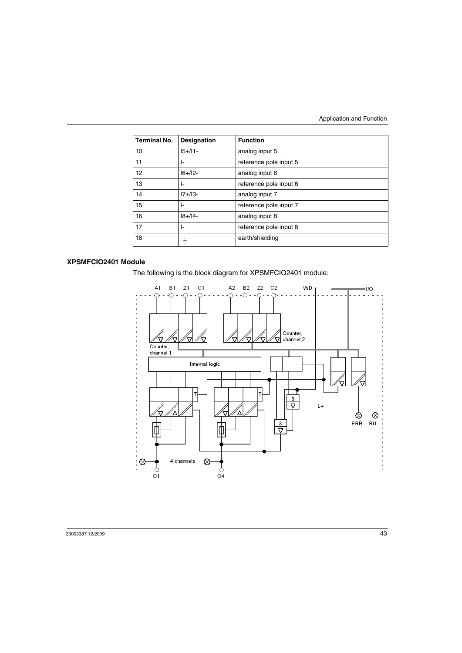| <b>Terminal No.</b> | <b>Designation</b> | <b>Function</b>        |
|---------------------|--------------------|------------------------|
| 10                  | $15+11-$           | analog input 5         |
| 11                  | ŀ.                 | reference pole input 5 |
| $12 \overline{ }$   | $16 + 12 -$        | analog input 6         |
| 13                  | ŀ.                 | reference pole input 6 |
| 14                  | $17 + 13 -$        | analog input 7         |
| 15                  | ŀ.                 | reference pole input 7 |
| 16                  | $18 + 14 -$        | analog input 8         |
| 17                  | ŀ.                 | reference pole input 8 |
| 18                  |                    | earth/shielding        |

#### **XPSMFCIO2401 Module**

The following is the block diagram for XPSMFCIO2401 module:

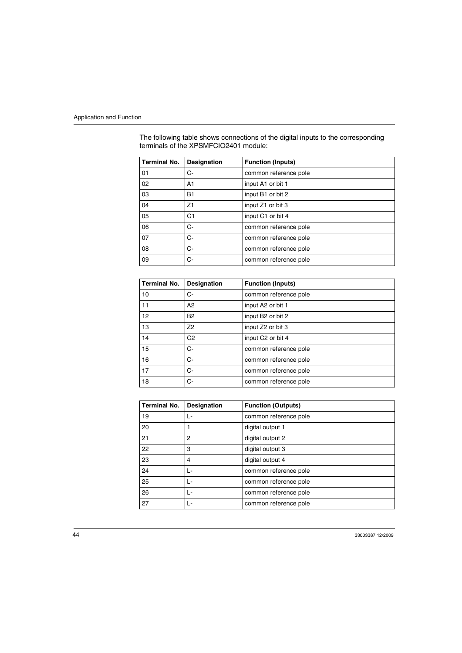| <b>Terminal No.</b> | <b>Designation</b> | <b>Function (Inputs)</b> |
|---------------------|--------------------|--------------------------|
| 01                  | C-                 | common reference pole    |
| 02                  | A1                 | input A1 or bit 1        |
| 03                  | <b>B1</b>          | input B1 or bit 2        |
| 04                  | Z1                 | input Z1 or bit 3        |
| 05                  | C <sub>1</sub>     | input C1 or bit 4        |
| 06                  | $C-$               | common reference pole    |
| 07                  | C-                 | common reference pole    |
| 08                  | C-                 | common reference pole    |
| 09                  | C-                 | common reference pole    |

The following table shows connections of the digital inputs to the corresponding terminals of the XPSMFCIO2401 module:

| <b>Terminal No.</b> | Designation    | <b>Function (Inputs)</b> |
|---------------------|----------------|--------------------------|
| 10                  | C-             | common reference pole    |
| 11                  | A2             | input A2 or bit 1        |
| 12                  | <b>B2</b>      | input B2 or bit 2        |
| 13                  | Z <sub>2</sub> | input Z2 or bit 3        |
| 14                  | C <sub>2</sub> | input C2 or bit 4        |
| 15                  | C-             | common reference pole    |
| 16                  | C-             | common reference pole    |
| 17                  | C-             | common reference pole    |
| 18                  | C-             | common reference pole    |

| <b>Terminal No.</b> | Designation | <b>Function (Outputs)</b> |
|---------------------|-------------|---------------------------|
| 19                  | - ا         | common reference pole     |
| 20                  |             | digital output 1          |
| 21                  | 2           | digital output 2          |
| 22                  | 3           | digital output 3          |
| 23                  | 4           | digital output 4          |
| 24                  | - ا         | common reference pole     |
| 25                  | Ŀ           | common reference pole     |
| 26                  | Ŀ           | common reference pole     |
| 27                  | - ا         | common reference pole     |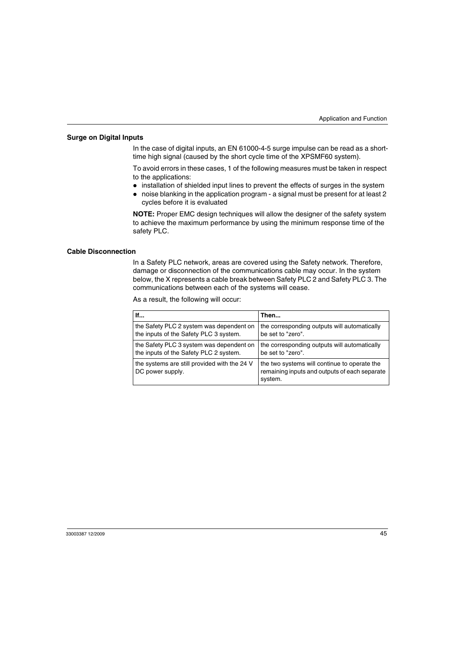#### **Surge on Digital Inputs**

In the case of digital inputs, an EN 61000-4-5 surge impulse can be read as a shorttime high signal (caused by the short cycle time of the XPSMF60 system).

To avoid errors in these cases, 1 of the following measures must be taken in respect to the applications:

- installation of shielded input lines to prevent the effects of surges in the system
- noise blanking in the application program a signal must be present for at least 2 cycles before it is evaluated

**NOTE:** Proper EMC design techniques will allow the designer of the safety system to achieve the maximum performance by using the minimum response time of the safety PLC.

#### **Cable Disconnection**

In a Safety PLC network, areas are covered using the Safety network. Therefore, damage or disconnection of the communications cable may occur. In the system below, the X represents a cable break between Safety PLC 2 and Safety PLC 3. The communications between each of the systems will cease.

As a result, the following will occur:

| lf                                                               | Then                                                                                                     |
|------------------------------------------------------------------|----------------------------------------------------------------------------------------------------------|
| the Safety PLC 2 system was dependent on                         | the corresponding outputs will automatically                                                             |
| the inputs of the Safety PLC 3 system.                           | be set to "zero".                                                                                        |
| the Safety PLC 3 system was dependent on                         | the corresponding outputs will automatically                                                             |
| the inputs of the Safety PLC 2 system.                           | be set to "zero".                                                                                        |
| the systems are still provided with the 24 V<br>DC power supply. | the two systems will continue to operate the<br>remaining inputs and outputs of each separate<br>system. |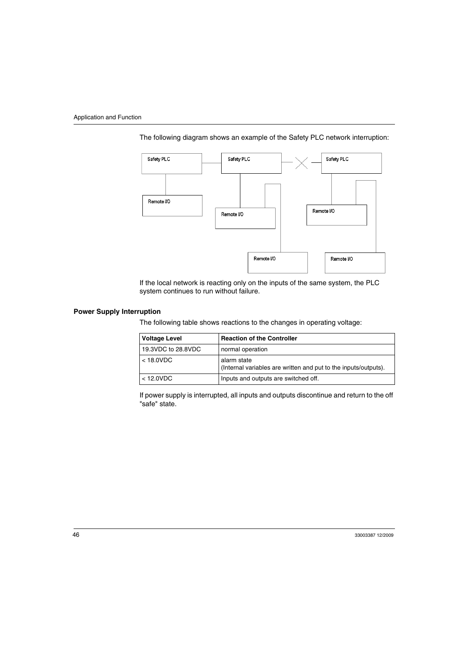



If the local network is reacting only on the inputs of the same system, the PLC system continues to run without failure.

#### **Power Supply Interruption**

The following table shows reactions to the changes in operating voltage:

| <b>Voltage Level</b> | <b>Reaction of the Controller</b>                                              |
|----------------------|--------------------------------------------------------------------------------|
| 19.3VDC to 28.8VDC   | normal operation                                                               |
| $<$ 18.0VDC          | alarm state<br>(Internal variables are written and put to the inputs/outputs). |
| $<$ 12.0VDC          | Inputs and outputs are switched off.                                           |

If power supply is interrupted, all inputs and outputs discontinue and return to the off "safe" state.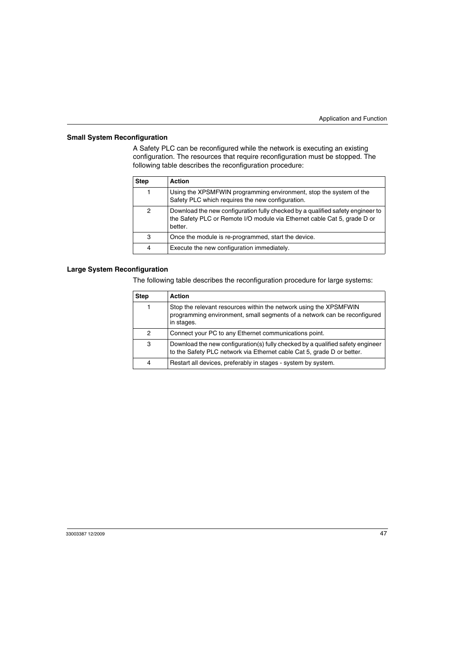### **Small System Reconfiguration**

A Safety PLC can be reconfigured while the network is executing an existing configuration. The resources that require reconfiguration must be stopped. The following table describes the reconfiguration procedure:

| <b>Step</b> | <b>Action</b>                                                                                                                                                         |
|-------------|-----------------------------------------------------------------------------------------------------------------------------------------------------------------------|
|             | Using the XPSMFWIN programming environment, stop the system of the<br>Safety PLC which requires the new configuration.                                                |
| 2           | Download the new configuration fully checked by a qualified safety engineer to<br>the Safety PLC or Remote I/O module via Ethernet cable Cat 5, grade D or<br>better. |
| 3           | Once the module is re-programmed, start the device.                                                                                                                   |
| 4           | Execute the new configuration immediately.                                                                                                                            |

#### **Large System Reconfiguration**

The following table describes the reconfiguration procedure for large systems:

| <b>Step</b> | <b>Action</b>                                                                                                                                               |
|-------------|-------------------------------------------------------------------------------------------------------------------------------------------------------------|
|             | Stop the relevant resources within the network using the XPSMFWIN<br>programming environment, small segments of a network can be reconfigured<br>in stages. |
| 2           | Connect your PC to any Ethernet communications point.                                                                                                       |
| 3           | Download the new configuration(s) fully checked by a qualified safety engineer<br>to the Safety PLC network via Ethernet cable Cat 5, grade D or better.    |
| 4           | Restart all devices, preferably in stages - system by system.                                                                                               |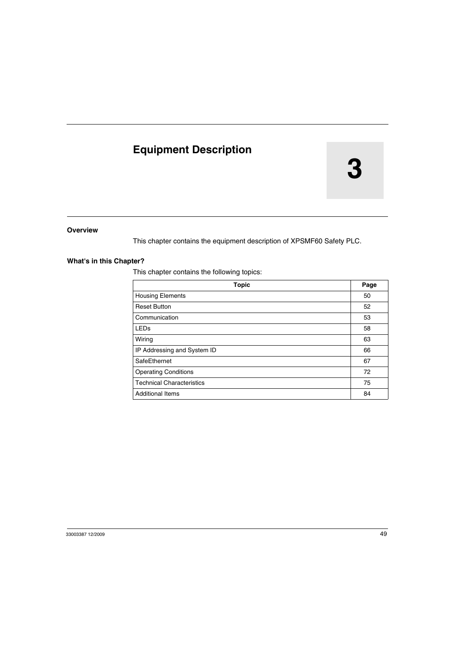# **Equipment Description**

# **3**

#### **Overview**

This chapter contains the equipment description of XPSMF60 Safety PLC.

#### **What's in this Chapter?**

This chapter contains the following topics:

| <b>Topic</b>                     | Page |
|----------------------------------|------|
| <b>Housing Elements</b>          | 50   |
| <b>Reset Button</b>              | 52   |
| Communication                    | 53   |
| LED <sub>s</sub>                 | 58   |
| Wiring                           | 63   |
| IP Addressing and System ID      | 66   |
| SafeEthernet                     | 67   |
| <b>Operating Conditions</b>      | 72   |
| <b>Technical Characteristics</b> | 75   |
| <b>Additional Items</b>          | 84   |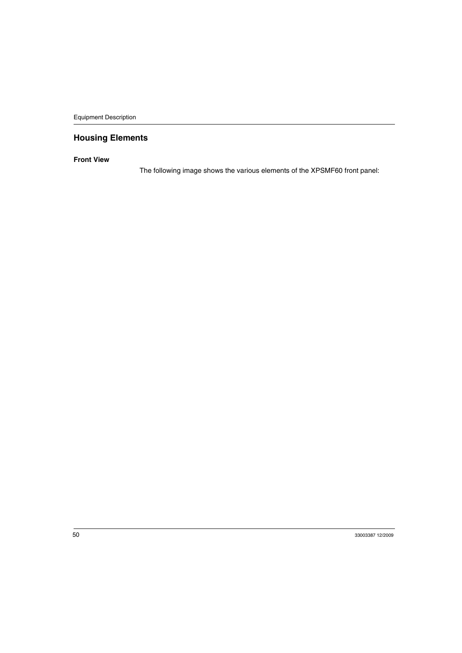# <span id="page-49-0"></span>**Housing Elements**

#### **Front View**

The following image shows the various elements of the XPSMF60 front panel: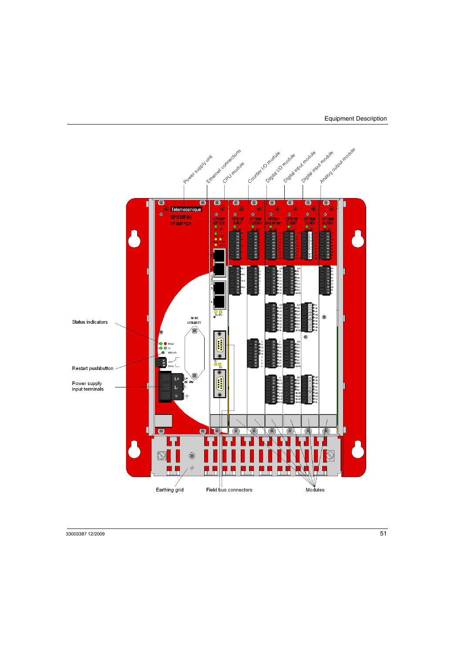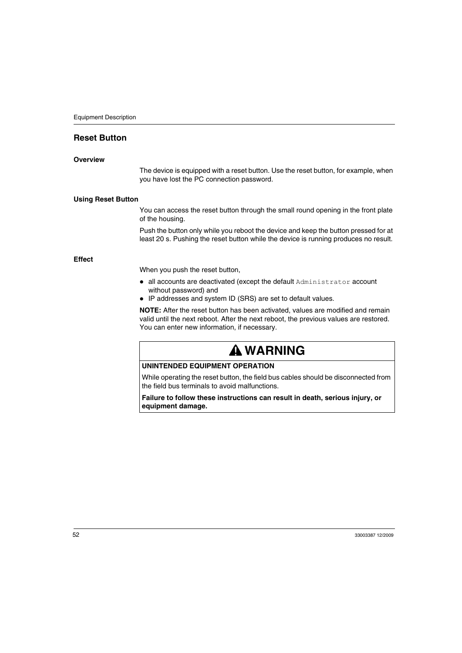# <span id="page-51-0"></span>**Reset Button**

#### **Overview**

The device is equipped with a reset button. Use the reset button, for example, when you have lost the PC connection password.

#### **Using Reset Button**

You can access the reset button through the small round opening in the front plate of the housing.

Push the button only while you reboot the device and keep the button pressed for at least 20 s. Pushing the reset button while the device is running produces no result.

#### **Effect**

When you push the reset button,

- $\bullet$  all accounts are deactivated (except the default  $\text{Administrator}$  account without password) and
- IP addresses and system ID (SRS) are set to default values.

**NOTE:** After the reset button has been activated, values are modified and remain valid until the next reboot. After the next reboot, the previous values are restored. You can enter new information, if necessary.

# **WARNING**

#### **UNINTENDED EQUIPMENT OPERATION**

While operating the reset button, the field bus cables should be disconnected from the field bus terminals to avoid malfunctions.

**Failure to follow these instructions can result in death, serious injury, or equipment damage.**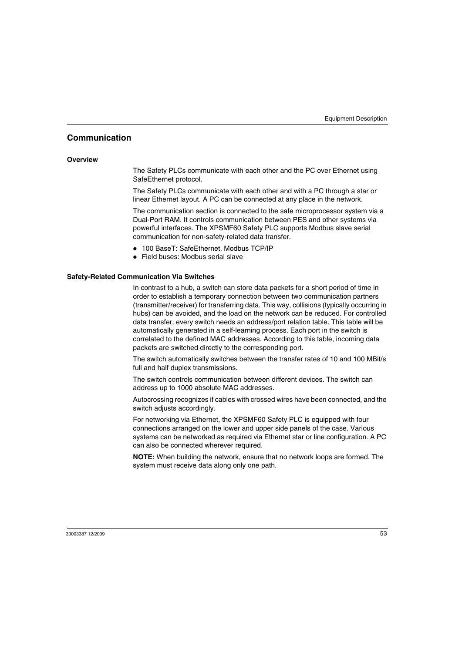# <span id="page-52-0"></span>**Communication**

#### **Overview**

The Safety PLCs communicate with each other and the PC over Ethernet using SafeEthernet protocol.

The Safety PLCs communicate with each other and with a PC through a star or linear Ethernet layout. A PC can be connected at any place in the network.

The communication section is connected to the safe microprocessor system via a Dual-Port RAM. It controls communication between PES and other systems via powerful interfaces. The XPSMF60 Safety PLC supports Modbus slave serial communication for non-safety-related data transfer.

- 100 BaseT: SafeEthernet, Modbus TCP/IP
- $\bullet$  Field buses: Modbus serial slave

#### <span id="page-52-1"></span>**Safety-Related Communication Via Switches**

In contrast to a hub, a switch can store data packets for a short period of time in order to establish a temporary connection between two communication partners (transmitter/receiver) for transferring data. This way, collisions (typically occurring in hubs) can be avoided, and the load on the network can be reduced. For controlled data transfer, every switch needs an address/port relation table. This table will be automatically generated in a self-learning process. Each port in the switch is correlated to the defined MAC addresses. According to this table, incoming data packets are switched directly to the corresponding port.

The switch automatically switches between the transfer rates of 10 and 100 MBit/s full and half duplex transmissions.

The switch controls communication between different devices. The switch can address up to 1000 absolute MAC addresses.

Autocrossing recognizes if cables with crossed wires have been connected, and the switch adjusts accordingly.

For networking via Ethernet, the XPSMF60 Safety PLC is equipped with four connections arranged on the lower and upper side panels of the case. Various systems can be networked as required via Ethernet star or line configuration. A PC can also be connected wherever required.

**NOTE:** When building the network, ensure that no network loops are formed. The system must receive data along only one path.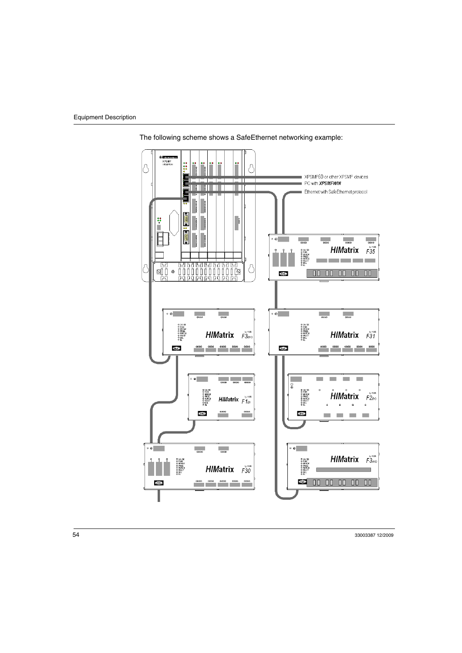

The following scheme shows a SafeEthernet networking example: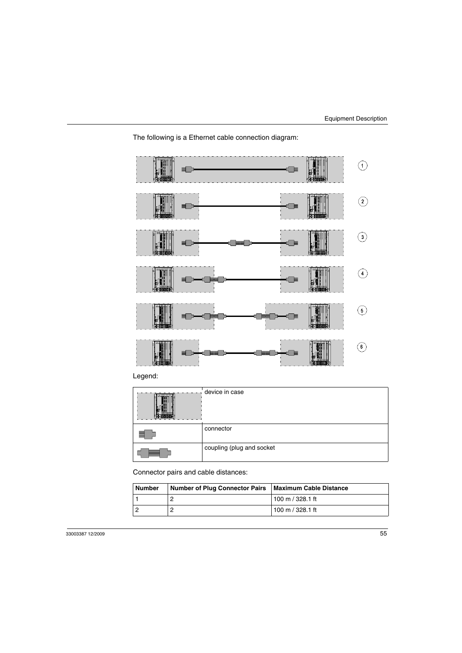



Legend:

| device in case            |
|---------------------------|
| connector                 |
| coupling (plug and socket |

Connector pairs and cable distances:

| <b>Number</b> | Number of Plug Connector Pairs   Maximum Cable Distance |                  |
|---------------|---------------------------------------------------------|------------------|
|               |                                                         | 100 m / 328.1 ft |
|               |                                                         | 100 m / 328.1 ft |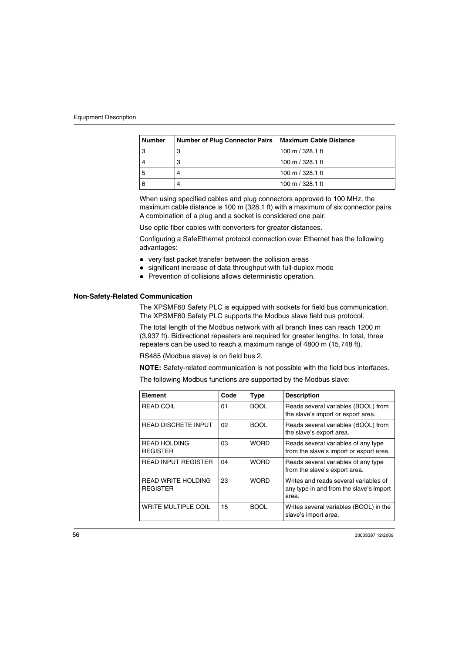| <b>Number</b> | Number of Plug Connector Pairs   Maximum Cable Distance |                  |
|---------------|---------------------------------------------------------|------------------|
| 3             | З                                                       | 100 m / 328.1 ft |
|               | З                                                       | 100 m / 328.1 ft |
| 5             | 4                                                       | 100 m / 328.1 ft |
| 6             | 4                                                       | 100 m / 328.1 ft |

When using specified cables and plug connectors approved to 100 MHz, the maximum cable distance is 100 m (328.1 ft) with a maximum of six connector pairs. A combination of a plug and a socket is considered one pair.

Use optic fiber cables with converters for greater distances.

Configuring a SafeEthernet protocol connection over Ethernet has the following advantages:

- $\bullet\;$  very fast packet transfer between the collision areas
- significant increase of data throughput with full-duplex mode
- Prevention of collisions allows deterministic operation.

#### **Non-Safety-Related Communication**

The XPSMF60 Safety PLC is equipped with sockets for field bus communication. The XPSMF60 Safety PLC supports the Modbus slave field bus protocol.

The total length of the Modbus network with all branch lines can reach 1200 m (3,937 ft). Bidirectional repeaters are required for greater lengths. In total, three repeaters can be used to reach a maximum range of 4800 m (15,748 ft).

RS485 (Modbus slave) is on field bus 2.

**NOTE:** Safety-related communication is not possible with the field bus interfaces.

The following Modbus functions are supported by the Modbus slave:

| Element                                      | Code | <b>Type</b> | <b>Description</b>                                                                        |
|----------------------------------------------|------|-------------|-------------------------------------------------------------------------------------------|
| <b>READ COIL</b>                             | 01   | <b>BOOL</b> | Reads several variables (BOOL) from<br>the slave's import or export area.                 |
| <b>READ DISCRETE INPUT</b>                   | 02   | <b>BOOL</b> | Reads several variables (BOOL) from<br>the slave's export area.                           |
| <b>READ HOLDING</b><br><b>REGISTER</b>       | 03   | <b>WORD</b> | Reads several variables of any type<br>from the slave's import or export area.            |
| <b>READ INPUT REGISTER</b>                   | 04   | <b>WORD</b> | Reads several variables of any type<br>from the slave's export area.                      |
| <b>READ WRITE HOLDING</b><br><b>REGISTER</b> | 23   | <b>WORD</b> | Writes and reads several variables of<br>any type in and from the slave's import<br>area. |
| <b>WRITE MULTIPLE COIL</b>                   | 15   | <b>BOOL</b> | Writes several variables (BOOL) in the<br>slave's import area.                            |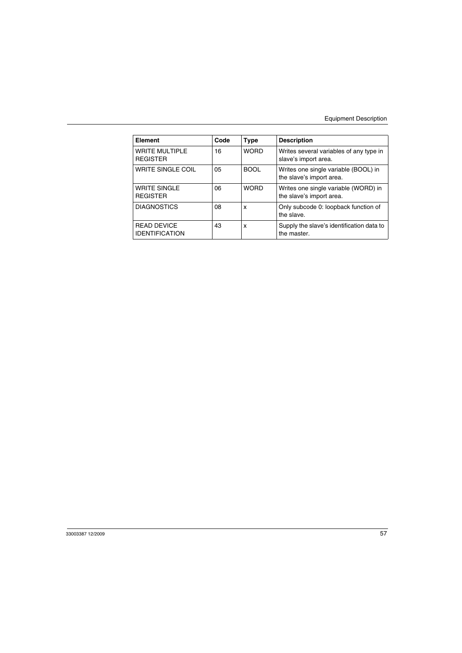| Element                                     | Code | <b>Type</b> | <b>Description</b>                                               |
|---------------------------------------------|------|-------------|------------------------------------------------------------------|
| <b>WRITE MULTIPLE</b><br><b>REGISTER</b>    | 16   | <b>WORD</b> | Writes several variables of any type in<br>slave's import area.  |
| WRITE SINGLE COIL                           | 05   | <b>BOOL</b> | Writes one single variable (BOOL) in<br>the slave's import area. |
| <b>WRITE SINGLE</b><br><b>REGISTER</b>      | 06   | <b>WORD</b> | Writes one single variable (WORD) in<br>the slave's import area. |
| <b>DIAGNOSTICS</b>                          | 08   | X           | Only subcode 0: loopback function of<br>the slave.               |
| <b>READ DEVICE</b><br><b>IDENTIFICATION</b> | 43   | X           | Supply the slave's identification data to<br>the master.         |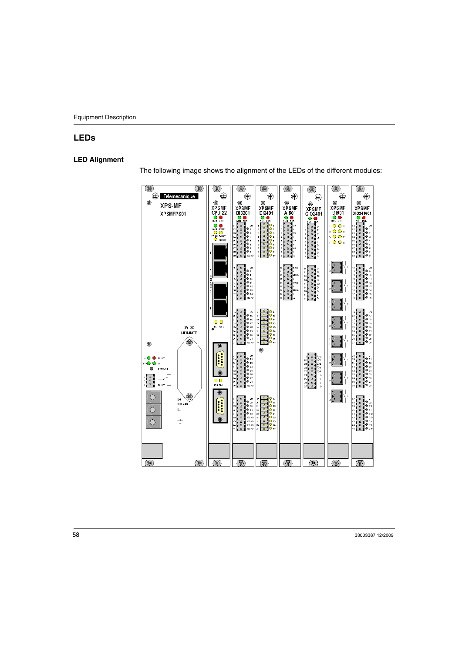# <span id="page-57-0"></span>**LEDs**

#### **LED Alignment**

The following image shows the alignment of the LEDs of the different modules:

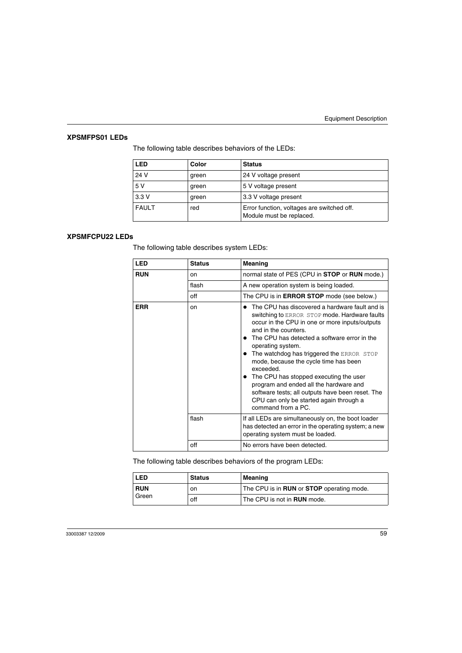#### **XPSMFPS01 LEDs**

The following table describes behaviors of the LEDs:

| LED          | Color | <b>Status</b>                                                          |
|--------------|-------|------------------------------------------------------------------------|
| 24 V         | green | 24 V voltage present                                                   |
| 5 V          | green | 5 V voltage present                                                    |
| 3.3V         | green | 3.3 V voltage present                                                  |
| <b>FAULT</b> | red   | Error function, voltages are switched off.<br>Module must be replaced. |

#### **XPSMFCPU22 LEDs**

The following table describes system LEDs:

| <b>LED</b> | <b>Status</b> | Meaning                                                                                                                                                                                                                                                                                                                                                                                                                                                                                                                                                    |
|------------|---------------|------------------------------------------------------------------------------------------------------------------------------------------------------------------------------------------------------------------------------------------------------------------------------------------------------------------------------------------------------------------------------------------------------------------------------------------------------------------------------------------------------------------------------------------------------------|
| <b>RUN</b> | <sub>on</sub> | normal state of PES (CPU in <b>STOP</b> or <b>RUN</b> mode.)                                                                                                                                                                                                                                                                                                                                                                                                                                                                                               |
|            | flash         | A new operation system is being loaded.                                                                                                                                                                                                                                                                                                                                                                                                                                                                                                                    |
|            | off           | The CPU is in ERROR STOP mode (see below.)                                                                                                                                                                                                                                                                                                                                                                                                                                                                                                                 |
| <b>ERR</b> | on            | The CPU has discovered a hardware fault and is<br>switching to ERROR STOP mode. Hardware faults<br>occur in the CPU in one or more inputs/outputs<br>and in the counters.<br>The CPU has detected a software error in the<br>operating system.<br>The watchdog has triggered the ERROR STOP<br>mode, because the cycle time has been<br>exceeded.<br>The CPU has stopped executing the user<br>program and ended all the hardware and<br>software tests; all outputs have been reset. The<br>CPU can only be started again through a<br>command from a PC. |
|            | flash         | If all LEDs are simultaneously on, the boot loader<br>has detected an error in the operating system; a new<br>operating system must be loaded.                                                                                                                                                                                                                                                                                                                                                                                                             |
|            | off           | No errors have been detected.                                                                                                                                                                                                                                                                                                                                                                                                                                                                                                                              |

The following table describes behaviors of the program LEDs:

| <b>LED</b>                       | <b>Status</b>                                           | Meaning                            |  |
|----------------------------------|---------------------------------------------------------|------------------------------------|--|
| <b>RUN</b><br>on<br>Green<br>off | The CPU is in <b>RUN</b> or <b>STOP</b> operating mode. |                                    |  |
|                                  |                                                         | The CPU is not in <b>RUN</b> mode. |  |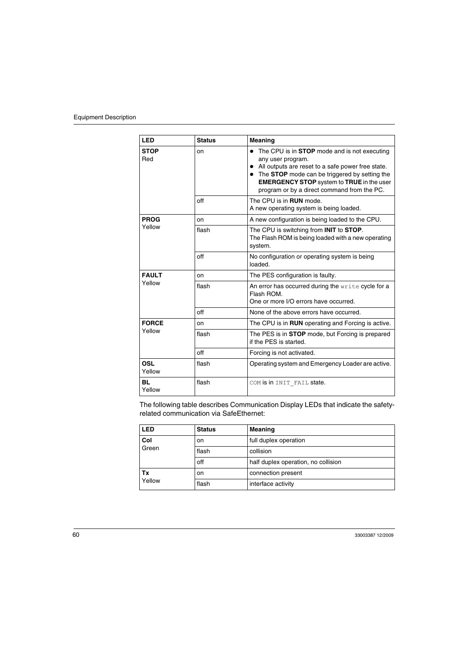| LED                  | <b>Status</b> | <b>Meaning</b>                                                                                                                                                                                                                                                                      |  |
|----------------------|---------------|-------------------------------------------------------------------------------------------------------------------------------------------------------------------------------------------------------------------------------------------------------------------------------------|--|
| <b>STOP</b><br>Red   | on            | The CPU is in <b>STOP</b> mode and is not executing<br>any user program.<br>All outputs are reset to a safe power free state.<br>• The STOP mode can be triggered by setting the<br><b>EMERGENCY STOP</b> system to TRUE in the user<br>program or by a direct command from the PC. |  |
|                      | off           | The CPU is in <b>RUN</b> mode.<br>A new operating system is being loaded.                                                                                                                                                                                                           |  |
| <b>PROG</b>          | on            | A new configuration is being loaded to the CPU.                                                                                                                                                                                                                                     |  |
| Yellow               | flash         | The CPU is switching from <b>INIT</b> to <b>STOP</b> .<br>The Flash ROM is being loaded with a new operating<br>system.                                                                                                                                                             |  |
|                      | off           | No configuration or operating system is being<br>loaded.                                                                                                                                                                                                                            |  |
| <b>FAULT</b>         | on            | The PES configuration is faulty.                                                                                                                                                                                                                                                    |  |
| Yellow               | flash         | An error has occurred during the write cycle for a<br>Flash ROM.<br>One or more I/O errors have occurred.                                                                                                                                                                           |  |
|                      | off           | None of the above errors have occurred.                                                                                                                                                                                                                                             |  |
| <b>FORCE</b>         | on            | The CPU is in <b>RUN</b> operating and Forcing is active.                                                                                                                                                                                                                           |  |
| Yellow               | flash         | The PES is in <b>STOP</b> mode, but Forcing is prepared<br>if the PES is started.                                                                                                                                                                                                   |  |
|                      | off           | Forcing is not activated.                                                                                                                                                                                                                                                           |  |
| <b>OSL</b><br>Yellow | flash         | Operating system and Emergency Loader are active.                                                                                                                                                                                                                                   |  |
| <b>BL</b><br>Yellow  | flash         | COM is in INIT FAIL state.                                                                                                                                                                                                                                                          |  |

The following table describes Communication Display LEDs that indicate the safetyrelated communication via SafeEthernet:

| <b>LED</b>   | <b>Status</b> | Meaning                             |  |
|--------------|---------------|-------------------------------------|--|
| Col          | on            | full duplex operation               |  |
| Green        | flash         | collision                           |  |
|              | off           | half duplex operation, no collision |  |
| Тx<br>Yellow | on            | connection present                  |  |
|              | flash         | interface activity                  |  |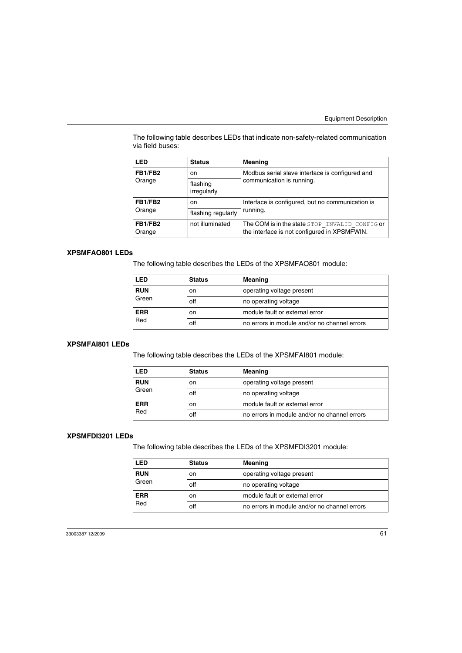The following table describes LEDs that indicate non-safety-related communication via field buses:

| LED               | <b>Status</b>           | <b>Meaning</b>                                                                                 |
|-------------------|-------------------------|------------------------------------------------------------------------------------------------|
| FB1/FB2<br>Orange | <sub>on</sub>           | Modbus serial slave interface is configured and                                                |
|                   | flashing<br>irregularly | communication is running.                                                                      |
| FB1/FB2<br>Orange | on.                     | Interface is configured, but no communication is                                               |
|                   | flashing regularly      | running.                                                                                       |
| FB1/FB2<br>Orange | not illuminated         | The COM is in the state STOP INVALID CONFIG or<br>the interface is not configured in XPSMFWIN. |

#### **XPSMFAO801 LEDs**

The following table describes the LEDs of the XPSMFAO801 module:

| LED               | <b>Status</b> | Meaning                                      |  |
|-------------------|---------------|----------------------------------------------|--|
| <b>RUN</b>        | on            | operating voltage present                    |  |
| Green             | off           | no operating voltage                         |  |
| <b>ERR</b><br>Red | on            | module fault or external error               |  |
|                   | off           | no errors in module and/or no channel errors |  |

#### **XPSMFAI801 LEDs**

The following table describes the LEDs of the XPSMFAI801 module:

| LED              | <b>Status</b> | Meaning                                      |  |
|------------------|---------------|----------------------------------------------|--|
| <b>RUN</b>       | on            | operating voltage present                    |  |
| Green            | off           | no operating voltage                         |  |
| <b>ERR</b><br>on |               | module fault or external error               |  |
| Red              | off           | no errors in module and/or no channel errors |  |

#### **XPSMFDI3201 LEDs**

The following table describes the LEDs of the XPSMFDI3201 module:

| LED              | <b>Status</b> | Meaning                                      |  |
|------------------|---------------|----------------------------------------------|--|
| <b>RUN</b>       | on            | operating voltage present                    |  |
| Green            | off           | no operating voltage                         |  |
| <b>ERR</b><br>on |               | module fault or external error               |  |
| Red              | off           | no errors in module and/or no channel errors |  |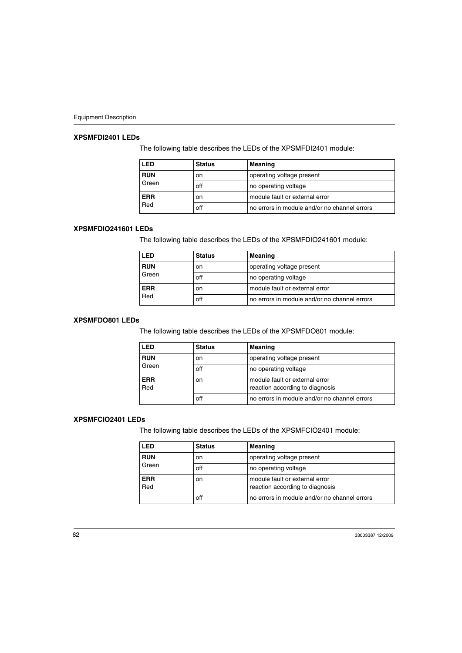#### **XPSMFDI2401 LEDs**

The following table describes the LEDs of the XPSMFDI2401 module:

| <b>LED</b> | <b>Status</b> | Meaning                                      |  |
|------------|---------------|----------------------------------------------|--|
| <b>RUN</b> | <sub>on</sub> | operating voltage present                    |  |
| Green      | off           | no operating voltage                         |  |
| <b>ERR</b> | <sub>on</sub> | module fault or external error               |  |
| Red        | off           | no errors in module and/or no channel errors |  |

#### **XPSMFDIO241601 LEDs**

The following table describes the LEDs of the XPSMFDIO241601 module:

| LED               | <b>Status</b> | Meaning                                      |  |
|-------------------|---------------|----------------------------------------------|--|
| <b>RUN</b>        | on.           | operating voltage present                    |  |
| Green             | off           | no operating voltage                         |  |
| <b>ERR</b><br>Red | on            | module fault or external error               |  |
|                   | off           | no errors in module and/or no channel errors |  |

#### **XPSMFDO801 LEDs**

The following table describes the LEDs of the XPSMFDO801 module:

| LED               | <b>Status</b> | Meaning                                                           |  |
|-------------------|---------------|-------------------------------------------------------------------|--|
| <b>RUN</b>        | on            | operating voltage present                                         |  |
| Green             | off           | no operating voltage                                              |  |
| <b>ERR</b><br>Red | <sub>on</sub> | module fault or external error<br>reaction according to diagnosis |  |
|                   | off           | no errors in module and/or no channel errors                      |  |

#### **XPSMFCIO2401 LEDs**

The following table describes the LEDs of the XPSMFCIO2401 module:

| LED               | <b>Status</b> | Meaning                                                           |  |
|-------------------|---------------|-------------------------------------------------------------------|--|
| <b>RUN</b>        | <sub>on</sub> | operating voltage present                                         |  |
| Green             | off           | no operating voltage                                              |  |
| <b>ERR</b><br>Red | on            | module fault or external error<br>reaction according to diagnosis |  |
|                   | off           | no errors in module and/or no channel errors                      |  |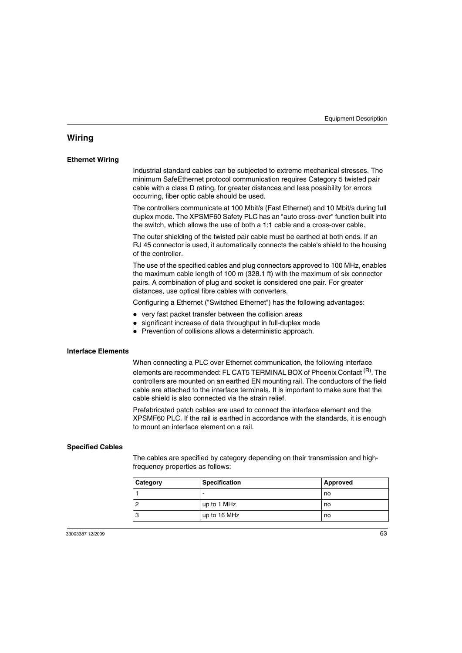# <span id="page-62-0"></span>**Wiring**

#### **Ethernet Wiring**

Industrial standard cables can be subjected to extreme mechanical stresses. The minimum SafeEthernet protocol communication requires Category 5 twisted pair cable with a class D rating, for greater distances and less possibility for errors occurring, fiber optic cable should be used.

The controllers communicate at 100 Mbit/s (Fast Ethernet) and 10 Mbit/s during full duplex mode. The XPSMF60 Safety PLC has an "auto cross-over" function built into the switch, which allows the use of both a 1:1 cable and a cross-over cable.

The outer shielding of the twisted pair cable must be earthed at both ends. If an RJ 45 connector is used, it automatically connects the cable's shield to the housing of the controller.

The use of the specified cables and plug connectors approved to 100 MHz, enables the maximum cable length of 100 m (328.1 ft) with the maximum of six connector pairs. A combination of plug and socket is considered one pair. For greater distances, use optical fibre cables with converters.

Configuring a Ethernet ("Switched Ethernet") has the following advantages:

- $\bullet\;$  very fast packet transfer between the collision areas
- significant increase of data throughput in full-duplex mode
- Prevention of collisions allows a deterministic approach.

#### **Interface Elements**

When connecting a PLC over Ethernet communication, the following interface elements are recommended: FL CAT5 TERMINAL BOX of Phoenix Contact <sup>(R)</sup>. The controllers are mounted on an earthed EN mounting rail. The conductors of the field cable are attached to the interface terminals. It is important to make sure that the cable shield is also connected via the strain relief.

Prefabricated patch cables are used to connect the interface element and the XPSMF60 PLC. If the rail is earthed in accordance with the standards, it is enough to mount an interface element on a rail.

#### **Specified Cables**

The cables are specified by category depending on their transmission and highfrequency properties as follows:

| <b>Category</b> | <b>Specification</b> | Approved |
|-----------------|----------------------|----------|
|                 |                      | no       |
|                 | up to 1 MHz          | no       |
| 3               | up to 16 MHz         | no       |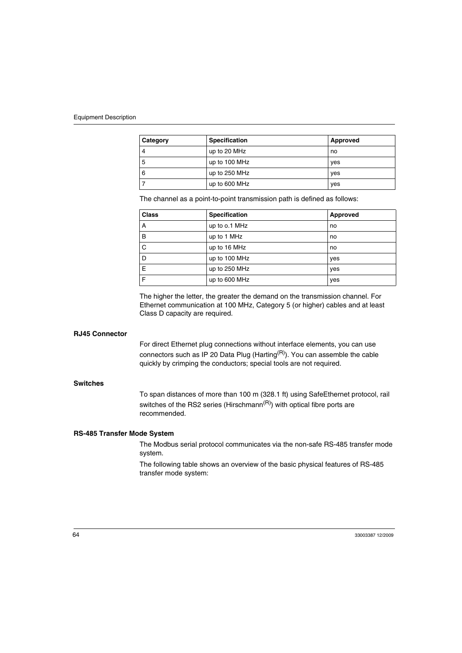| Category | <b>Specification</b> | Approved |
|----------|----------------------|----------|
| 4        | up to 20 MHz         | no       |
| 5        | up to 100 MHz        | yes      |
| 6        | up to 250 MHz        | yes      |
|          | up to 600 MHz        | yes      |

The channel as a point-to-point transmission path is defined as follows:

| <b>Class</b> | Specification | Approved |
|--------------|---------------|----------|
| A            | up to o.1 MHz | no       |
| B            | up to 1 MHz   | no       |
| C            | up to 16 MHz  | no       |
| D            | up to 100 MHz | yes      |
| E            | up to 250 MHz | yes      |
| F            | up to 600 MHz | yes      |

The higher the letter, the greater the demand on the transmission channel. For Ethernet communication at 100 MHz, Category 5 (or higher) cables and at least Class D capacity are required.

#### **RJ45 Connector**

For direct Ethernet plug connections without interface elements, you can use connectors such as IP 20 Data Plug (Harting<sup>(R)</sup>). You can assemble the cable quickly by crimping the conductors; special tools are not required.

#### **Switches**

To span distances of more than 100 m (328.1 ft) using SafeEthernet protocol, rail switches of the RS2 series (Hirschmann<sup> $(R)$ </sup>) with optical fibre ports are recommended.

#### **RS-485 Transfer Mode System**

The Modbus serial protocol communicates via the non-safe RS-485 transfer mode system.

The following table shows an overview of the basic physical features of RS-485 transfer mode system: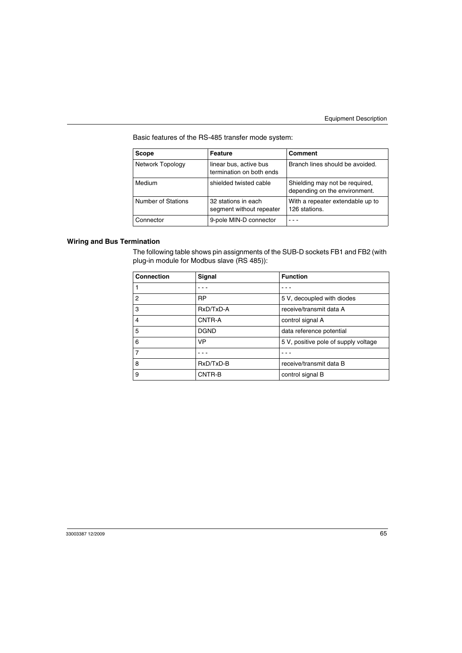Basic features of the RS-485 transfer mode system:

| <b>Scope</b>       | <b>Feature</b>                                     | Comment                                                         |
|--------------------|----------------------------------------------------|-----------------------------------------------------------------|
| Network Topology   | linear bus, active bus<br>termination on both ends | Branch lines should be avoided.                                 |
| Medium             | shielded twisted cable                             | Shielding may not be required,<br>depending on the environment. |
| Number of Stations | 32 stations in each<br>segment without repeater    | With a repeater extendable up to<br>126 stations.               |
| Connector          | 9-pole MIN-D connector                             |                                                                 |

#### **Wiring and Bus Termination**

The following table shows pin assignments of the SUB-D sockets FB1 and FB2 (with plug-in module for Modbus slave (RS 485)):

| <b>Connection</b> | Signal      | <b>Function</b>                      |
|-------------------|-------------|--------------------------------------|
|                   |             |                                      |
| 2                 | <b>RP</b>   | 5 V, decoupled with diodes           |
| 3                 | RxD/TxD-A   | receive/transmit data A              |
| 4                 | CNTR-A      | control signal A                     |
| 5                 | <b>DGND</b> | data reference potential             |
| 6                 | <b>VP</b>   | 5 V, positive pole of supply voltage |
| 7                 |             |                                      |
| 8                 | RxD/TxD-B   | receive/transmit data B              |
| 9                 | CNTR-B      | control signal B                     |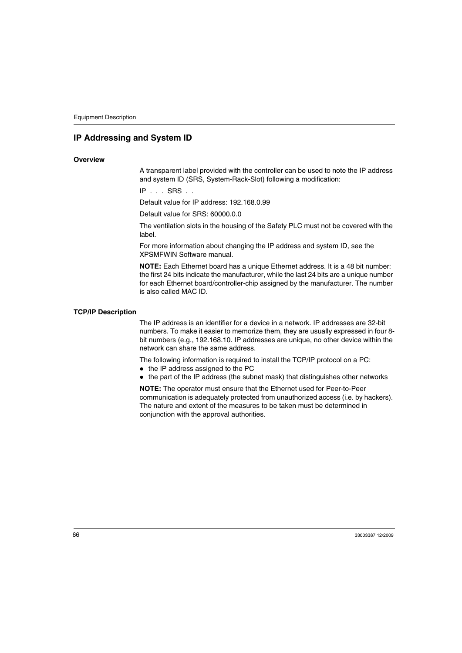# <span id="page-65-0"></span>**IP Addressing and System ID**

#### **Overview**

A transparent label provided with the controller can be used to note the IP address and system ID (SRS, System-Rack-Slot) following a modification:

 $IP$ .... $SRS$ ...

Default value for IP address: 192.168.0.99

Default value for SRS: 60000.0.0

The ventilation slots in the housing of the Safety PLC must not be covered with the label.

For more information about changing the IP address and system ID, see the XPSMFWIN Software manual.

**NOTE:** Each Ethernet board has a unique Ethernet address. It is a 48 bit number: the first 24 bits indicate the manufacturer, while the last 24 bits are a unique number for each Ethernet board/controller-chip assigned by the manufacturer. The number is also called MAC ID.

#### **TCP/IP Description**

The IP address is an identifier for a device in a network. IP addresses are 32-bit numbers. To make it easier to memorize them, they are usually expressed in four 8 bit numbers (e.g., 192.168.10. IP addresses are unique, no other device within the network can share the same address.

The following information is required to install the TCP/IP protocol on a PC:

- $\bullet$  the IP address assigned to the PC
- $\bullet$  the part of the IP address (the subnet mask) that distinguishes other networks

**NOTE:** The operator must ensure that the Ethernet used for Peer-to-Peer communication is adequately protected from unauthorized access (i.e. by hackers). The nature and extent of the measures to be taken must be determined in conjunction with the approval authorities.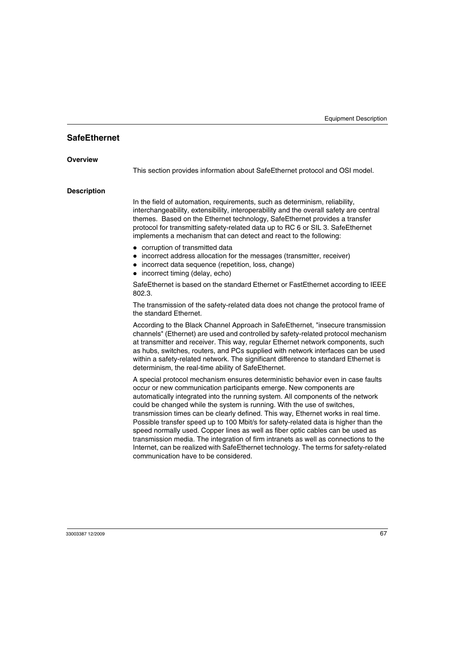# <span id="page-66-0"></span>**SafeEthernet**

#### **Overview**

This section provides information about SafeEthernet protocol and OSI model.

#### **Description**

In the field of automation, requirements, such as determinism, reliability, interchangeability, extensibility, interoperability and the overall safety are central themes. Based on the Ethernet technology, SafeEthernet provides a transfer protocol for transmitting safety-related data up to RC 6 or SIL 3. SafeEthernet implements a mechanism that can detect and react to the following:

- corruption of transmitted data
- incorrect address allocation for the messages (transmitter, receiver)
- incorrect data sequence (repetition, loss, change)
- $\bullet$  incorrect timing (delay, echo)

SafeEthernet is based on the standard Ethernet or FastEthernet according to IEEE 802.3.

The transmission of the safety-related data does not change the protocol frame of the standard Ethernet.

According to the Black Channel Approach in SafeEthernet, "insecure transmission channels" (Ethernet) are used and controlled by safety-related protocol mechanism at transmitter and receiver. This way, regular Ethernet network components, such as hubs, switches, routers, and PCs supplied with network interfaces can be used within a safety-related network. The significant difference to standard Ethernet is determinism, the real-time ability of SafeEthernet.

A special protocol mechanism ensures deterministic behavior even in case faults occur or new communication participants emerge. New components are automatically integrated into the running system. All components of the network could be changed while the system is running. With the use of switches, transmission times can be clearly defined. This way, Ethernet works in real time. Possible transfer speed up to 100 Mbit/s for safety-related data is higher than the speed normally used. Copper lines as well as fiber optic cables can be used as transmission media. The integration of firm intranets as well as connections to the Internet, can be realized with SafeEthernet technology. The terms for safety-related communication have to be considered.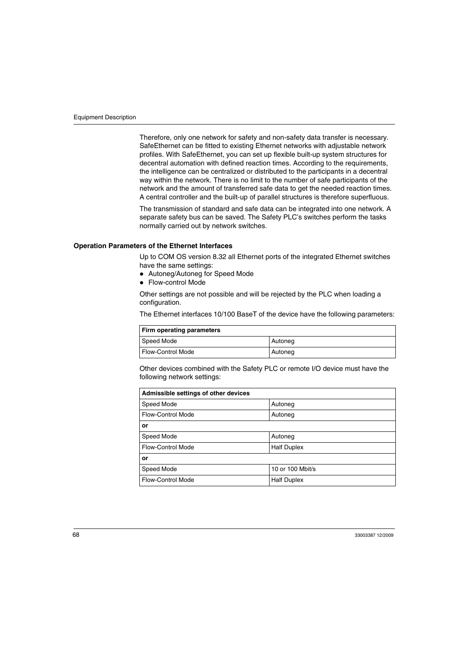Therefore, only one network for safety and non-safety data transfer is necessary. SafeEthernet can be fitted to existing Ethernet networks with adjustable network profiles. With SafeEthernet, you can set up flexible built-up system structures for decentral automation with defined reaction times. According to the requirements, the intelligence can be centralized or distributed to the participants in a decentral way within the network. There is no limit to the number of safe participants of the network and the amount of transferred safe data to get the needed reaction times. A central controller and the built-up of parallel structures is therefore superfluous.

The transmission of standard and safe data can be integrated into one network. A separate safety bus can be saved. The Safety PLC's switches perform the tasks normally carried out by network switches.

#### **Operation Parameters of the Ethernet Interfaces**

Up to COM OS version 8.32 all Ethernet ports of the integrated Ethernet switches have the same settings:

- Autoneg/Autoneg for Speed Mode
- Flow-control Mode

Other settings are not possible and will be rejected by the PLC when loading a configuration.

The Ethernet interfaces 10/100 BaseT of the device have the following parameters:

| Firm operating parameters |         |  |
|---------------------------|---------|--|
| Speed Mode                | Autoneg |  |
| <b>Flow-Control Mode</b>  | Autoneg |  |

Other devices combined with the Safety PLC or remote I/O device must have the following network settings:

| Admissible settings of other devices |                    |  |
|--------------------------------------|--------------------|--|
| Speed Mode                           | Autoneg            |  |
| <b>Flow-Control Mode</b>             | Autoneg            |  |
| or                                   |                    |  |
| Speed Mode                           | Autoneg            |  |
| <b>Flow-Control Mode</b>             | <b>Half Duplex</b> |  |
| or                                   |                    |  |
| Speed Mode                           | 10 or 100 Mbit/s   |  |
| Flow-Control Mode                    | <b>Half Duplex</b> |  |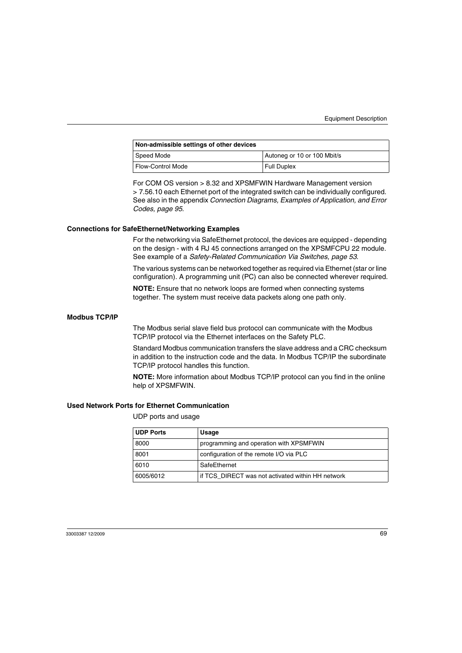| Non-admissible settings of other devices |                             |  |
|------------------------------------------|-----------------------------|--|
| Speed Mode                               | Autoneg or 10 or 100 Mbit/s |  |
| <b>Flow-Control Mode</b>                 | Full Duplex                 |  |

For COM OS version > 8.32 and XPSMFWIN Hardware Management version > 7.56.10 each Ethernet port of the integrated switch can be individually configured. See also in the appendix *[Connection Diagrams, Examples of Application, and Error](#page-94-0)  [Codes](#page-94-0), page [95](#page-94-0)*.

#### **Connections for SafeEthernet/Networking Examples**

For the networking via SafeEthernet protocol, the devices are equipped - depending on the design - with 4 RJ 45 connections arranged on the XPSMFCPU 22 module. See example of a *[Safety-Related Communication Via Switches](#page-52-1), page [53](#page-52-1)*.

The various systems can be networked together as required via Ethernet (star or line configuration). A programming unit (PC) can also be connected wherever required.

**NOTE:** Ensure that no network loops are formed when connecting systems together. The system must receive data packets along one path only.

#### **Modbus TCP/IP**

The Modbus serial slave field bus protocol can communicate with the Modbus TCP/IP protocol via the Ethernet interfaces on the Safety PLC.

Standard Modbus communication transfers the slave address and a CRC checksum in addition to the instruction code and the data. In Modbus TCP/IP the subordinate TCP/IP protocol handles this function.

**NOTE:** More information about Modbus TCP/IP protocol can you find in the online help of XPSMFWIN.

#### **Used Network Ports for Ethernet Communication**

UDP ports and usage

| <b>UDP Ports</b> | Usage                                             |
|------------------|---------------------------------------------------|
| 8000             | programming and operation with XPSMFWIN           |
| 8001             | configuration of the remote I/O via PLC           |
| 6010             | SafeEthernet                                      |
| 6005/6012        | if TCS DIRECT was not activated within HH network |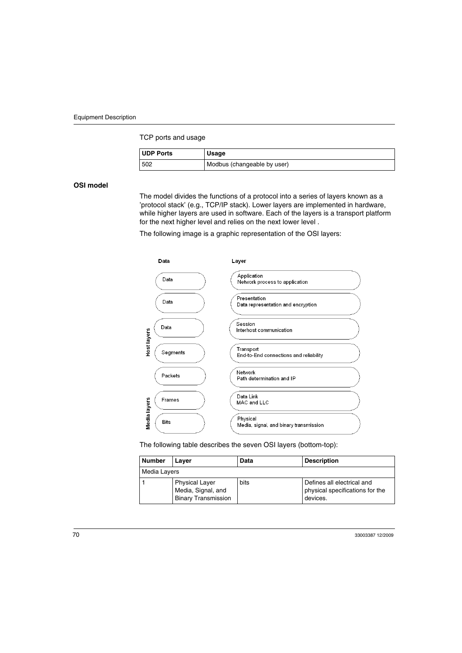TCP ports and usage

| <b>UDP Ports</b> | <b>Usage</b>                |
|------------------|-----------------------------|
| 502              | Modbus (changeable by user) |

**OSI model**

The model divides the functions of a protocol into a series of layers known as a 'protocol stack' (e.g., TCP/IP stack). Lower layers are implemented in hardware, while higher layers are used in software. Each of the layers is a transport platform for the next higher level and relies on the next lower level .

The following image is a graphic representation of the OSI layers:



The following table describes the seven OSI layers (bottom-top):

| <b>Number</b> | Laver                                                                     | Data | <b>Description</b>                                                        |
|---------------|---------------------------------------------------------------------------|------|---------------------------------------------------------------------------|
| Media Layers  |                                                                           |      |                                                                           |
|               | <b>Physical Laver</b><br>Media, Signal, and<br><b>Binary Transmission</b> | bits | Defines all electrical and<br>physical specifications for the<br>devices. |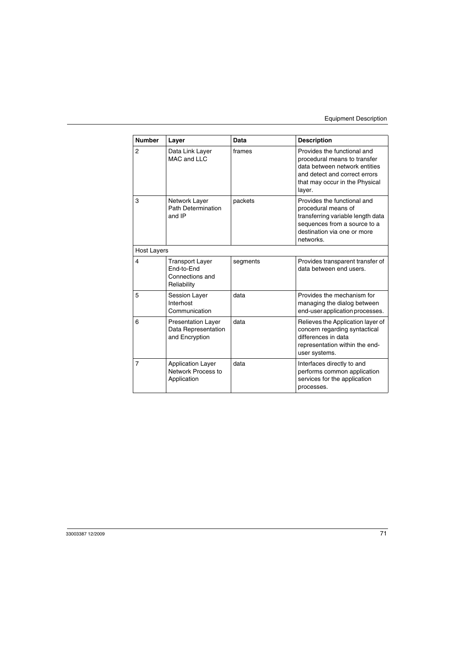| <b>Number</b>  | Layer                                                                  | Data     | <b>Description</b>                                                                                                                                                        |  |
|----------------|------------------------------------------------------------------------|----------|---------------------------------------------------------------------------------------------------------------------------------------------------------------------------|--|
| 2              | Data Link Layer<br>MAC and LLC                                         | frames   | Provides the functional and<br>procedural means to transfer<br>data between network entities<br>and detect and correct errors<br>that may occur in the Physical<br>layer. |  |
| 3              | Network Layer<br>Path Determination<br>and IP                          | packets  | Provides the functional and<br>procedural means of<br>transferring variable length data<br>sequences from a source to a<br>destination via one or more<br>networks.       |  |
|                | Host Layers                                                            |          |                                                                                                                                                                           |  |
| 4              | <b>Transport Layer</b><br>End-to-End<br>Connections and<br>Reliability | segments | Provides transparent transfer of<br>data between end users.                                                                                                               |  |
| 5              | <b>Session Layer</b><br>Interhost<br>Communication                     | data     | Provides the mechanism for<br>managing the dialog between<br>end-user application processes.                                                                              |  |
| 6              | <b>Presentation Layer</b><br>Data Representation<br>and Encryption     | data     | Relieves the Application layer of<br>concern regarding syntactical<br>differences in data<br>representation within the end-<br>user systems.                              |  |
| $\overline{7}$ | <b>Application Layer</b><br>Network Process to<br>Application          | data     | Interfaces directly to and<br>performs common application<br>services for the application<br>processes.                                                                   |  |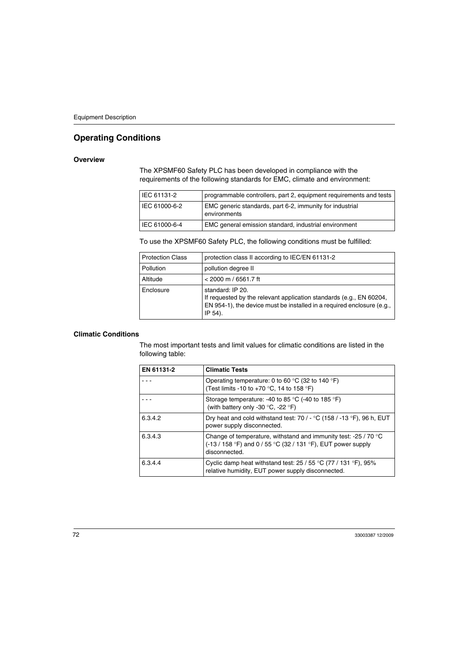# <span id="page-71-0"></span>**Operating Conditions**

#### **Overview**

The XPSMF60 Safety PLC has been developed in compliance with the requirements of the following standards for EMC, climate and environment:

| IEC 61131-2   | programmable controllers, part 2, equipment requirements and tests       |
|---------------|--------------------------------------------------------------------------|
| IEC 61000-6-2 | EMC generic standards, part 6-2, immunity for industrial<br>environments |
| IEC 61000-6-4 | EMC general emission standard, industrial environment                    |

To use the XPSMF60 Safety PLC, the following conditions must be fulfilled:

| <b>Protection Class</b> | protection class II according to IEC/EN 61131-2                                                                                                                              |
|-------------------------|------------------------------------------------------------------------------------------------------------------------------------------------------------------------------|
| Pollution               | pollution degree II                                                                                                                                                          |
| Altitude                | $<$ 2000 m / 6561.7 ft                                                                                                                                                       |
| Enclosure               | standard: IP 20.<br>If requested by the relevant application standards (e.g., EN 60204,<br>EN 954-1), the device must be installed in a required enclosure (e.g.,<br>IP 54). |

#### **Climatic Conditions**

The most important tests and limit values for climatic conditions are listed in the following table:

| EN 61131-2 | <b>Climatic Tests</b>                                                                                                                            |
|------------|--------------------------------------------------------------------------------------------------------------------------------------------------|
|            | Operating temperature: 0 to 60 °C (32 to 140 °F)<br>(Test limits -10 to +70 °C, 14 to 158 °F)                                                    |
|            | Storage temperature: -40 to 85 °C (-40 to 185 °F)<br>(with battery only -30 $^{\circ}$ C, -22 $^{\circ}$ F)                                      |
| 6.3.4.2    | Dry heat and cold withstand test: $70/ - C$ (158 / -13 °F), 96 h, EUT<br>power supply disconnected.                                              |
| 6.3.4.3    | Change of temperature, withstand and immunity test: -25 / 70 °C<br>(-13 / 158 °F) and 0 / 55 °C (32 / 131 °F), EUT power supply<br>disconnected. |
| 6.3.4.4    | Cyclic damp heat withstand test: $25/55$ °C (77 / 131 °F), 95%<br>relative humidity, EUT power supply disconnected.                              |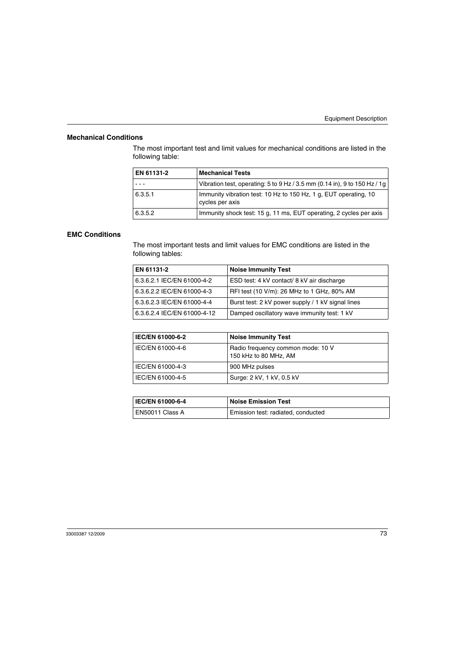#### **Mechanical Conditions**

The most important test and limit values for mechanical conditions are listed in the following table:

| EN 61131-2 | <b>Mechanical Tests</b>                                                             |
|------------|-------------------------------------------------------------------------------------|
|            | Vibration test, operating: 5 to 9 Hz / 3.5 mm (0.14 in), 9 to 150 Hz / 1g           |
| 6.3.5.1    | Immunity vibration test: 10 Hz to 150 Hz, 1 g, EUT operating, 10<br>cycles per axis |
| 6.3.5.2    | Immunity shock test: 15 g, 11 ms, EUT operating, 2 cycles per axis                  |

#### **EMC Conditions**

The most important tests and limit values for EMC conditions are listed in the following tables:

| EN 61131-2                  | <b>Noise Immunity Test</b>                        |
|-----------------------------|---------------------------------------------------|
| 6.3.6.2.1 IEC/EN 61000-4-2  | ESD test: 4 kV contact/ 8 kV air discharge        |
| 6.3.6.2.2 IEC/EN 61000-4-3  | RFI test (10 V/m): 26 MHz to 1 GHz, 80% AM        |
| 6.3.6.2.3 IEC/EN 61000-4-4  | Burst test: 2 kV power supply / 1 kV signal lines |
| 6.3.6.2.4 IEC/EN 61000-4-12 | Damped oscillatory wave immunity test: 1 kV       |

| <b>IEC/EN 61000-6-2</b> | <b>Noise Immunity Test</b>                                 |
|-------------------------|------------------------------------------------------------|
| l IEC/EN 61000-4-6      | Radio frequency common mode: 10 V<br>150 kHz to 80 MHz, AM |
| l IEC/EN 61000-4-3      | 900 MHz pulses                                             |
| l IEC/EN 61000-4-5      | Surge: 2 kV, 1 kV, 0.5 kV                                  |

| <b>IEC/EN 61000-6-4</b> | $\,$ Noise Emission Test           |
|-------------------------|------------------------------------|
| EN50011 Class A         | Emission test: radiated, conducted |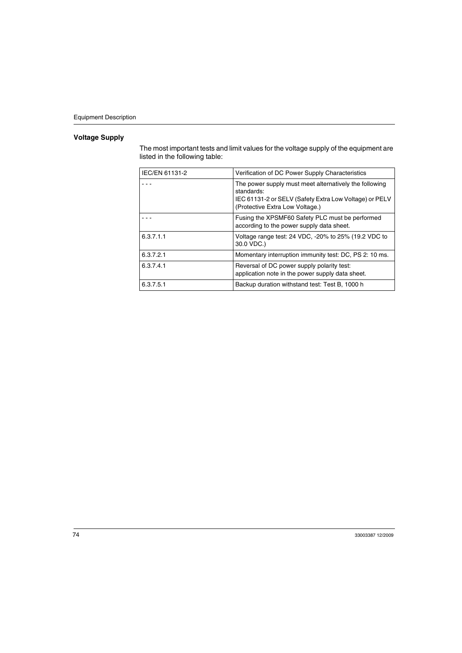# **Voltage Supply**

The most important tests and limit values for the voltage supply of the equipment are listed in the following table:

| IEC/EN 61131-2 | Verification of DC Power Supply Characteristics                                                                                                                   |
|----------------|-------------------------------------------------------------------------------------------------------------------------------------------------------------------|
|                | The power supply must meet alternatively the following<br>standards:<br>IEC 61131-2 or SELV (Safety Extra Low Voltage) or PELV<br>(Protective Extra Low Voltage.) |
|                | Fusing the XPSMF60 Safety PLC must be performed<br>according to the power supply data sheet.                                                                      |
| 6.3.7.1.1      | Voltage range test: 24 VDC, -20% to 25% (19.2 VDC to<br>30.0 VDC.)                                                                                                |
| 6.3.7.2.1      | Momentary interruption immunity test: DC, PS 2: 10 ms.                                                                                                            |
| 6.3.7.4.1      | Reversal of DC power supply polarity test:<br>application note in the power supply data sheet.                                                                    |
| 6.3.7.5.1      | Backup duration withstand test: Test B, 1000 h                                                                                                                    |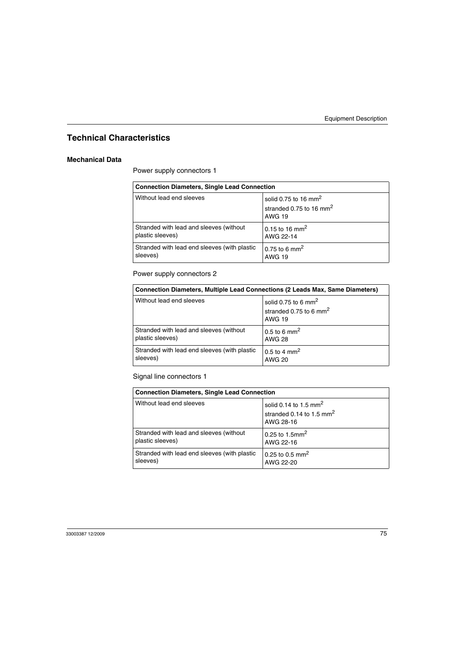# **Technical Characteristics**

#### **Mechanical Data**

Power supply connectors 1

| <b>Connection Diameters, Single Lead Connection</b> |                                                                                          |
|-----------------------------------------------------|------------------------------------------------------------------------------------------|
| Without lead end sleeves                            | solid 0.75 to 16 mm <sup>2</sup><br>stranded 0.75 to 16 mm <sup>2</sup><br><b>AWG 19</b> |
| Stranded with lead and sleeves (without             | 0.15 to 16 mm <sup>2</sup>                                                               |
| plastic sleeves)                                    | AWG 22-14                                                                                |
| Stranded with lead end sleeves (with plastic        | 0.75 to 6 mm <sup>2</sup>                                                                |
| sleeves)                                            | <b>AWG 19</b>                                                                            |

Power supply connectors 2

| <b>Connection Diameters, Multiple Lead Connections (2 Leads Max, Same Diameters)</b> |                                                                                        |
|--------------------------------------------------------------------------------------|----------------------------------------------------------------------------------------|
| Without lead end sleeves                                                             | solid 0.75 to 6 mm <sup>2</sup><br>stranded 0.75 to 6 mm <sup>2</sup><br><b>AWG 19</b> |
| Stranded with lead and sleeves (without                                              | 0.5 to 6 mm <sup>2</sup>                                                               |
| plastic sleeves)                                                                     | <b>AWG 28</b>                                                                          |
| Stranded with lead end sleeves (with plastic                                         | $0.5$ to 4 mm <sup>2</sup>                                                             |
| sleeves)                                                                             | <b>AWG 20</b>                                                                          |

Signal line connectors 1

| <b>Connection Diameters, Single Lead Connection</b> |                                                                              |
|-----------------------------------------------------|------------------------------------------------------------------------------|
| Without lead end sleeves                            | solid 0.14 to 1.5 mm <sup>2</sup><br>stranded 0.14 to 1.5 $mm2$<br>AWG 28-16 |
| Stranded with lead and sleeves (without             | 0.25 to 1.5mm <sup>2</sup>                                                   |
| plastic sleeves)                                    | AWG 22-16                                                                    |
| Stranded with lead end sleeves (with plastic        | 0.25 to 0.5 mm <sup>2</sup>                                                  |
| sleeves)                                            | AWG 22-20                                                                    |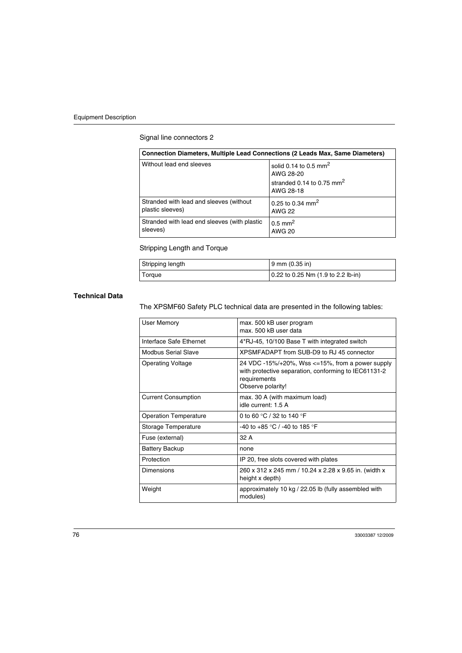# Signal line connectors 2

| Connection Diameters, Multiple Lead Connections (2 Leads Max, Same Diameters) |                                                |
|-------------------------------------------------------------------------------|------------------------------------------------|
| Without lead end sleeves                                                      | solid 0.14 to 0.5 mm <sup>2</sup><br>AWG 28-20 |
|                                                                               | stranded 0.14 to 0.75 $mm2$<br>AWG 28-18       |
| Stranded with lead and sleeves (without<br>plastic sleeves)                   | 0.25 to 0.34 mm <sup>2</sup><br><b>AWG 22</b>  |
| Stranded with lead end sleeves (with plastic<br>sleeves)                      | $0.5$ mm <sup>2</sup><br><b>AWG 20</b>         |

# Stripping Length and Torque

| Stripping length | 9 mm (0.35 in)                         |
|------------------|----------------------------------------|
| Torque           | $0.22$ to 0.25 Nm $(1.9$ to 2.2 lb-in) |

# **Technical Data**

The XPSMF60 Safety PLC technical data are presented in the following tables:

| max. 500 kB user program<br>max. 500 kB user data                                                                                             |
|-----------------------------------------------------------------------------------------------------------------------------------------------|
| 4*RJ-45, 10/100 Base T with integrated switch                                                                                                 |
| XPSMFADAPT from SUB-D9 to BJ 45 connector                                                                                                     |
| 24 VDC -15%/+20%, Wss <=15%, from a power supply<br>with protective separation, conforming to IEC61131-2<br>requirements<br>Observe polarity! |
| max. 30 A (with maximum load)<br>idle current: 1.5 A                                                                                          |
| 0 to 60 °C / 32 to 140 °F                                                                                                                     |
| -40 to +85 °C / -40 to 185 °F                                                                                                                 |
| 32 A                                                                                                                                          |
| none                                                                                                                                          |
| IP 20, free slots covered with plates                                                                                                         |
| 260 x 312 x 245 mm / 10.24 x 2.28 x 9.65 in. (width x<br>height x depth)                                                                      |
| approximately 10 kg / 22.05 lb (fully assembled with<br>modules)                                                                              |
|                                                                                                                                               |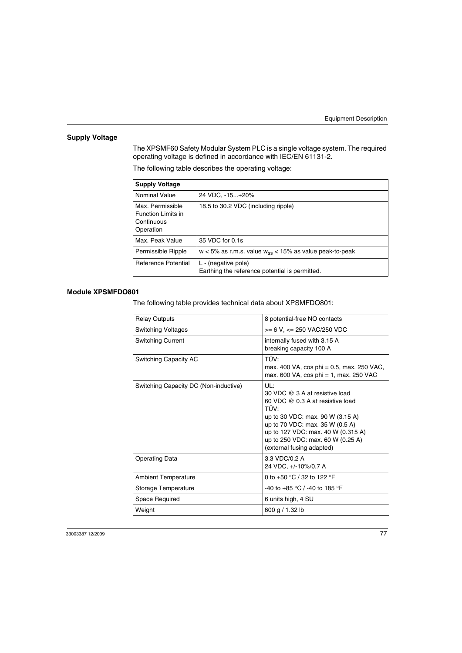## **Supply Voltage**

The XPSMF60 Safety Modular System PLC is a single voltage system. The required operating voltage is defined in accordance with IEC/EN 61131-2.

The following table describes the operating voltage:

| <b>Supply Voltage</b>                                                    |                                                                       |
|--------------------------------------------------------------------------|-----------------------------------------------------------------------|
| Nominal Value                                                            | 24 VDC, -15+20%                                                       |
| Max. Permissible<br><b>Function Limits in</b><br>Continuous<br>Operation | 18.5 to 30.2 VDC (including ripple)                                   |
| Max. Peak Value                                                          | 35 VDC for 0.1s                                                       |
| Permissible Ripple                                                       | $w < 5\%$ as r.m.s. value $w_{ss} < 15\%$ as value peak-to-peak       |
| Reference Potential                                                      | L - (negative pole)<br>Earthing the reference potential is permitted. |

#### **Module XPSMFDO801**

The following table provides technical data about XPSMFDO801:

| <b>Relay Outputs</b>                  | 8 potential-free NO contacts                                                                                                                                                                                                                                     |
|---------------------------------------|------------------------------------------------------------------------------------------------------------------------------------------------------------------------------------------------------------------------------------------------------------------|
| <b>Switching Voltages</b>             | >= 6 V. <= 250 VAC/250 VDC                                                                                                                                                                                                                                       |
| <b>Switching Current</b>              | internally fused with 3.15 A<br>breaking capacity 100 A                                                                                                                                                                                                          |
| Switching Capacity AC                 | TÜV:<br>max. 400 VA, cos phi = 0.5, max. 250 VAC,<br>max. 600 VA, cos phi = 1, max. 250 VAC                                                                                                                                                                      |
| Switching Capacity DC (Non-inductive) | UL:<br>30 VDC @ 3 A at resistive load<br>60 VDC @ 0.3 A at resistive load<br>TÜV:<br>up to 30 VDC: max. 90 W (3.15 A)<br>up to 70 VDC: max. 35 W (0.5 A)<br>up to 127 VDC: max. 40 W (0.315 A)<br>up to 250 VDC: max. 60 W (0.25 A)<br>(external fusing adapted) |
| <b>Operating Data</b>                 | 3.3 VDC/0.2 A<br>24 VDC, +/-10%/0.7 A                                                                                                                                                                                                                            |
| <b>Ambient Temperature</b>            | 0 to +50 $\degree$ C / 32 to 122 $\degree$ F                                                                                                                                                                                                                     |
| Storage Temperature                   | -40 to +85 °C / -40 to 185 °F                                                                                                                                                                                                                                    |
| Space Required                        | 6 units high, 4 SU                                                                                                                                                                                                                                               |
| Weight                                | 600 g $/$ 1.32 lb                                                                                                                                                                                                                                                |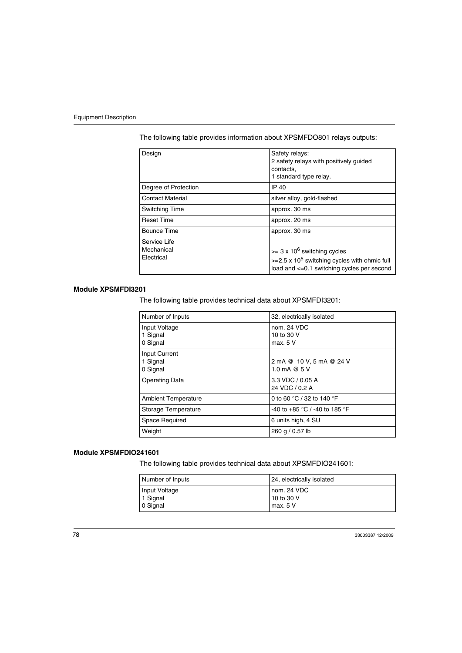| Design                                   | Safety relays:<br>2 safety relays with positively guided<br>contacts,<br>1 standard type relay.                                                   |
|------------------------------------------|---------------------------------------------------------------------------------------------------------------------------------------------------|
| Degree of Protection                     | IP 40                                                                                                                                             |
| <b>Contact Material</b>                  | silver alloy, gold-flashed                                                                                                                        |
| Switching Time                           | approx. 30 ms                                                                                                                                     |
| <b>Reset Time</b>                        | approx. 20 ms                                                                                                                                     |
| Bounce Time                              | approx. 30 ms                                                                                                                                     |
| Service Life<br>Mechanical<br>Electrical | $>= 3 \times 10^6$ switching cycles<br>$>=$ 2.5 x 10 <sup>5</sup> switching cycles with ohmic full<br>load and <= 0.1 switching cycles per second |

The following table provides information about XPSMFDO801 relays outputs:

#### **Module XPSMFDI3201**

The following table provides technical data about XPSMFDI3201:

| Number of Inputs                      | 32, electrically isolated                 |
|---------------------------------------|-------------------------------------------|
| Input Voltage<br>1 Signal<br>0 Signal | nom. 24 VDC<br>10 to 30 V<br>max. 5 V     |
| Input Current<br>1 Signal<br>0 Signal | 2 mA @ 10 V, 5 mA @ 24 V<br>1.0 mA @ $5V$ |
| <b>Operating Data</b>                 | 3.3 VDC / 0.05 A<br>24 VDC / 0.2 A        |
| <b>Ambient Temperature</b>            | 0 to 60 °C / 32 to 140 °F                 |
| Storage Temperature                   | -40 to +85 °C / -40 to 185 °F             |
| Space Required                        | 6 units high, 4 SU                        |
| Weight                                | 260 g / 0.57 lb                           |

#### **Module XPSMFDIO241601**

The following table provides technical data about XPSMFDIO241601:

| Number of Inputs | 24, electrically isolated |
|------------------|---------------------------|
| Input Voltage    | nom. 24 VDC               |
| 1 Signal         | 10 to 30 V                |
| 0 Signal         | max. 5 V                  |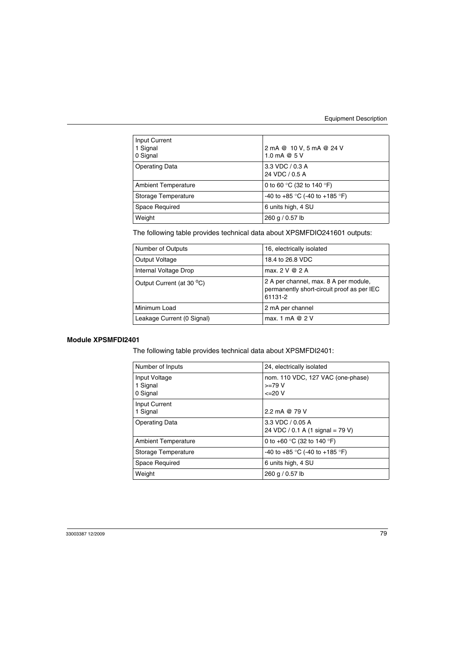| Input Current<br>1 Signal<br>0 Signal | 2 mA @ 10 V, 5 mA @ 24 V<br>1.0 mA @ $5V$ |
|---------------------------------------|-------------------------------------------|
| <b>Operating Data</b>                 | $3.3$ VDC $/$ 0.3 A<br>24 VDC / 0.5 A     |
| <b>Ambient Temperature</b>            | 0 to 60 °C (32 to 140 °F)                 |
| Storage Temperature                   | -40 to +85 °C (-40 to +185 °F)            |
| Space Required                        | 6 units high, 4 SU                        |
| Weight                                | 260 g / 0.57 lb                           |

The following table provides technical data about XPSMFDIO241601 outputs:

| Number of Outputs          | 16, electrically isolated                                                                      |
|----------------------------|------------------------------------------------------------------------------------------------|
| Output Voltage             | 18.4 to 26.8 VDC                                                                               |
| Internal Voltage Drop      | max. $2 \vee \emptyset$ 2 A                                                                    |
| Output Current (at 30 °C)  | 2 A per channel, max. 8 A per module,<br>permanently short-circuit proof as per IEC<br>61131-2 |
| Minimum Load               | 2 mA per channel                                                                               |
| Leakage Current (0 Signal) | max. 1 mA $@$ 2 V                                                                              |

#### **Module XPSMFDI2401**

The following table provides technical data about XPSMFDI2401:

| Number of Inputs                      | 24, electrically isolated                                          |
|---------------------------------------|--------------------------------------------------------------------|
| Input Voltage<br>1 Signal<br>0 Signal | nom. 110 VDC, 127 VAC (one-phase)<br>$>=79 V$<br>$\epsilon = 20$ V |
| Input Current<br>1 Signal             | 2.2 mA @ 79 V                                                      |
| <b>Operating Data</b>                 | 3.3 VDC / 0.05 A<br>24 VDC / 0.1 A (1 signal = 79 V)               |
| <b>Ambient Temperature</b>            | 0 to +60 °C (32 to 140 °F)                                         |
| Storage Temperature                   | -40 to +85 °C (-40 to +185 °F)                                     |
| Space Required                        | 6 units high, 4 SU                                                 |
| Weight                                | 260 g / 0.57 lb                                                    |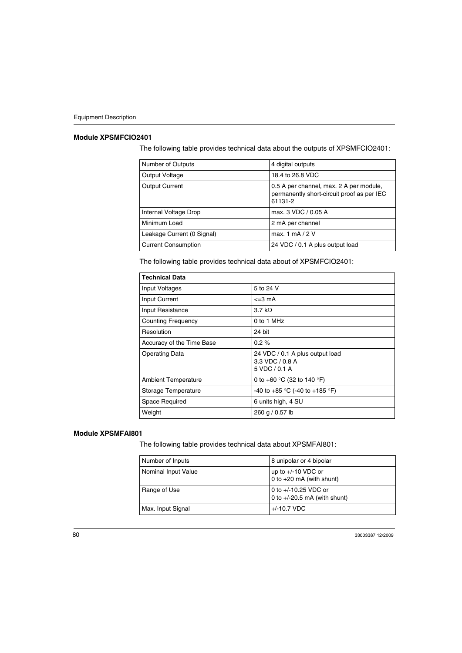#### **Module XPSMFCIO2401**

The following table provides technical data about the outputs of XPSMFCIO2401:

| Number of Outputs          | 4 digital outputs                                                                                |
|----------------------------|--------------------------------------------------------------------------------------------------|
| Output Voltage             | 18.4 to 26.8 VDC                                                                                 |
| <b>Output Current</b>      | 0.5 A per channel, max. 2 A per module,<br>permanently short-circuit proof as per IEC<br>61131-2 |
| Internal Voltage Drop      | max. 3 VDC / 0.05 A                                                                              |
| Minimum Load               | 2 mA per channel                                                                                 |
| Leakage Current (0 Signal) | max. 1 mA $/$ 2 V                                                                                |
| <b>Current Consumption</b> | 24 VDC / 0.1 A plus output load                                                                  |

The following table provides technical data about of XPSMFCIO2401:

| <b>Technical Data</b>      |                                                                     |
|----------------------------|---------------------------------------------------------------------|
| Input Voltages             | 5 to 24 V                                                           |
| Input Current              | $\leq$ 3 mA                                                         |
| Input Resistance           | $3.7 \text{ k}\Omega$                                               |
| <b>Counting Frequency</b>  | 0 to 1 MHz                                                          |
| Resolution                 | 24 bit                                                              |
| Accuracy of the Time Base  | $0.2 \%$                                                            |
| <b>Operating Data</b>      | 24 VDC / 0.1 A plus output load<br>3.3 VDC / 0.8 A<br>5 VDC / 0.1 A |
| <b>Ambient Temperature</b> | 0 to +60 $\degree$ C (32 to 140 $\degree$ F)                        |
| Storage Temperature        | -40 to +85 °C (-40 to +185 °F)                                      |
| Space Required             | 6 units high, 4 SU                                                  |
| Weight                     | 260 g / 0.57 lb                                                     |

#### **Module XPSMFAI801**

The following table provides technical data about XPSMFAI801:

| Number of Inputs    | 8 unipolar or 4 bipolar                                |
|---------------------|--------------------------------------------------------|
| Nominal Input Value | up to $+/-10$ VDC or<br>0 to $+20$ mA (with shunt)     |
| Range of Use        | 0 to +/-10.25 VDC or<br>0 to $+/-20.5$ mA (with shunt) |
| Max. Input Signal   | $+/-10.7$ VDC                                          |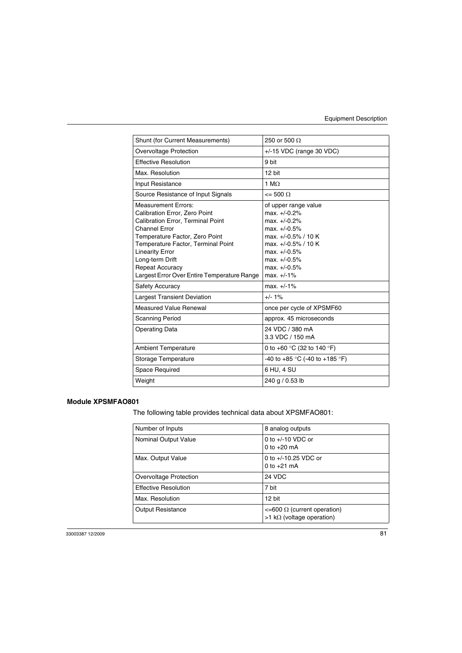| Shunt (for Current Measurements)                                                                                                                                                                                                                                                                                                     | 250 or 500 $\Omega$                                                                                                                                                                      |
|--------------------------------------------------------------------------------------------------------------------------------------------------------------------------------------------------------------------------------------------------------------------------------------------------------------------------------------|------------------------------------------------------------------------------------------------------------------------------------------------------------------------------------------|
| Overvoltage Protection                                                                                                                                                                                                                                                                                                               | +/-15 VDC (range 30 VDC)                                                                                                                                                                 |
| <b>Effective Resolution</b>                                                                                                                                                                                                                                                                                                          | 9 bit                                                                                                                                                                                    |
| Max. Resolution                                                                                                                                                                                                                                                                                                                      | 12 bit                                                                                                                                                                                   |
| Input Resistance                                                                                                                                                                                                                                                                                                                     | 1 $M\Omega$                                                                                                                                                                              |
| Source Resistance of Input Signals                                                                                                                                                                                                                                                                                                   | $\leq$ 500 $\Omega$                                                                                                                                                                      |
| <b>Measurement Errors:</b><br>Calibration Error, Zero Point<br><b>Calibration Error, Terminal Point</b><br><b>Channel Error</b><br>Temperature Factor, Zero Point<br><b>Temperature Factor, Terminal Point</b><br><b>Linearity Error</b><br>Long-term Drift<br><b>Repeat Accuracy</b><br>Largest Error Over Entire Temperature Range | of upper range value<br>$max. +10.2%$<br>$max. +10.2%$<br>$max. +10.5%$<br>max. +/-0.5% / 10 K<br>max. +/-0.5% / 10 K<br>$max. +10.5%$<br>$max. +10.5%$<br>$max. +10.5%$<br>$max. +/-1%$ |
| <b>Safety Accuracy</b>                                                                                                                                                                                                                                                                                                               | $max. +/-1%$                                                                                                                                                                             |
| <b>Largest Transient Deviation</b>                                                                                                                                                                                                                                                                                                   | $+/- 1\%$                                                                                                                                                                                |
| <b>Measured Value Renewal</b>                                                                                                                                                                                                                                                                                                        | once per cycle of XPSMF60                                                                                                                                                                |
| Scanning Period                                                                                                                                                                                                                                                                                                                      | approx. 45 microseconds                                                                                                                                                                  |
| <b>Operating Data</b>                                                                                                                                                                                                                                                                                                                | 24 VDC / 380 mA<br>3.3 VDC / 150 mA                                                                                                                                                      |
| Ambient Temperature                                                                                                                                                                                                                                                                                                                  | 0 to +60 $\degree$ C (32 to 140 $\degree$ F)                                                                                                                                             |
| Storage Temperature                                                                                                                                                                                                                                                                                                                  | -40 to +85 °C (-40 to +185 °F)                                                                                                                                                           |
| Space Required                                                                                                                                                                                                                                                                                                                       | 6 HU, 4 SU                                                                                                                                                                               |
| Weight                                                                                                                                                                                                                                                                                                                               | 240 g / 0.53 lb                                                                                                                                                                          |

### **Module XPSMFAO801**

The following table provides technical data about XPSMFAO801:

| Number of Inputs            | 8 analog outputs                                                                |
|-----------------------------|---------------------------------------------------------------------------------|
| Nominal Output Value        | 0 to $+/-10$ VDC or<br>0 to $+20$ mA                                            |
| Max. Output Value           | 0 to $+/-10.25$ VDC or<br>0 to $+21$ mA                                         |
| Overvoltage Protection      | 24 VDC                                                                          |
| <b>Effective Resolution</b> | 7 bit                                                                           |
| Max. Resolution             | 12 bit                                                                          |
| <b>Output Resistance</b>    | $\leq$ =600 $\Omega$ (current operation)<br>$>1$ k $\Omega$ (voltage operation) |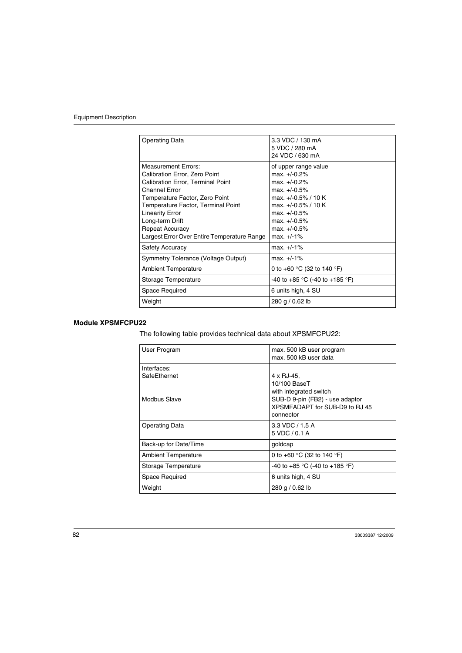| <b>Operating Data</b>                                                                                                                                                                                                                                                                                                  | 3.3 VDC / 130 mA<br>5 VDC / 280 mA<br>24 VDC / 630 mA                                                                                                                                        |
|------------------------------------------------------------------------------------------------------------------------------------------------------------------------------------------------------------------------------------------------------------------------------------------------------------------------|----------------------------------------------------------------------------------------------------------------------------------------------------------------------------------------------|
| Measurement Frrors:<br>Calibration Error, Zero Point<br><b>Calibration Error, Terminal Point</b><br><b>Channel Error</b><br>Temperature Factor, Zero Point<br>Temperature Factor, Terminal Point<br><b>Linearity Error</b><br>Long-term Drift<br><b>Repeat Accuracy</b><br>Largest Error Over Entire Temperature Range | of upper range value<br>$max. +/-0.2%$<br>$max. +1.0.2%$<br>$max. +10.5%$<br>max. +/-0.5% / 10 K<br>max. +/-0.5% / 10 K<br>$max. +/-0.5%$<br>$max. +/-0.5%$<br>$max. +10.5%$<br>$max. +/-1%$ |
| <b>Safety Accuracy</b>                                                                                                                                                                                                                                                                                                 | $max. +/-1\%$                                                                                                                                                                                |
| Symmetry Tolerance (Voltage Output)                                                                                                                                                                                                                                                                                    | $max. +/-1\%$                                                                                                                                                                                |
| <b>Ambient Temperature</b>                                                                                                                                                                                                                                                                                             | 0 to +60 $\degree$ C (32 to 140 $\degree$ F)                                                                                                                                                 |
| Storage Temperature                                                                                                                                                                                                                                                                                                    | $-40$ to $+85$ °C (-40 to $+185$ °F)                                                                                                                                                         |
| Space Required                                                                                                                                                                                                                                                                                                         | 6 units high, 4 SU                                                                                                                                                                           |
| Weight                                                                                                                                                                                                                                                                                                                 | 280 g / 0.62 lb                                                                                                                                                                              |

#### **Module XPSMFCPU22**

The following table provides technical data about XPSMFCPU22:

| User Program               | max. 500 kB user program<br>max, 500 kB user data |
|----------------------------|---------------------------------------------------|
| Interfaces:                |                                                   |
| SafeEthernet               | 4 x RJ-45.                                        |
|                            | 10/100 BaseT                                      |
|                            | with integrated switch                            |
| Modbus Slave               | SUB-D 9-pin (FB2) - use adaptor                   |
|                            | XPSMFADAPT for SUB-D9 to RJ 45                    |
|                            | connector                                         |
| <b>Operating Data</b>      | 3.3 VDC / 1.5 A                                   |
|                            | 5 VDC / 0.1 A                                     |
| Back-up for Date/Time      | goldcap                                           |
| <b>Ambient Temperature</b> | 0 to +60 $\degree$ C (32 to 140 $\degree$ F)      |
| Storage Temperature        | -40 to +85 °C (-40 to +185 °F)                    |
| Space Required             | 6 units high, 4 SU                                |
| Weight                     | 280 g / 0.62 lb                                   |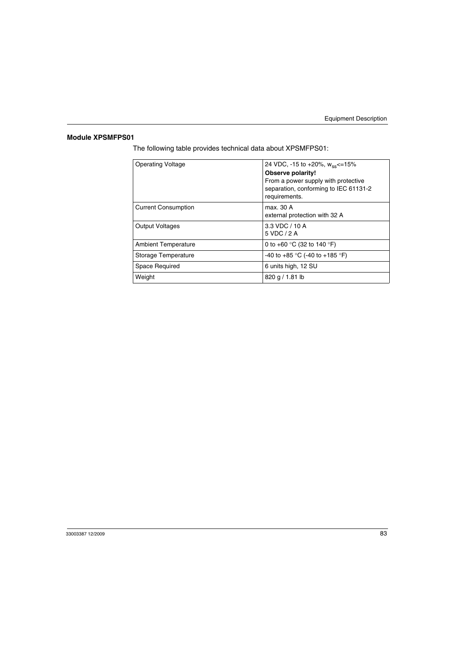# **Module XPSMFPS01**

The following table provides technical data about XPSMFPS01:

| <b>Operating Voltage</b>   | 24 VDC, -15 to +20%, $W_{\text{ss}}$ <=15%                                                    |
|----------------------------|-----------------------------------------------------------------------------------------------|
|                            | Observe polarity!                                                                             |
|                            | From a power supply with protective<br>separation, conforming to IEC 61131-2<br>requirements. |
| <b>Current Consumption</b> | max. 30 A<br>external protection with 32 A                                                    |
| <b>Output Voltages</b>     | 3.3 VDC / 10 A<br>5 VDC / 2 A                                                                 |
| <b>Ambient Temperature</b> | 0 to +60 $\degree$ C (32 to 140 $\degree$ F)                                                  |
| Storage Temperature        | -40 to +85 °C (-40 to +185 °F)                                                                |
| Space Required             | 6 units high, 12 SU                                                                           |
| Weight                     | $820$ g $/ 1.81$ lb                                                                           |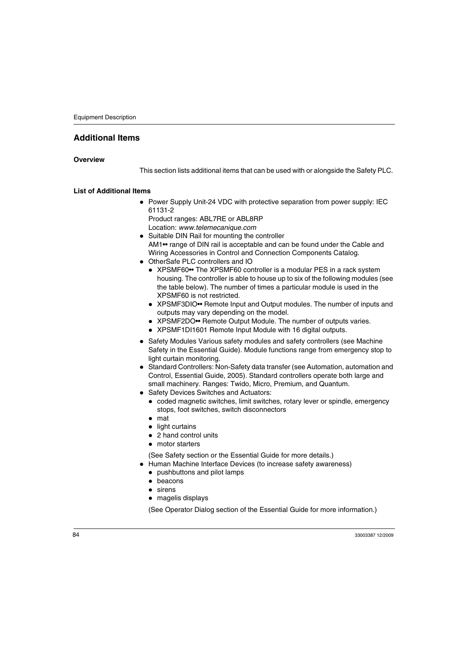# **Additional Items**

#### **Overview**

This section lists additional items that can be used with or alongside the Safety PLC.

#### **List of Additional Items**

• Power Supply Unit-24 VDC with protective separation from power supply: IEC 61131-2 Product ranges: ABL7RE or ABL8RP

Location: *www.telemecanique.com*

- Suitable DIN Rail for mounting the controller AM1•• range of DIN rail is acceptable and can be found under the Cable and Wiring Accessories in Control and Connection Components Catalog.
- OtherSafe PLC controllers and IO
	- XPSMF60•• The XPSMF60 controller is a modular PES in a rack system housing. The controller is able to house up to six of the following modules (see the table below). The number of times a particular module is used in the XPSMF60 is not restricted.
	- XPSMF3DIO•• Remote Input and Output modules. The number of inputs and outputs may vary depending on the model.
	- XPSMF2DO•• Remote Output Module. The number of outputs varies.
	- XPSMF1DI1601 Remote Input Module with 16 digital outputs.
- Safety Modules Various safety modules and safety controllers (see Machine Safety in the Essential Guide). Module functions range from emergency stop to light curtain monitoring.
- Standard Controllers: Non-Safety data transfer (see Automation, automation and Control, Essential Guide, 2005). Standard controllers operate both large and small machinery. Ranges: Twido, Micro, Premium, and Quantum.
- Safety Devices Switches and Actuators:
	- coded magnetic switches, limit switches, rotary lever or spindle, emergency stops, foot switches, switch disconnectors
	- $\bullet$  mat
	- $\bullet$  light curtains
	- 2 hand control units
	- motor starters

(See Safety section or the Essential Guide for more details.)

- Human Machine Interface Devices (to increase safety awareness)
	- pushbuttons and pilot lamps
	- beacons
	- $\bullet$  sirens
	- magelis displays

(See Operator Dialog section of the Essential Guide for more information.)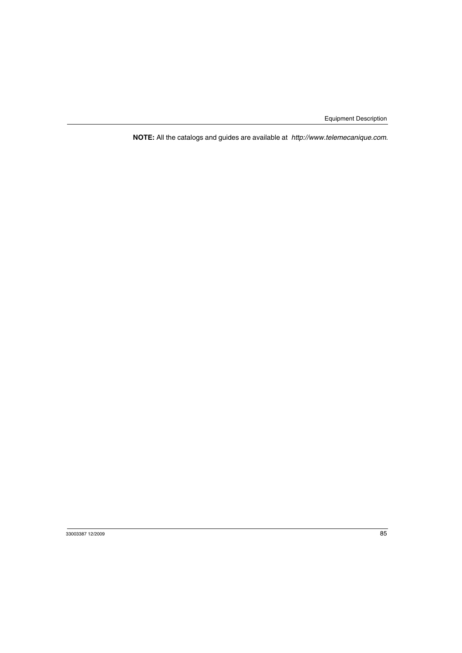**NOTE:** All the catalogs and guides are available at *http://www.telemecanique.com*.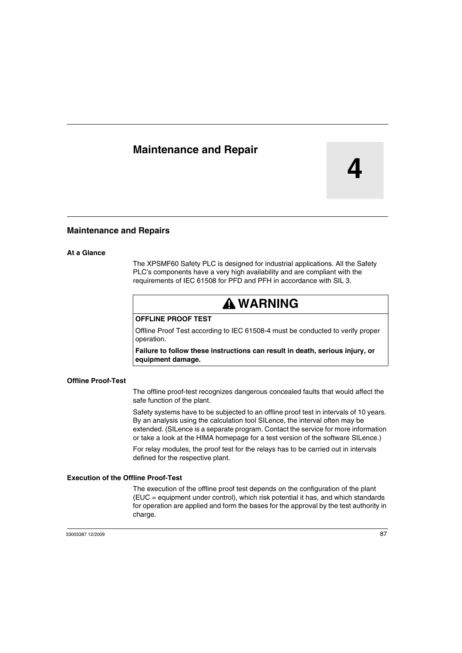# **Maintenance and Repair**

**4**

## **Maintenance and Repairs**

#### **At a Glance**

The XPSMF60 Safety PLC is designed for industrial applications. All the Safety PLC's components have a very high availability and are compliant with the requirements of IEC 61508 for PFD and PFH in accordance with SIL 3.

# **WARNING**

#### **OFFLINE PROOF TEST**

Offline Proof Test according to IEC 61508-4 must be conducted to verify proper operation.

**Failure to follow these instructions can result in death, serious injury, or equipment damage.**

#### **Offline Proof-Test**

The offline proof-test recognizes dangerous concealed faults that would affect the safe function of the plant.

Safety systems have to be subjected to an offline proof test in intervals of 10 years. By an analysis using the calculation tool SILence, the interval often may be extended. (SILence is a separate program. Contact the service for more information or take a look at the HIMA homepage for a test version of the software SILence.)

For relay modules, the proof test for the relays has to be carried out in intervals defined for the respective plant.

#### **Execution of the Offline Proof-Test**

The execution of the offline proof test depends on the configuration of the plant (EUC = equipment under control), which risk potential it has, and which standards for operation are applied and form the bases for the approval by the test authority in charge.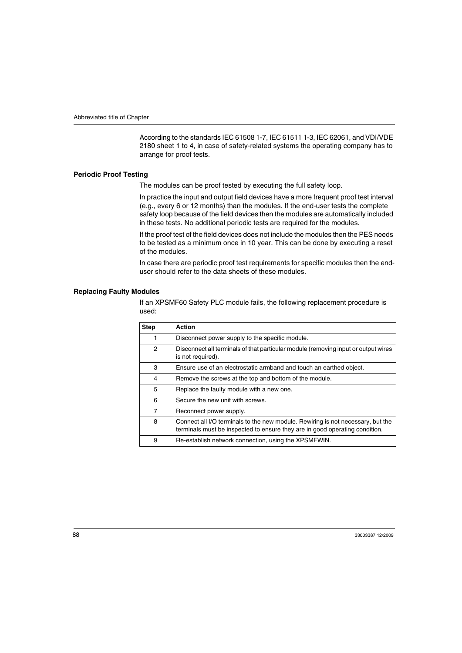According to the standards IEC 61508 1-7, IEC 61511 1-3, IEC 62061, and VDI/VDE 2180 sheet 1 to 4, in case of safety-related systems the operating company has to arrange for proof tests.

#### **Periodic Proof Testing**

The modules can be proof tested by executing the full safety loop.

In practice the input and output field devices have a more frequent proof test interval (e.g., every 6 or 12 months) than the modules. If the end-user tests the complete safety loop because of the field devices then the modules are automatically included in these tests. No additional periodic tests are required for the modules.

If the proof test of the field devices does not include the modules then the PES needs to be tested as a minimum once in 10 year. This can be done by executing a reset of the modules.

In case there are periodic proof test requirements for specific modules then the enduser should refer to the data sheets of these modules.

#### **Replacing Faulty Modules**

If an XPSMF60 Safety PLC module fails, the following replacement procedure is used:

| <b>Step</b> | Action                                                                                                                                                         |
|-------------|----------------------------------------------------------------------------------------------------------------------------------------------------------------|
|             | Disconnect power supply to the specific module.                                                                                                                |
| 2           | Disconnect all terminals of that particular module (removing input or output wires<br>is not required).                                                        |
| 3           | Ensure use of an electrostatic armband and touch an earthed object.                                                                                            |
| 4           | Remove the screws at the top and bottom of the module.                                                                                                         |
| 5           | Replace the faulty module with a new one.                                                                                                                      |
| 6           | Secure the new unit with screws.                                                                                                                               |
| 7           | Reconnect power supply.                                                                                                                                        |
| 8           | Connect all I/O terminals to the new module. Rewiring is not necessary, but the<br>terminals must be inspected to ensure they are in good operating condition. |
| 9           | Re-establish network connection, using the XPSMFWIN.                                                                                                           |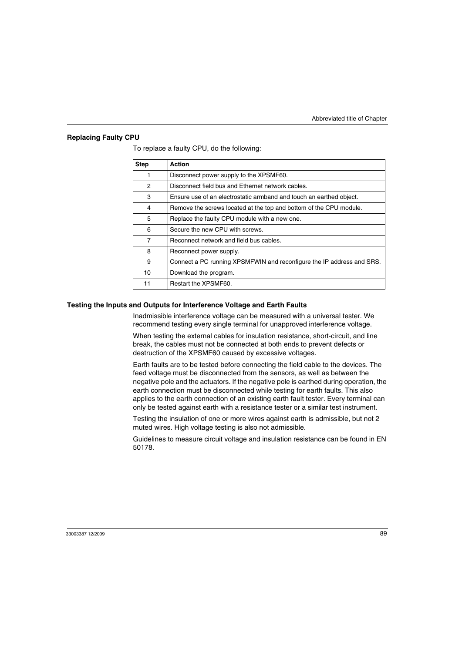#### **Replacing Faulty CPU**

| <b>Step</b>    | <b>Action</b>                                                         |
|----------------|-----------------------------------------------------------------------|
| 1              | Disconnect power supply to the XPSMF60.                               |
| 2              | Disconnect field bus and Ethernet network cables.                     |
| 3              | Ensure use of an electrostatic armband and touch an earthed object.   |
| 4              | Remove the screws located at the top and bottom of the CPU module.    |
| 5              | Replace the faulty CPU module with a new one.                         |
| 6              | Secure the new CPU with screws.                                       |
| $\overline{7}$ | Reconnect network and field bus cables.                               |
| 8              | Reconnect power supply.                                               |
| 9              | Connect a PC running XPSMFWIN and reconfigure the IP address and SRS. |
| 10             | Download the program.                                                 |
| 11             | Restart the XPSMF60.                                                  |

To replace a faulty CPU, do the following:

#### **Testing the Inputs and Outputs for Interference Voltage and Earth Faults**

Inadmissible interference voltage can be measured with a universal tester. We recommend testing every single terminal for unapproved interference voltage.

When testing the external cables for insulation resistance, short-circuit, and line break, the cables must not be connected at both ends to prevent defects or destruction of the XPSMF60 caused by excessive voltages.

Earth faults are to be tested before connecting the field cable to the devices. The feed voltage must be disconnected from the sensors, as well as between the negative pole and the actuators. If the negative pole is earthed during operation, the earth connection must be disconnected while testing for earth faults. This also applies to the earth connection of an existing earth fault tester. Every terminal can only be tested against earth with a resistance tester or a similar test instrument.

Testing the insulation of one or more wires against earth is admissible, but not 2 muted wires. High voltage testing is also not admissible.

Guidelines to measure circuit voltage and insulation resistance can be found in EN 50178.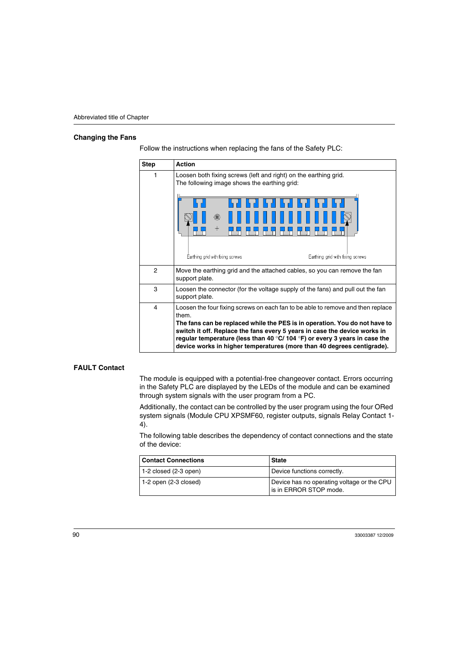#### **Changing the Fans**

| <b>Step</b> | <b>Action</b>                                                                                                                                                                                                                                                                                                                                                                                                                 |
|-------------|-------------------------------------------------------------------------------------------------------------------------------------------------------------------------------------------------------------------------------------------------------------------------------------------------------------------------------------------------------------------------------------------------------------------------------|
| 1           | Loosen both fixing screws (left and right) on the earthing grid.<br>The following image shows the earthing grid:<br>$\pm$<br>Earthing grid with fixing screws<br>Earthing grid with fixing screws                                                                                                                                                                                                                             |
| 2           | Move the earthing grid and the attached cables, so you can remove the fan<br>support plate.                                                                                                                                                                                                                                                                                                                                   |
| 3           | Loosen the connector (for the voltage supply of the fans) and pull out the fan<br>support plate.                                                                                                                                                                                                                                                                                                                              |
| 4           | Loosen the four fixing screws on each fan to be able to remove and then replace<br>them.<br>The fans can be replaced while the PES is in operation. You do not have to<br>switch it off. Replace the fans every 5 years in case the device works in<br>regular temperature (less than 40 $\degree$ C/ 104 $\degree$ F) or every 3 years in case the<br>device works in higher temperatures (more than 40 degrees centigrade). |

Follow the instructions when replacing the fans of the Safety PLC:

#### **FAULT Contact**

The module is equipped with a potential-free changeover contact. Errors occurring in the Safety PLC are displayed by the LEDs of the module and can be examined through system signals with the user program from a PC.

Additionally, the contact can be controlled by the user program using the four ORed system signals (Module CPU XPSMF60, register outputs, signals Relay Contact 1- 4).

The following table describes the dependency of contact connections and the state of the device:

| <b>Contact Connections</b> | <b>State</b>                                                         |
|----------------------------|----------------------------------------------------------------------|
| $1-2$ closed (2-3 open)    | Device functions correctly.                                          |
| $1-2$ open (2-3 closed)    | Device has no operating voltage or the CPU<br>is in ERROR STOP mode. |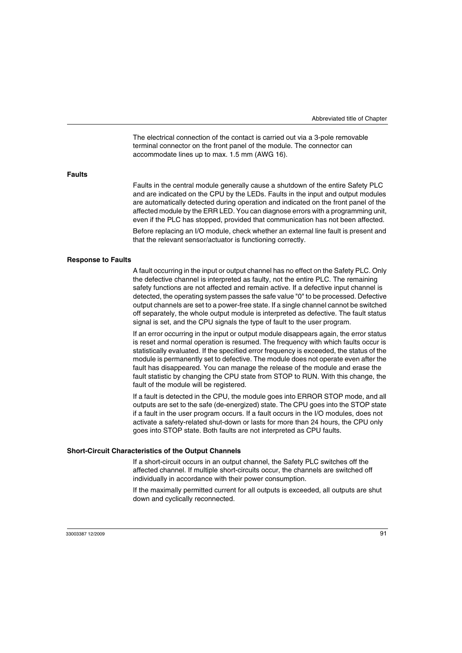The electrical connection of the contact is carried out via a 3-pole removable terminal connector on the front panel of the module. The connector can accommodate lines up to max. 1.5 mm (AWG 16).

#### **Faults**

Faults in the central module generally cause a shutdown of the entire Safety PLC and are indicated on the CPU by the LEDs. Faults in the input and output modules are automatically detected during operation and indicated on the front panel of the affected module by the ERR LED. You can diagnose errors with a programming unit, even if the PLC has stopped, provided that communication has not been affected.

Before replacing an I/O module, check whether an external line fault is present and that the relevant sensor/actuator is functioning correctly.

#### **Response to Faults**

A fault occurring in the input or output channel has no effect on the Safety PLC. Only the defective channel is interpreted as faulty, not the entire PLC. The remaining safety functions are not affected and remain active. If a defective input channel is detected, the operating system passes the safe value "0" to be processed. Defective output channels are set to a power-free state. If a single channel cannot be switched off separately, the whole output module is interpreted as defective. The fault status signal is set, and the CPU signals the type of fault to the user program.

If an error occurring in the input or output module disappears again, the error status is reset and normal operation is resumed. The frequency with which faults occur is statistically evaluated. If the specified error frequency is exceeded, the status of the module is permanently set to defective. The module does not operate even after the fault has disappeared. You can manage the release of the module and erase the fault statistic by changing the CPU state from STOP to RUN. With this change, the fault of the module will be registered.

If a fault is detected in the CPU, the module goes into ERROR STOP mode, and all outputs are set to the safe (de-energized) state. The CPU goes into the STOP state if a fault in the user program occurs. If a fault occurs in the I/O modules, does not activate a safety-related shut-down or lasts for more than 24 hours, the CPU only goes into STOP state. Both faults are not interpreted as CPU faults.

#### **Short-Circuit Characteristics of the Output Channels**

If a short-circuit occurs in an output channel, the Safety PLC switches off the affected channel. If multiple short-circuits occur, the channels are switched off individually in accordance with their power consumption.

If the maximally permitted current for all outputs is exceeded, all outputs are shut down and cyclically reconnected.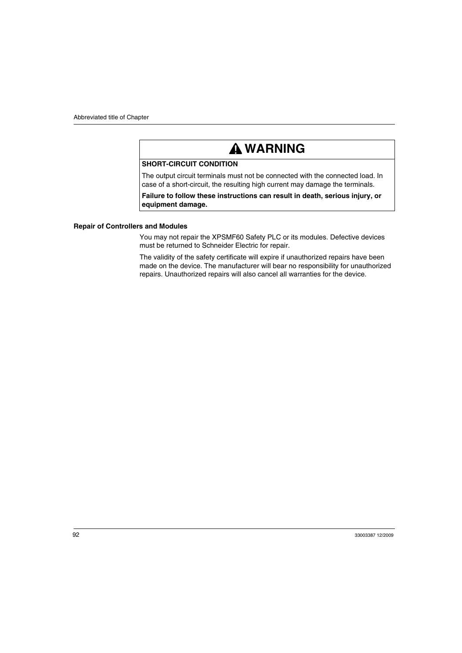# **WARNING**

# **SHORT-CIRCUIT CONDITION**

The output circuit terminals must not be connected with the connected load. In case of a short-circuit, the resulting high current may damage the terminals.

**Failure to follow these instructions can result in death, serious injury, or equipment damage.**

#### **Repair of Controllers and Modules**

You may not repair the XPSMF60 Safety PLC or its modules. Defective devices must be returned to Schneider Electric for repair.

The validity of the safety certificate will expire if unauthorized repairs have been made on the device. The manufacturer will bear no responsibility for unauthorized repairs. Unauthorized repairs will also cancel all warranties for the device.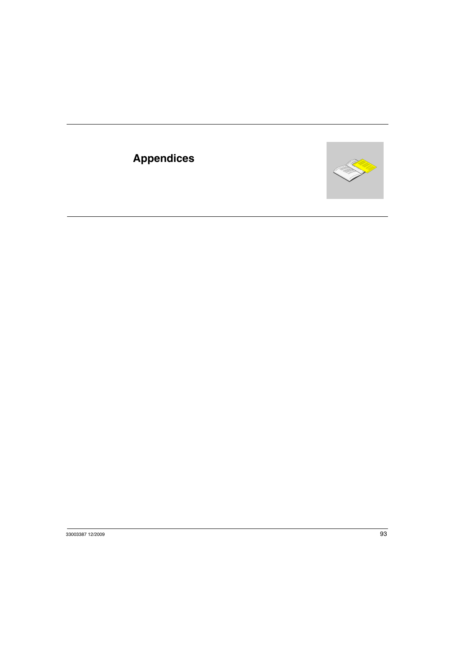# **Appendices**

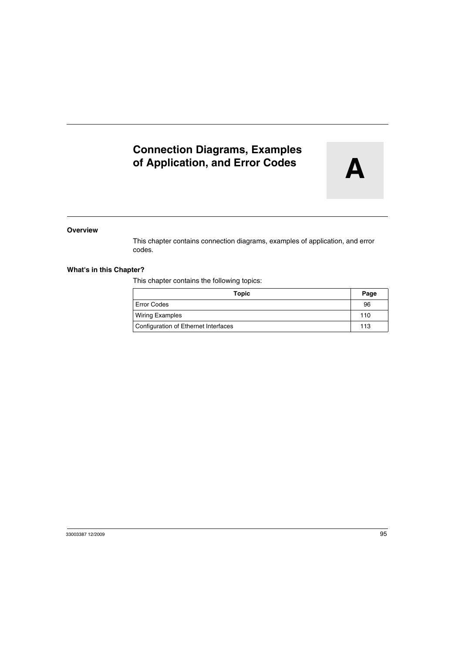# **Connection Diagrams, Examples of Application, and Error Codes**

#### **Overview**

This chapter contains connection diagrams, examples of application, and error codes.

## **What's in this Chapter?**

This chapter contains the following topics:

| Topic                                | Page |
|--------------------------------------|------|
| <b>Error Codes</b>                   | 96   |
| <b>Wiring Examples</b>               | 110  |
| Configuration of Ethernet Interfaces | 113  |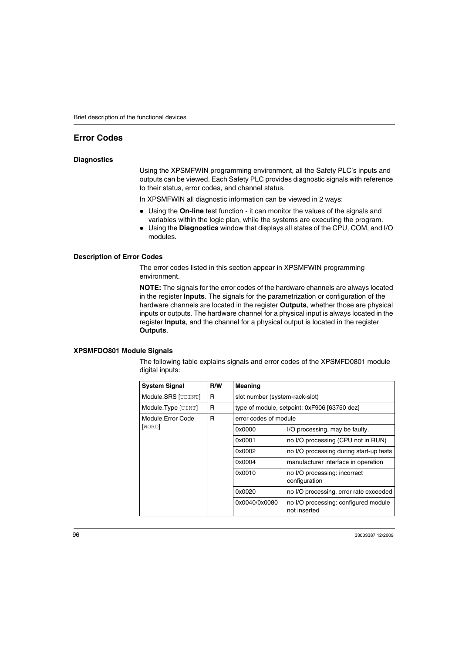# <span id="page-95-0"></span>**Error Codes**

#### **Diagnostics**

Using the XPSMFWIN programming environment, all the Safety PLC's inputs and outputs can be viewed. Each Safety PLC provides diagnostic signals with reference to their status, error codes, and channel status.

In XPSMFWIN all diagnostic information can be viewed in 2 ways:

- Using the **On-line** test function it can monitor the values of the signals and variables within the logic plan, while the systems are executing the program.
- $\bullet$  Using the **Diagnostics** window that displays all states of the CPU, COM, and I/O modules.

#### **Description of Error Codes**

The error codes listed in this section appear in XPSMFWIN programming environment.

**NOTE:** The signals for the error codes of the hardware channels are always located in the register **Inputs**. The signals for the parametrization or configuration of the hardware channels are located in the register **Outputs**, whether those are physical inputs or outputs. The hardware channel for a physical input is always located in the register **Inputs**, and the channel for a physical output is located in the register **Outputs**.

#### **XPSMFDO801 Module Signals**

The following table explains signals and error codes of the XPSMFD0801 module digital inputs:

| <b>System Signal</b> | R/W | <b>Meaning</b>                               |                                                      |
|----------------------|-----|----------------------------------------------|------------------------------------------------------|
| Module.SRS [UDINT]   | R   | slot number (system-rack-slot)               |                                                      |
| Module.Type [UINT]   | R   | type of module, setpoint: 0xF906 [63750 dez] |                                                      |
| Module.Error Code    | R   | error codes of module                        |                                                      |
| [WORD]               |     | 0x0000                                       | I/O processing, may be faulty.                       |
|                      |     | 0x0001                                       | no I/O processing (CPU not in RUN)                   |
|                      |     | 0x0002                                       | no I/O processing during start-up tests              |
|                      |     | 0x0004                                       | manufacturer interface in operation                  |
|                      |     | 0x0010                                       | no I/O processing: incorrect<br>configuration        |
|                      |     | 0x0020                                       | no I/O processing, error rate exceeded               |
|                      |     | 0x0040/0x0080                                | no I/O processing: configured module<br>not inserted |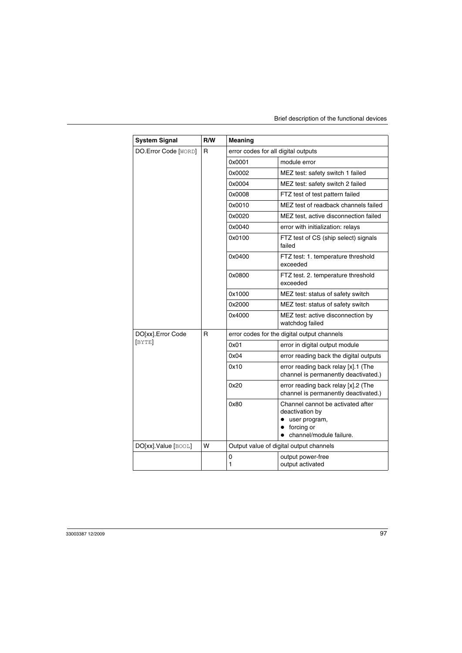| <b>System Signal</b> | R/W | Meaning                                     |                                                                                                                             |
|----------------------|-----|---------------------------------------------|-----------------------------------------------------------------------------------------------------------------------------|
| DO.Error Code [WORD] | R   | error codes for all digital outputs         |                                                                                                                             |
|                      |     | 0x0001                                      | module error                                                                                                                |
|                      |     | 0x0002                                      | MEZ test: safety switch 1 failed                                                                                            |
|                      |     | 0x0004                                      | MEZ test: safety switch 2 failed                                                                                            |
|                      |     | 0x0008                                      | FTZ test of test pattern failed                                                                                             |
|                      |     | 0x0010                                      | MEZ test of readback channels failed                                                                                        |
|                      |     | 0x0020                                      | MEZ test, active disconnection failed                                                                                       |
|                      |     | 0x0040                                      | error with initialization: relays                                                                                           |
|                      |     | 0x0100                                      | FTZ test of CS (ship select) signals<br>failed                                                                              |
|                      |     | 0x0400                                      | FTZ test: 1. temperature threshold<br>exceeded                                                                              |
|                      |     | 0x0800                                      | FTZ test. 2. temperature threshold<br>exceeded                                                                              |
|                      |     | 0x1000                                      | MEZ test: status of safety switch                                                                                           |
|                      |     | 0x2000                                      | MEZ test: status of safety switch                                                                                           |
|                      |     | 0x4000                                      | MEZ test: active disconnection by<br>watchdog failed                                                                        |
| DO[xx].Error Code    | R   | error codes for the digital output channels |                                                                                                                             |
| [BYTE]               |     | 0x01                                        | error in digital output module                                                                                              |
|                      |     | 0x04                                        | error reading back the digital outputs                                                                                      |
|                      |     | 0x10                                        | error reading back relay [x].1 (The<br>channel is permanently deactivated.)                                                 |
|                      |     | 0x20                                        | error reading back relay [x].2 (The<br>channel is permanently deactivated.)                                                 |
|                      |     | 0x80                                        | Channel cannot be activated after<br>deactivation by<br>user program,<br>forcing or<br>channel/module failure.<br>$\bullet$ |
| DO[xx].Value [BOOL]  | W   |                                             | Output value of digital output channels                                                                                     |
|                      |     | 0<br>1                                      | output power-free<br>output activated                                                                                       |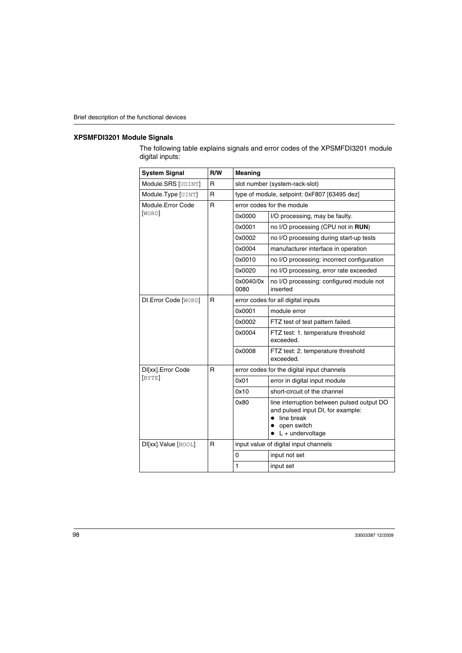#### **XPSMFDI3201 Module Signals**

The following table explains signals and error codes of the XPSMFDI3201 module digital inputs:

| <b>System Signal</b>        | R/W | <b>Meaning</b>                               |                                                                                                                                    |  |
|-----------------------------|-----|----------------------------------------------|------------------------------------------------------------------------------------------------------------------------------------|--|
| Module.SRS [UDINT]          | R   | slot number (system-rack-slot)               |                                                                                                                                    |  |
| Module.Type [UINT]          | R   | type of module, setpoint: 0xF807 [63495 dez] |                                                                                                                                    |  |
| Module.Error Code           | R   | error codes for the module                   |                                                                                                                                    |  |
| [WORD]                      |     | 0x0000                                       | I/O processing, may be faulty.                                                                                                     |  |
|                             |     | 0x0001                                       | no I/O processing (CPU not in RUN)                                                                                                 |  |
|                             |     | 0x0002                                       | no I/O processing during start-up tests                                                                                            |  |
|                             |     | 0x0004                                       | manufacturer interface in operation                                                                                                |  |
|                             |     | 0x0010                                       | no I/O processing: incorrect configuration                                                                                         |  |
|                             |     | 0x0020                                       | no I/O processing, error rate exceeded                                                                                             |  |
|                             |     | 0x0040/0x<br>0080                            | no I/O processing: configured module not<br>inserted                                                                               |  |
| <b>DI.Error Code [WORD]</b> | R   | error codes for all digital inputs           |                                                                                                                                    |  |
|                             |     | 0x0001                                       | module error                                                                                                                       |  |
|                             |     | 0x0002                                       | FTZ test of test pattern failed.                                                                                                   |  |
|                             |     | 0x0004                                       | FTZ test: 1. temperature threshold<br>exceeded.                                                                                    |  |
|                             |     | 0x0008                                       | FTZ test: 2. temperature threshold<br>exceeded.                                                                                    |  |
| DI[xx]. Error Code          | R   |                                              | error codes for the digital input channels                                                                                         |  |
| [BYTE]                      |     | 0x01                                         | error in digital input module                                                                                                      |  |
|                             |     | 0x10                                         | short-circuit of the channel                                                                                                       |  |
|                             |     | 0x80                                         | line interruption between pulsed output DO<br>and pulsed input DI, for example:<br>line break<br>open switch<br>$L +$ undervoltage |  |
| DI[xx].Value [BOOL]         | R   | input value of digital input channels        |                                                                                                                                    |  |
|                             |     | 0                                            | input not set                                                                                                                      |  |
|                             |     | 1                                            | input set                                                                                                                          |  |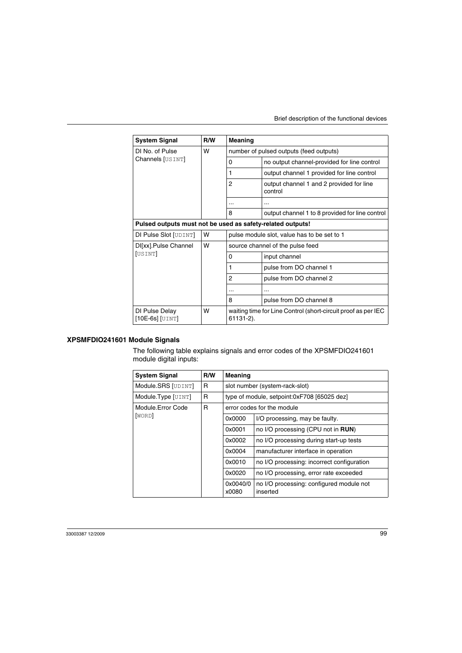| <b>System Signal</b>                  | R/W | Meaning                                                                    |                                                     |
|---------------------------------------|-----|----------------------------------------------------------------------------|-----------------------------------------------------|
| DI No. of Pulse                       | W   | number of pulsed outputs (feed outputs)                                    |                                                     |
| Channels [USINT]                      |     | 0                                                                          | no output channel-provided for line control         |
|                                       |     | 1                                                                          | output channel 1 provided for line control          |
|                                       |     | $\overline{2}$                                                             | output channel 1 and 2 provided for line<br>control |
|                                       |     | $\ddotsc$                                                                  | $\cdots$                                            |
|                                       |     | 8                                                                          | output channel 1 to 8 provided for line control     |
|                                       |     | Pulsed outputs must not be used as safety-related outputs!                 |                                                     |
| DI Pulse Slot [UDINT]                 | W   | pulse module slot, value has to be set to 1                                |                                                     |
| DI[xx].Pulse Channel                  | W   | source channel of the pulse feed                                           |                                                     |
| [USINT]                               |     | 0                                                                          | input channel                                       |
|                                       |     | 1                                                                          | pulse from DO channel 1                             |
|                                       |     | 2                                                                          | pulse from DO channel 2                             |
|                                       |     | $\cdots$                                                                   | $\ddotsc$                                           |
|                                       |     | 8                                                                          | pulse from DO channel 8                             |
| DI Pulse Delay<br>$[10E-6s]$ $[UINT]$ | W   | waiting time for Line Control (short-circuit proof as per IEC<br>61131-2). |                                                     |

# **XPSMFDIO241601 Module Signals**

The following table explains signals and error codes of the XPSMFDIO241601 module digital inputs:

| <b>System Signal</b> | R/W    | Meaning                                    |                                                      |  |  |
|----------------------|--------|--------------------------------------------|------------------------------------------------------|--|--|
| Module.SRS [UDINT]   | R      |                                            | slot number (system-rack-slot)                       |  |  |
| Module.Type [UINT]   | R      |                                            | type of module, setpoint:0xF708 [65025 dez]          |  |  |
| Module.Error Code    | R      |                                            | error codes for the module                           |  |  |
| [WORD]               |        | 0x0000                                     | I/O processing, may be faulty.                       |  |  |
|                      |        | 0x0001                                     | no I/O processing (CPU not in <b>RUN)</b>            |  |  |
|                      |        | 0x0002                                     | no I/O processing during start-up tests              |  |  |
|                      |        | 0x0004                                     | manufacturer interface in operation                  |  |  |
|                      | 0x0010 | no I/O processing: incorrect configuration |                                                      |  |  |
|                      | 0x0020 | no I/O processing, error rate exceeded     |                                                      |  |  |
|                      |        | 0x0040/0<br>x0080                          | no I/O processing: configured module not<br>inserted |  |  |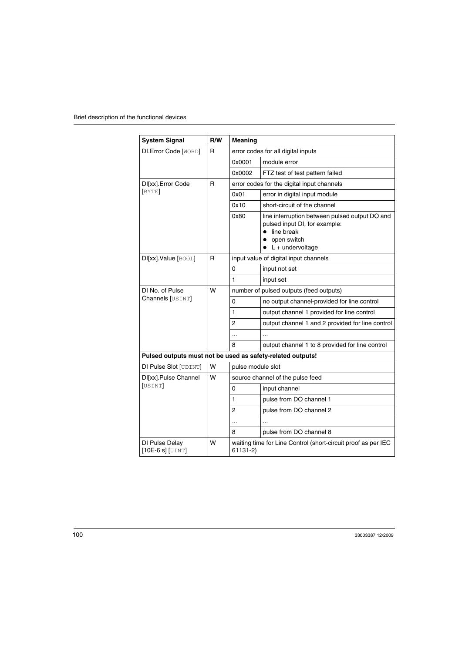| <b>System Signal</b>                                       | R/W | <b>Meaning</b>                                                            |                                                                                                                                    |  |  |
|------------------------------------------------------------|-----|---------------------------------------------------------------------------|------------------------------------------------------------------------------------------------------------------------------------|--|--|
| <b>DI.Error Code [WORD]</b>                                | R   |                                                                           | error codes for all digital inputs                                                                                                 |  |  |
|                                                            |     | 0x0001                                                                    | module error                                                                                                                       |  |  |
|                                                            |     | 0x0002                                                                    | FTZ test of test pattern failed                                                                                                    |  |  |
| DI[xx].Error Code                                          | R   |                                                                           | error codes for the digital input channels                                                                                         |  |  |
| [BYTE]                                                     |     | 0x01                                                                      | error in digital input module                                                                                                      |  |  |
|                                                            |     | 0x10                                                                      | short-circuit of the channel                                                                                                       |  |  |
|                                                            |     | 0x80                                                                      | line interruption between pulsed output DO and<br>pulsed input DI, for example:<br>line break<br>open switch<br>$L +$ undervoltage |  |  |
| DI[xx].Value [BOOL]                                        | R   |                                                                           | input value of digital input channels                                                                                              |  |  |
|                                                            |     | 0                                                                         | input not set                                                                                                                      |  |  |
|                                                            |     | 1                                                                         | input set                                                                                                                          |  |  |
| DI No. of Pulse                                            | w   |                                                                           | number of pulsed outputs (feed outputs)                                                                                            |  |  |
| Channels [USINT]                                           |     | 0                                                                         | no output channel-provided for line control                                                                                        |  |  |
|                                                            |     | 1                                                                         | output channel 1 provided for line control                                                                                         |  |  |
|                                                            |     | 2                                                                         | output channel 1 and 2 provided for line control                                                                                   |  |  |
|                                                            |     | $\ddotsc$                                                                 | .                                                                                                                                  |  |  |
|                                                            |     | 8                                                                         | output channel 1 to 8 provided for line control                                                                                    |  |  |
| Pulsed outputs must not be used as safety-related outputs! |     |                                                                           |                                                                                                                                    |  |  |
| DI Pulse Slot [UDINT]                                      | W   | pulse module slot                                                         |                                                                                                                                    |  |  |
| DI[xx].Pulse Channel                                       | W   |                                                                           | source channel of the pulse feed                                                                                                   |  |  |
| [USINT]                                                    |     | input channel<br>0                                                        |                                                                                                                                    |  |  |
|                                                            |     | 1                                                                         | pulse from DO channel 1                                                                                                            |  |  |
|                                                            |     | 2                                                                         | pulse from DO channel 2                                                                                                            |  |  |
|                                                            |     | $\ddotsc$                                                                 |                                                                                                                                    |  |  |
|                                                            |     | 8                                                                         | pulse from DO channel 8                                                                                                            |  |  |
| DI Pulse Delay<br>$[10E-6s]$ [UINT]                        | w   | waiting time for Line Control (short-circuit proof as per IEC<br>61131-2) |                                                                                                                                    |  |  |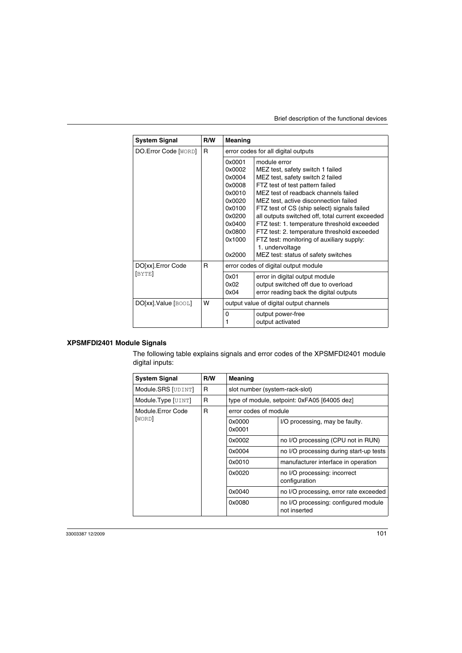| <b>System Signal</b>  | R/W | Meaning                                                                                                              |                                                                                                                                                                                                                                                                                                                                                                                                                                                                                                                  |
|-----------------------|-----|----------------------------------------------------------------------------------------------------------------------|------------------------------------------------------------------------------------------------------------------------------------------------------------------------------------------------------------------------------------------------------------------------------------------------------------------------------------------------------------------------------------------------------------------------------------------------------------------------------------------------------------------|
| DO.Error Code [WORD]  | R   | error codes for all digital outputs                                                                                  |                                                                                                                                                                                                                                                                                                                                                                                                                                                                                                                  |
|                       |     | 0x0001<br>0x0002<br>0x0004<br>0x0008<br>0x0010<br>0x0020<br>0x0100<br>0x0200<br>0x0400<br>0x0800<br>0x1000<br>0x2000 | module error<br>MEZ test, safety switch 1 failed<br>MEZ test, safety switch 2 failed<br>FTZ test of test pattern failed<br>MEZ test of readback channels failed<br>MEZ test, active disconnection failed<br>FTZ test of CS (ship select) signals failed<br>all outputs switched off, total current exceeded<br>FTZ test: 1. temperature threshold exceeded<br>FTZ test: 2. temperature threshold exceeded<br>FTZ test: monitoring of auxiliary supply:<br>1. undervoltage<br>MEZ test: status of safety switches |
| DO[xx].Error Code     | R   |                                                                                                                      | error codes of digital output module                                                                                                                                                                                                                                                                                                                                                                                                                                                                             |
| [BYTE]                |     | 0x01<br>0x02<br>0x04                                                                                                 | error in digital output module<br>output switched off due to overload<br>error reading back the digital outputs                                                                                                                                                                                                                                                                                                                                                                                                  |
| $DO[xx].Value$ [BOOL] | W   | output value of digital output channels                                                                              |                                                                                                                                                                                                                                                                                                                                                                                                                                                                                                                  |
|                       |     | $\Omega$<br>1                                                                                                        | output power-free<br>output activated                                                                                                                                                                                                                                                                                                                                                                                                                                                                            |

# **XPSMFDI2401 Module Signals**

The following table explains signals and error codes of the XPSMFDI2401 module digital inputs:

| <b>System Signal</b> | R/W | <b>Meaning</b>                               |                                                      |
|----------------------|-----|----------------------------------------------|------------------------------------------------------|
| Module.SRS [UDINT]   | R   | slot number (system-rack-slot)               |                                                      |
| Module.Type [UINT]   | R   | type of module, setpoint: 0xFA05 [64005 dez] |                                                      |
| Module Frror Code    | R   | error codes of module                        |                                                      |
| [WORD]               |     | 0x0000<br>0x0001                             | I/O processing, may be faulty.                       |
|                      |     | 0x0002                                       | no I/O processing (CPU not in RUN)                   |
|                      |     | 0x0004                                       | no I/O processing during start-up tests              |
|                      |     | 0x0010                                       | manufacturer interface in operation                  |
|                      |     | 0x0020                                       | no I/O processing: incorrect<br>configuration        |
|                      |     | 0x0040                                       | no I/O processing, error rate exceeded               |
|                      |     | 0x0080                                       | no I/O processing: configured module<br>not inserted |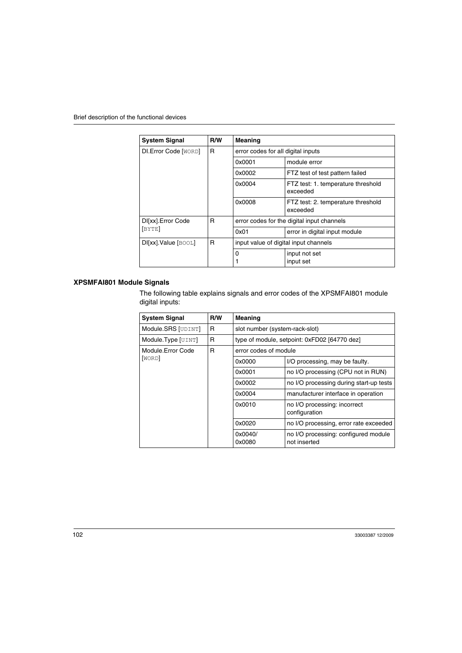| <b>System Signal</b>        | R/W | Meaning                                    |                                                |
|-----------------------------|-----|--------------------------------------------|------------------------------------------------|
| <b>DI.Error Code [WORD]</b> | R   | error codes for all digital inputs         |                                                |
|                             |     | 0x0001                                     | module error                                   |
|                             |     | 0x0002                                     | FTZ test of test pattern failed                |
|                             |     | 0x0004                                     | FTZ test: 1. temperature threshold<br>exceeded |
|                             |     | 0x0008                                     | FTZ test: 2. temperature threshold<br>exceeded |
| DI[xx]. Error Code          | R   | error codes for the digital input channels |                                                |
| [BYTE]                      |     | 0x01                                       | error in digital input module                  |
| R<br>DI[xx].Value [BOOL]    |     | input value of digital input channels      |                                                |
|                             |     | 0                                          | input not set<br>input set                     |

# **XPSMFAI801 Module Signals**

The following table explains signals and error codes of the XPSMFAI801 module digital inputs:

| <b>System Signal</b> | R/W | <b>Meaning</b>                               |                                                      |
|----------------------|-----|----------------------------------------------|------------------------------------------------------|
| Module.SRS [UDINT]   | R   | slot number (system-rack-slot)               |                                                      |
| Module.Type [UINT]   | R   | type of module, setpoint: 0xFD02 [64770 dez] |                                                      |
| Module.Error Code    | R   | error codes of module                        |                                                      |
| [WORD]               |     | 0x0000                                       | I/O processing, may be faulty.                       |
|                      |     | 0x0001                                       | no I/O processing (CPU not in RUN)                   |
|                      |     | 0x0002                                       | no I/O processing during start-up tests              |
|                      |     | 0x0004                                       | manufacturer interface in operation                  |
|                      |     | 0x0010                                       | no I/O processing: incorrect<br>configuration        |
|                      |     | 0x0020                                       | no I/O processing, error rate exceeded               |
|                      |     | 0x0040/<br>0x0080                            | no I/O processing: configured module<br>not inserted |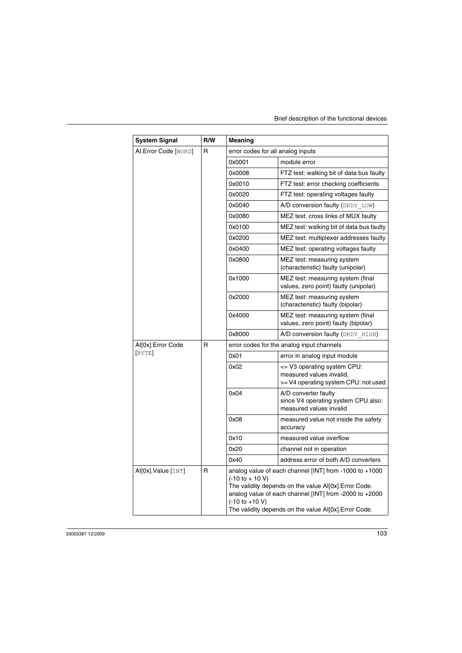| <b>System Signal</b> | R/W | Meaning                                                                 |                                                                                                                                                                                                                                      |
|----------------------|-----|-------------------------------------------------------------------------|--------------------------------------------------------------------------------------------------------------------------------------------------------------------------------------------------------------------------------------|
| AI.Error Code [WORD] | R   | error codes for all analog inputs                                       |                                                                                                                                                                                                                                      |
|                      |     | 0x0001                                                                  | module error                                                                                                                                                                                                                         |
|                      |     | 0x0008                                                                  | FTZ test: walking bit of data bus faulty                                                                                                                                                                                             |
|                      |     | 0x0010                                                                  | FTZ test: error checking coefficients                                                                                                                                                                                                |
|                      |     | 0x0020                                                                  | FTZ test: operating voltages faulty                                                                                                                                                                                                  |
|                      |     | 0x0040                                                                  | A/D conversion faulty (DRDY LOW)                                                                                                                                                                                                     |
|                      |     | 0x0080                                                                  | MEZ test: cross links of MUX faulty                                                                                                                                                                                                  |
|                      |     | 0x0100                                                                  | MEZ test: walking bit of data bus faulty                                                                                                                                                                                             |
|                      |     | 0x0200                                                                  | MEZ test: multiplexer addresses faulty                                                                                                                                                                                               |
|                      |     | 0x0400                                                                  | MEZ test: operating voltages faulty                                                                                                                                                                                                  |
|                      |     | 0x0800                                                                  | MEZ test: measuring system<br>(characteristic) faulty (unipolar)                                                                                                                                                                     |
|                      |     | 0x1000                                                                  | MEZ test: measuring system (final<br>values, zero point) faulty (unipolar)                                                                                                                                                           |
|                      |     | 0x2000                                                                  | MEZ test: measuring system<br>(characteristic) faulty (bipolar)                                                                                                                                                                      |
|                      |     | 0x4000                                                                  | MEZ test: measuring system (final<br>values, zero point) faulty (bipolar)                                                                                                                                                            |
|                      |     | 0x8000                                                                  | A/D conversion faulty (DRDY HIGH)                                                                                                                                                                                                    |
| Al[0x].Error Code    | R   |                                                                         | error codes for the analog input channels                                                                                                                                                                                            |
| [BYTE]               |     | 0x01                                                                    | error in analog input module                                                                                                                                                                                                         |
|                      |     | 0x02                                                                    | <= V3 operating system CPU:<br>measured values invalid,<br>>= V4 operating system CPU: not used                                                                                                                                      |
|                      |     | 0x04                                                                    | A/D converter faulty<br>since V4 operating system CPU also:<br>measured values invalid                                                                                                                                               |
|                      |     | 0x08                                                                    | measured value not inside the safety<br>accuracy                                                                                                                                                                                     |
|                      |     | 0x10                                                                    | measured value overflow                                                                                                                                                                                                              |
|                      |     | 0x20                                                                    | channel not in operation                                                                                                                                                                                                             |
|                      |     | 0x40                                                                    | address error of both A/D converters                                                                                                                                                                                                 |
| Al[0x].Value [INT]   | R   | $(-10 \text{ to } + 10 \text{ V})$<br>$(-10 \text{ to } +10 \text{ V})$ | analog value of each channel [INT] from -1000 to $+1000$<br>The validity depends on the value Al[0x]. Error Code.<br>analog value of each channel [INT] from -2000 to +2000<br>The validity depends on the value Al[0x]. Error Code. |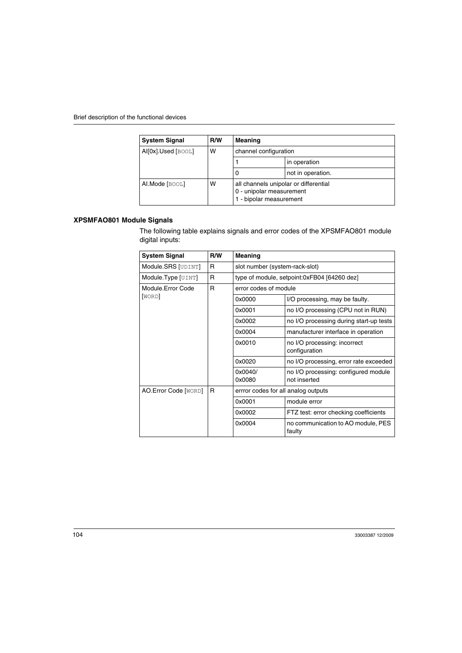| <b>System Signal</b> | <b>R/W</b> | Meaning                                                                                      |                   |
|----------------------|------------|----------------------------------------------------------------------------------------------|-------------------|
| Al[0x].Used [BOOL]   | w          | channel configuration                                                                        |                   |
|                      |            |                                                                                              | in operation      |
|                      |            | 0                                                                                            | not in operation. |
| Al.Mode [BOOL]       | w          | all channels unipolar or differential<br>0 - unipolar measurement<br>1 - bipolar measurement |                   |

# **XPSMFAO801 Module Signals**

The following table explains signals and error codes of the XPSMFAO801 module digital inputs:

| <b>System Signal</b> | R/W | Meaning                                     |                                                      |
|----------------------|-----|---------------------------------------------|------------------------------------------------------|
| Module.SRS [UDINT]   | R   | slot number (system-rack-slot)              |                                                      |
| Module.Type [UINT]   | R   | type of module, setpoint:0xFB04 [64260 dez] |                                                      |
| Module.Error Code    | R   | error codes of module                       |                                                      |
| [WORD]               |     | 0x0000                                      | I/O processing, may be faulty.                       |
|                      |     | 0x0001                                      | no I/O processing (CPU not in RUN)                   |
|                      |     | 0x0002                                      | no I/O processing during start-up tests              |
|                      |     | 0x0004                                      | manufacturer interface in operation                  |
|                      |     | 0x0010                                      | no I/O processing: incorrect<br>configuration        |
|                      |     | 0x0020                                      | no I/O processing, error rate exceeded               |
|                      |     | 0x0040/<br>0x0080                           | no I/O processing: configured module<br>not inserted |
| AO.Error Code [WORD] | R   | errror codes for all analog outputs         |                                                      |
|                      |     | 0x0001                                      | module error                                         |
|                      |     | 0x0002                                      | FTZ test: error checking coefficients                |
|                      |     | 0x0004                                      | no communication to AO module, PES<br>faulty         |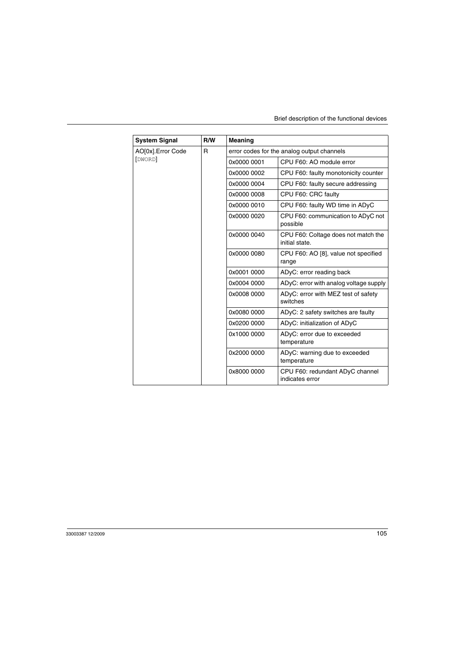| <b>System Signal</b> | R/W | Meaning     |                                                       |
|----------------------|-----|-------------|-------------------------------------------------------|
| AO[0x]. Error Code   | R   |             | error codes for the analog output channels            |
| [DWORD]              |     | 0x0000 0001 | CPU F60: AO module error                              |
|                      |     | 0x0000 0002 | CPU F60: faulty monotonicity counter                  |
|                      |     | 0x0000 0004 | CPU F60: faulty secure addressing                     |
|                      |     | 0x0000 0008 | CPU F60: CRC faulty                                   |
|                      |     | 0x0000 0010 | CPU F60: faulty WD time in ADyC                       |
|                      |     | 0x0000 0020 | CPU F60: communication to ADyC not<br>possible        |
|                      |     | 0x0000 0040 | CPU F60: Coltage does not match the<br>initial state. |
|                      |     | 0x0000 0080 | CPU F60: AO [8], value not specified<br>range         |
|                      |     | 0x0001 0000 | ADyC: error reading back                              |
|                      |     | 0x0004 0000 | ADyC: error with analog voltage supply                |
|                      |     | 0x0008 0000 | ADyC: error with MEZ test of safety<br>switches       |
|                      |     | 0x0080 0000 | ADyC: 2 safety switches are faulty                    |
|                      |     | 0x0200 0000 | ADyC: initialization of ADyC                          |
|                      |     | 0x1000 0000 | ADyC: error due to exceeded<br>temperature            |
|                      |     | 0x2000 0000 | ADyC: warning due to exceeded<br>temperature          |
|                      |     | 0x8000 0000 | CPU F60: redundant ADyC channel<br>indicates error    |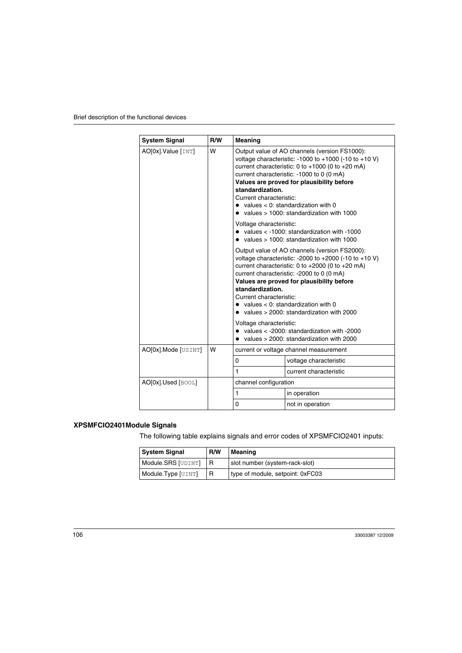| <b>System Signal</b> | R/W | Meaning                                                                                                                                                                                                                                                                                                                                                                                                                                                                                                                                      |                        |
|----------------------|-----|----------------------------------------------------------------------------------------------------------------------------------------------------------------------------------------------------------------------------------------------------------------------------------------------------------------------------------------------------------------------------------------------------------------------------------------------------------------------------------------------------------------------------------------------|------------------------|
| AO[0x].Value [INT]   | W   | Output value of AO channels (version FS1000):<br>voltage characteristic: -1000 to +1000 (-10 to +10 V)<br>current characteristic: 0 to $+1000$ (0 to $+20$ mA)<br>current characteristic: -1000 to 0 (0 mA)<br>Values are proved for plausibility before<br>standardization.<br>Current characteristic:<br>$\bullet$ values < 0: standardization with 0<br>$\bullet$ values > 1000; standardization with 1000<br>Voltage characteristic:<br>$\bullet$ values < -1000: standardization with -1000<br>values > 1000: standardization with 1000 |                        |
|                      |     |                                                                                                                                                                                                                                                                                                                                                                                                                                                                                                                                              |                        |
|                      |     | Output value of AO channels (version FS2000):<br>voltage characteristic: - 2000 to +2000 (-10 to +10 V)<br>current characteristic: 0 to $+2000$ (0 to $+20$ mA)<br>current characteristic: -2000 to 0 (0 mA)<br>Values are proved for plausibility before<br>standardization.<br>Current characteristic:<br>$\bullet$ values < 0: standardization with 0<br>$\bullet$ values > 2000: standardization with 2000<br>Voltage characteristic:                                                                                                    |                        |
|                      |     | $\bullet$ values < -2000; standardization with -2000<br>values > 2000: standardization with 2000                                                                                                                                                                                                                                                                                                                                                                                                                                             |                        |
| AO[0x].Mode [USINT]  | W   | current or voltage channel measurement                                                                                                                                                                                                                                                                                                                                                                                                                                                                                                       |                        |
|                      |     | 0                                                                                                                                                                                                                                                                                                                                                                                                                                                                                                                                            | voltage characteristic |
|                      |     | $\mathbf{1}$                                                                                                                                                                                                                                                                                                                                                                                                                                                                                                                                 | current characteristic |
| AO[0x].Used [BOOL]   |     | channel configuration                                                                                                                                                                                                                                                                                                                                                                                                                                                                                                                        |                        |
|                      |     | $\mathbf{1}$                                                                                                                                                                                                                                                                                                                                                                                                                                                                                                                                 | in operation           |
|                      |     | 0                                                                                                                                                                                                                                                                                                                                                                                                                                                                                                                                            | not in operation       |

# **XPSMFCIO2401Module Signals**

The following table explains signals and error codes of XPSMFCIO2401 inputs:

| <b>System Signal</b> | R/W | Meaning                          |
|----------------------|-----|----------------------------------|
| Module.SRS [UDINT]   |     | slot number (system-rack-slot)   |
| Module.Type [UINT]   | R   | type of module, setpoint: 0xFC03 |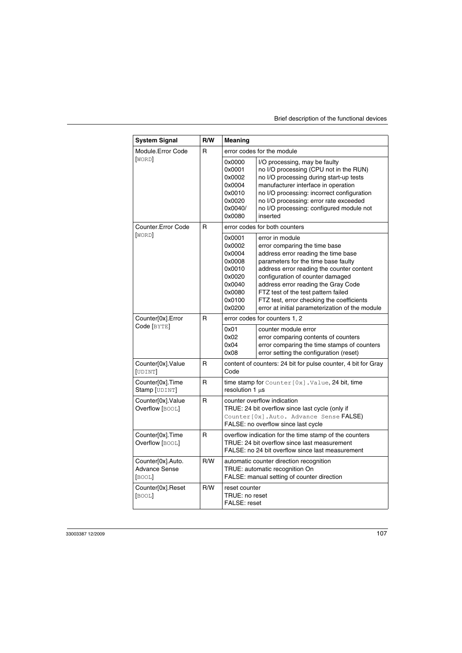| <b>System Signal</b>                                | R/W | Meaning                                                                                                                                                           |                                                                                                                                                                                                                                                                                                                                                                                               |  |
|-----------------------------------------------------|-----|-------------------------------------------------------------------------------------------------------------------------------------------------------------------|-----------------------------------------------------------------------------------------------------------------------------------------------------------------------------------------------------------------------------------------------------------------------------------------------------------------------------------------------------------------------------------------------|--|
| Module.Error Code                                   | R   | error codes for the module                                                                                                                                        |                                                                                                                                                                                                                                                                                                                                                                                               |  |
| [WORD]                                              |     | 0x0000<br>0x0001<br>0x0002<br>0x0004<br>0x0010<br>0x0020<br>0x0040/<br>0x0080                                                                                     | I/O processing, may be faulty<br>no I/O processing (CPU not in the RUN)<br>no I/O processing during start-up tests<br>manufacturer interface in operation<br>no I/O processing: incorrect configuration<br>no I/O processing: error rate exceeded<br>no I/O processing: configured module not<br>inserted                                                                                     |  |
| Counter. Error Code                                 | R   | error codes for both counters                                                                                                                                     |                                                                                                                                                                                                                                                                                                                                                                                               |  |
| [WORD]                                              |     | 0x0001<br>0x0002<br>0x0004<br>0x0008<br>0x0010<br>0x0020<br>0x0040<br>0x0080<br>0x0100<br>0x0200                                                                  | error in module<br>error comparing the time base<br>address error reading the time base<br>parameters for the time base faulty<br>address error reading the counter content<br>configuration of counter damaged<br>address error reading the Gray Code<br>FTZ test of the test pattern failed<br>FTZ test, error checking the coefficients<br>error at initial parameterization of the module |  |
| Counter[0x].Error                                   | R   | error codes for counters 1, 2                                                                                                                                     |                                                                                                                                                                                                                                                                                                                                                                                               |  |
| Code [BYTE]                                         |     | 0x01<br>0x02<br>0x04<br>0x08                                                                                                                                      | counter module error<br>error comparing contents of counters<br>error comparing the time stamps of counters<br>error setting the configuration (reset)                                                                                                                                                                                                                                        |  |
| Counter[0x].Value<br>[UDINT]                        | R   | content of counters: 24 bit for pulse counter, 4 bit for Gray<br>Code                                                                                             |                                                                                                                                                                                                                                                                                                                                                                                               |  |
| Counter[0x].Time<br>Stamp [UDINT]                   | R   | time stamp for $Counter[0x]$ . Value, 24 bit, time<br>resolution 1 µs                                                                                             |                                                                                                                                                                                                                                                                                                                                                                                               |  |
| Counter[0x].Value<br>Overflow [BOOL]                | R   | counter overflow indication<br>TRUE: 24 bit overflow since last cycle (only if<br>Counter [0x]. Auto. Advance Sense FALSE)<br>FALSE: no overflow since last cycle |                                                                                                                                                                                                                                                                                                                                                                                               |  |
| Counter[0x].Time<br>Overflow [BOOL]                 | R   | overflow indication for the time stamp of the counters<br>TRUE: 24 bit overflow since last measurement<br>FALSE: no 24 bit overflow since last measurement        |                                                                                                                                                                                                                                                                                                                                                                                               |  |
| Counter[0x].Auto.<br><b>Advance Sense</b><br>[BOOL] | R/W | automatic counter direction recognition<br>TRUE: automatic recognition On<br>FALSE: manual setting of counter direction                                           |                                                                                                                                                                                                                                                                                                                                                                                               |  |
| Counter[0x].Reset<br>[BOOL]                         | R/W | reset counter<br>TRUE: no reset<br>FALSE: reset                                                                                                                   |                                                                                                                                                                                                                                                                                                                                                                                               |  |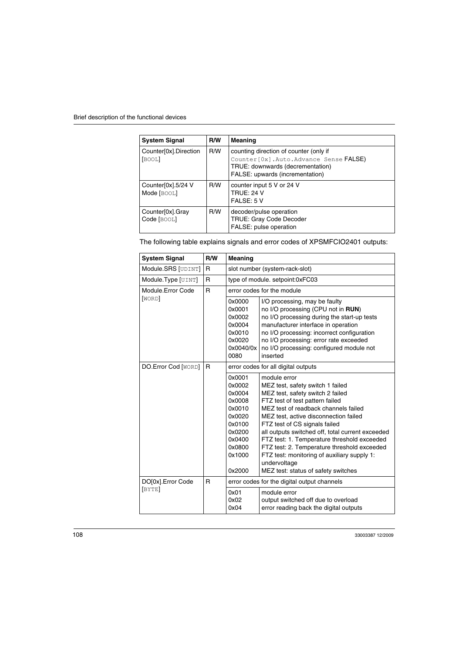| <b>System Signal</b>              | R/W | Meaning                                                                                                                                                           |
|-----------------------------------|-----|-------------------------------------------------------------------------------------------------------------------------------------------------------------------|
| Counter[0x].Direction<br>[BOOL]   | R/W | counting direction of counter (only if<br>Counter [0x]. Auto. Advance Sense <b>FALSE</b> )<br>TRUE: downwards (decrementation)<br>FALSE: upwards (incrementation) |
| Counter[0x].5/24 V<br>Mode [BOOL] | R/W | counter input 5 V or 24 V<br><b>TRUE: 24 V</b><br>FALSE: 5 V                                                                                                      |
| Counter[0x].Gray<br>Code [BOOL]   | R/W | decoder/pulse operation<br><b>TRUE: Gray Code Decoder</b><br>FALSE: pulse operation                                                                               |

The following table explains signals and error codes of XPSMFCIO2401 outputs:

| <b>System Signal</b>         | R/W          | Meaning                                                                                                              |                                                                                                                                                                                                                                                                                                                                                                                                                                                                                                   |
|------------------------------|--------------|----------------------------------------------------------------------------------------------------------------------|---------------------------------------------------------------------------------------------------------------------------------------------------------------------------------------------------------------------------------------------------------------------------------------------------------------------------------------------------------------------------------------------------------------------------------------------------------------------------------------------------|
| Module.SRS [UDINT]           | $\mathsf{R}$ | slot number (system-rack-slot)                                                                                       |                                                                                                                                                                                                                                                                                                                                                                                                                                                                                                   |
| Module.Type [UINT]           | $\mathsf{R}$ | type of module. setpoint:0xFC03                                                                                      |                                                                                                                                                                                                                                                                                                                                                                                                                                                                                                   |
| Module.Error Code            | $\mathsf{R}$ | error codes for the module                                                                                           |                                                                                                                                                                                                                                                                                                                                                                                                                                                                                                   |
| [WORD]                       |              | 0x0000<br>0x0001<br>0x0002<br>0x0004<br>0x0010<br>0x0020<br>0x0040/0x<br>0080                                        | I/O processing, may be faulty<br>no I/O processing (CPU not in RUN)<br>no I/O processing during the start-up tests<br>manufacturer interface in operation<br>no I/O processing: incorrect configuration<br>no I/O processing: error rate exceeded<br>no I/O processing: configured module not<br>inserted                                                                                                                                                                                         |
| DO.Error Cod [WORD]          | R            | error codes for all digital outputs                                                                                  |                                                                                                                                                                                                                                                                                                                                                                                                                                                                                                   |
|                              |              | 0x0001<br>0x0002<br>0x0004<br>0x0008<br>0x0010<br>0x0020<br>0x0100<br>0x0200<br>0x0400<br>0x0800<br>0x1000<br>0x2000 | module error<br>MEZ test, safety switch 1 failed<br>MEZ test, safety switch 2 failed<br>FTZ test of test pattern failed<br>MEZ test of readback channels failed<br>MEZ test, active disconnection failed<br>FTZ test of CS signals failed<br>all outputs switched off, total current exceeded<br>FTZ test: 1. Temperature threshold exceeded<br>FTZ test: 2. Temperature threshold exceeded<br>FTZ test: monitoring of auxiliary supply 1:<br>undervoltage<br>MEZ test: status of safety switches |
| DO[0x]. Error Code<br>[BYTE] | R            | error codes for the digital output channels                                                                          |                                                                                                                                                                                                                                                                                                                                                                                                                                                                                                   |
|                              |              | 0x01<br>0x02<br>0x04                                                                                                 | module error<br>output switched off due to overload<br>error reading back the digital outputs                                                                                                                                                                                                                                                                                                                                                                                                     |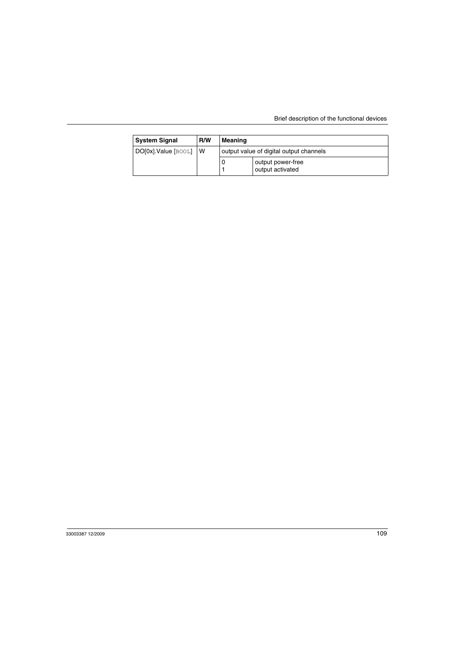| <b>System Signal</b> | R/W | Meaning |                                         |
|----------------------|-----|---------|-----------------------------------------|
| DO[0x].Value [BOOL]  | ı W |         | output value of digital output channels |
|                      |     |         | output power-free<br>output activated   |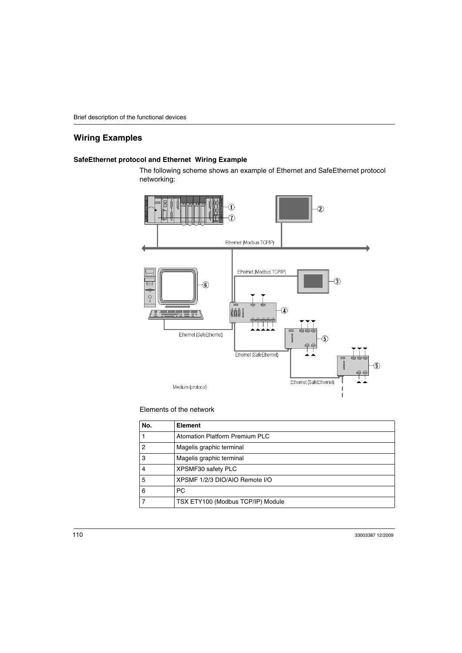#### <span id="page-109-1"></span>**Wiring Examples**

#### <span id="page-109-0"></span>**SafeEthernet protocol and Ethernet Wiring Example**

The following scheme shows an example of Ethernet and SafeEthernet protocol networking:



#### Elements of the network

| No. | Element                           |
|-----|-----------------------------------|
|     | Atomation Platform Premium PLC    |
| 2   | Magelis graphic terminal          |
| 3   | Magelis graphic terminal          |
| 4   | XPSMF30 safety PLC                |
| 5   | XPSMF 1/2/3 DIO/AIO Remote I/O    |
| 6   | <b>PC</b>                         |
|     | TSX ETY100 (Modbus TCP/IP) Module |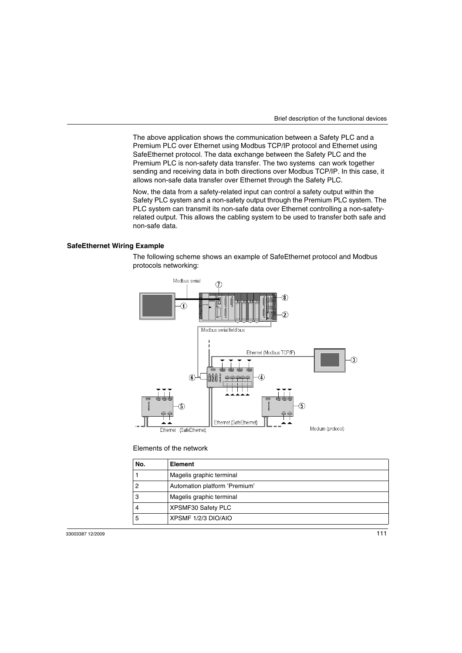The above application shows the communication between a Safety PLC and a Premium PLC over Ethernet using Modbus TCP/IP protocol and Ethernet using SafeEthernet protocol. The data exchange between the Safety PLC and the Premium PLC is non-safety data transfer. The two systems can work together sending and receiving data in both directions over Modbus TCP/IP. In this case, it allows non-safe data transfer over Ethernet through the Safety PLC.

Now, the data from a safety-related input can control a safety output within the Safety PLC system and a non-safety output through the Premium PLC system. The PLC system can transmit its non-safe data over Ethernet controlling a non-safetyrelated output. This allows the cabling system to be used to transfer both safe and non-safe data.

#### <span id="page-110-0"></span>**SafeEthernet Wiring Example**

The following scheme shows an example of SafeEthernet protocol and Modbus protocols networking:



#### Elements of the network

| No. | Element                       |
|-----|-------------------------------|
|     | Magelis graphic terminal      |
|     | Automation platform 'Premium' |
| 3   | Magelis graphic terminal      |
|     | XPSMF30 Safety PLC            |
| 5   | XPSMF 1/2/3 DIO/AIO           |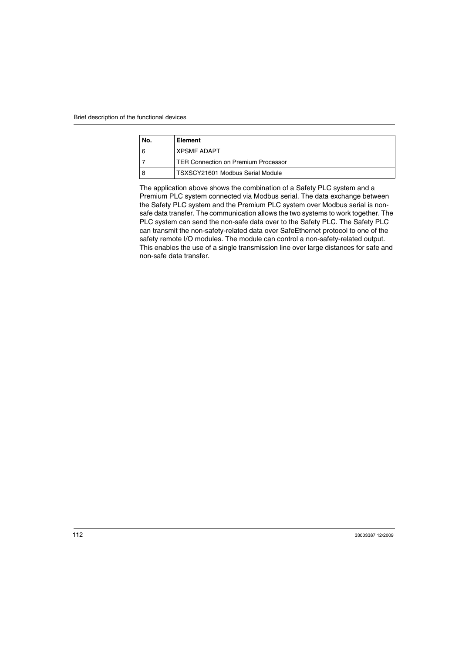| No. | Element                             |
|-----|-------------------------------------|
| 6   | <b>XPSMF ADAPT</b>                  |
|     | TER Connection on Premium Processor |
|     | TSXSCY21601 Modbus Serial Module    |

The application above shows the combination of a Safety PLC system and a Premium PLC system connected via Modbus serial. The data exchange between the Safety PLC system and the Premium PLC system over Modbus serial is nonsafe data transfer. The communication allows the two systems to work together. The PLC system can send the non-safe data over to the Safety PLC. The Safety PLC can transmit the non-safety-related data over SafeEthernet protocol to one of the safety remote I/O modules. The module can control a non-safety-related output. This enables the use of a single transmission line over large distances for safe and non-safe data transfer.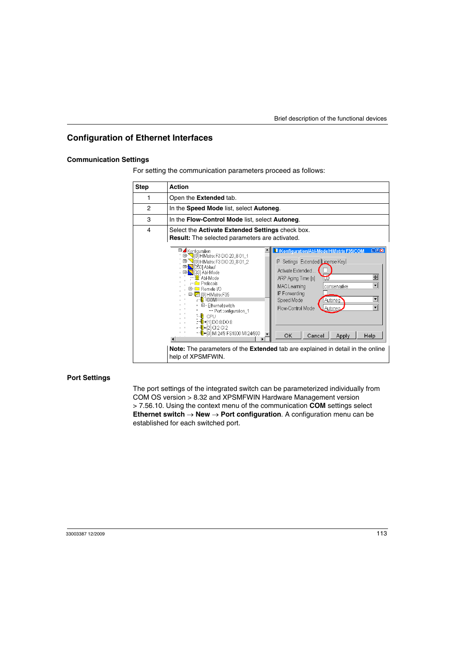#### <span id="page-112-0"></span>**Configuration of Ethernet Interfaces**

#### **Communication Settings**

For setting the communication parameters proceed as follows:

| <b>Step</b> | <b>Action</b>                                                                                                                                                                                                                                                                                                                                                                                                                                                                                                                                                                                                                                                                                                                                                                                                                                                                                                                                                                                      |
|-------------|----------------------------------------------------------------------------------------------------------------------------------------------------------------------------------------------------------------------------------------------------------------------------------------------------------------------------------------------------------------------------------------------------------------------------------------------------------------------------------------------------------------------------------------------------------------------------------------------------------------------------------------------------------------------------------------------------------------------------------------------------------------------------------------------------------------------------------------------------------------------------------------------------------------------------------------------------------------------------------------------------|
|             | Open the <b>Extended</b> tab.                                                                                                                                                                                                                                                                                                                                                                                                                                                                                                                                                                                                                                                                                                                                                                                                                                                                                                                                                                      |
| 2           | In the Speed Mode list, select Autoneg.                                                                                                                                                                                                                                                                                                                                                                                                                                                                                                                                                                                                                                                                                                                                                                                                                                                                                                                                                            |
| 3           | In the Flow-Control Mode list, select Autoneg.                                                                                                                                                                                                                                                                                                                                                                                                                                                                                                                                                                                                                                                                                                                                                                                                                                                                                                                                                     |
| 4           | Select the <b>Activate Extended Settings</b> check box.<br>Result: The selected parameters are activated.                                                                                                                                                                                                                                                                                                                                                                                                                                                                                                                                                                                                                                                                                                                                                                                                                                                                                          |
|             | 同回图<br>El-4 Konfiguration<br>I /Konfiguration/Abl-Mode/HIMatrix F35/COM<br>甲- ◯ [0] HIMatrix F3 DIO 20_8 01_1<br>$\mathbb{H}$ - $\sqrt{0}$ HIMatrix F3 DIO 20 8 01 2<br>IP Settings Extended License Key<br>□ <mark>33</mark> [250] Ablauf<br>Activate Extended<br>田 <mark>- 8 </mark> [33] Abl-Mode<br>÷<br>-- <mark>고</mark> : Abl-Mode<br>ARP Aging Time [s]<br>τū<br><b>E</b> Protocols<br>$ \mathbf{v} $<br>MAC Learning<br>conservative<br>⊞- □ Remote I/O<br>IP Forwarding<br>모- <mark>[경</mark> [0] HIMatrix F35<br>$ \mathbf{v} $<br>-- <mark>I</mark> COM<br>Speed Mode<br>Autoneg<br>EI-Ethernet switch<br>$\vert \mathbf{v} \vert$<br>Flow-Control Mode<br>Autonea<br>-- Port configuration_1<br>-- <mark>N</mark> CPU<br>$-1$ <sup>1</sup> $+11$ DO 8 DO 8<br>-- <mark>[</mark> ]-2 Cl2 Cl2<br>-- <mark>0</mark> +31 MI 24/8 FS1000 MI 24/800<br>OK<br>Cancel<br>Help<br>Apply<br>Note: The parameters of the Extended tab are explained in detail in the online<br>help of XPSMFWIN. |

#### **Port Settings**

The port settings of the integrated switch can be parameterized individually from COM OS version > 8.32 and XPSMFWIN Hardware Management version > 7.56.10. Using the context menu of the communication **COM** settings select **Ethernet switch** → **New** → **Port configuration**. A configuration menu can be established for each switched port.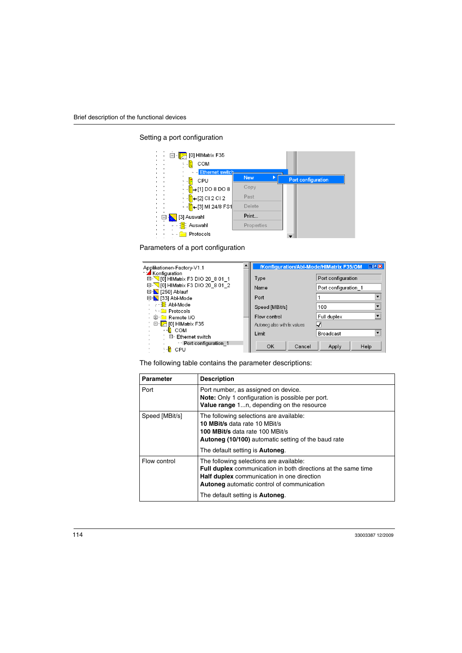Setting a port configuration



Parameters of a port configuration



The following table contains the parameter descriptions:

| Parameter      | <b>Description</b>                                                                                                                                                                                                                                                   |
|----------------|----------------------------------------------------------------------------------------------------------------------------------------------------------------------------------------------------------------------------------------------------------------------|
| Port           | Port number, as assigned on device.<br>Note: Only 1 configuration is possible per port.<br>Value range 1n, depending on the resource                                                                                                                                 |
| Speed [MBit/s] | The following selections are available:<br>10 MBit/s data rate 10 MBit/s<br>100 MBit/s data rate 100 MBit/s<br><b>Autoneg (10/100)</b> automatic setting of the baud rate<br>The default setting is <b>Autoneg</b> .                                                 |
| Flow control   | The following selections are available:<br><b>Full duplex</b> communication in both directions at the same time<br><b>Half duplex</b> communication in one direction<br><b>Autoneg</b> automatic control of communication<br>The default setting is <b>Autoneg</b> . |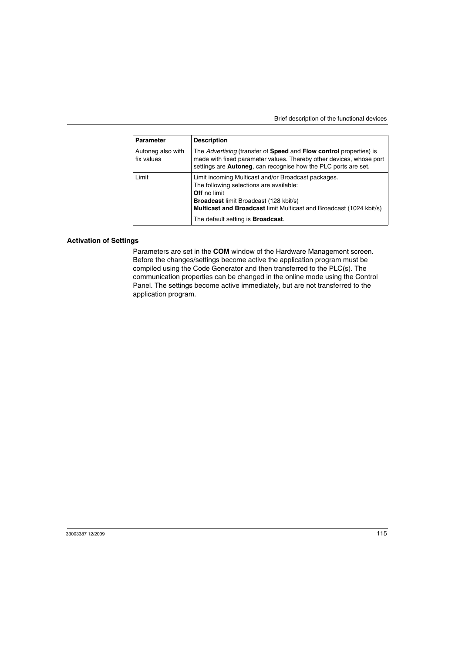| <b>Parameter</b>                | <b>Description</b>                                                                                                                                                                                                                                                                         |
|---------------------------------|--------------------------------------------------------------------------------------------------------------------------------------------------------------------------------------------------------------------------------------------------------------------------------------------|
| Autoneg also with<br>fix values | The Advertising (transfer of <b>Speed</b> and <b>Flow control</b> properties) is<br>made with fixed parameter values. Thereby other devices, whose port<br>settings are <b>Autoneg</b> , can recognise how the PLC ports are set.                                                          |
| Limit                           | Limit incoming Multicast and/or Broadcast packages.<br>The following selections are available:<br><b>Off</b> no limit<br><b>Broadcast limit Broadcast (128 kbit/s)</b><br>Multicast and Broadcast limit Multicast and Broadcast (1024 kbit/s)<br>The default setting is <b>Broadcast</b> . |

#### **Activation of Settings**

Parameters are set in the **COM** window of the Hardware Management screen. Before the changes/settings become active the application program must be compiled using the Code Generator and then transferred to the PLC(s). The communication properties can be changed in the online mode using the Control Panel. The settings become active immediately, but are not transferred to the application program.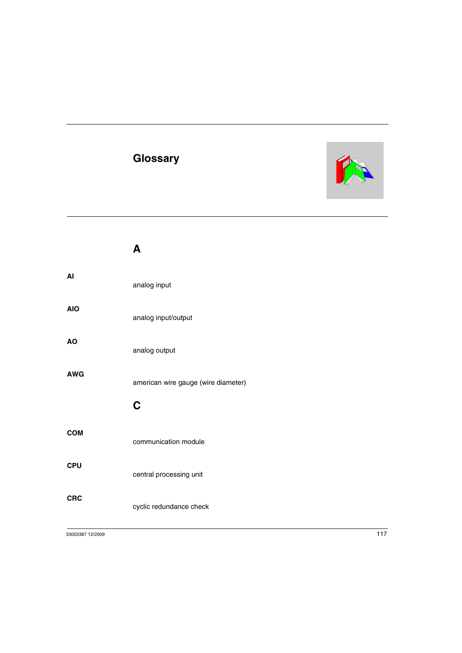# **Glossary**



|            | A                                   |
|------------|-------------------------------------|
| AI         | analog input                        |
| <b>AIO</b> | analog input/output                 |
| <b>AO</b>  | analog output                       |
| <b>AWG</b> | american wire gauge (wire diameter) |
|            | C                                   |
| <b>COM</b> | communication module                |
| <b>CPU</b> | central processing unit             |
| <b>CRC</b> | cyclic redundance check             |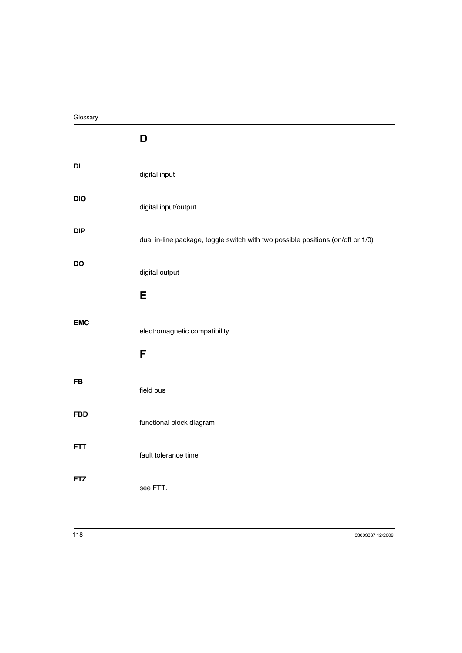|            | D                                                                               |
|------------|---------------------------------------------------------------------------------|
| DI         | digital input                                                                   |
| <b>DIO</b> | digital input/output                                                            |
| <b>DIP</b> | dual in-line package, toggle switch with two possible positions (on/off or 1/0) |
| DO         | digital output                                                                  |
|            | E                                                                               |
| <b>EMC</b> | electromagnetic compatibility                                                   |
|            | F                                                                               |
| <b>FB</b>  | field bus                                                                       |
| <b>FBD</b> | functional block diagram                                                        |
| <b>FTT</b> | fault tolerance time                                                            |
| <b>FTZ</b> | see FTT.                                                                        |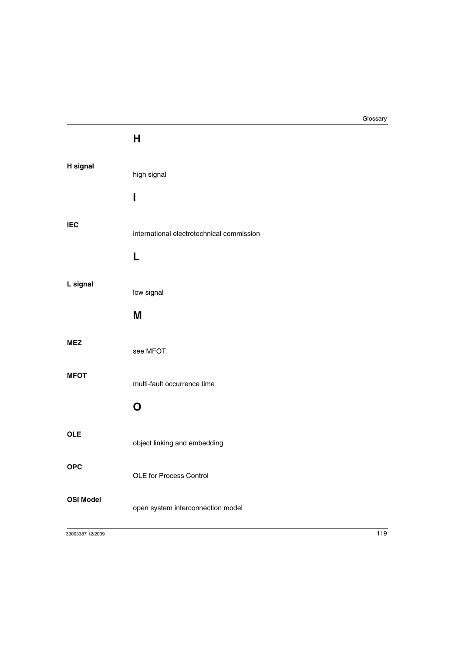**H**

| H signal         | high signal<br>ı                               |
|------------------|------------------------------------------------|
| <b>IEC</b>       | international electrotechnical commission<br>L |
| L signal         | low signal<br>M                                |
| <b>MEZ</b>       | see MFOT.                                      |
| <b>MFOT</b>      | multi-fault occurrence time                    |
|                  | O                                              |
| <b>OLE</b>       | object linking and embedding                   |
| <b>OPC</b>       | <b>OLE for Process Control</b>                 |
| <b>OSI Model</b> | open system interconnection model              |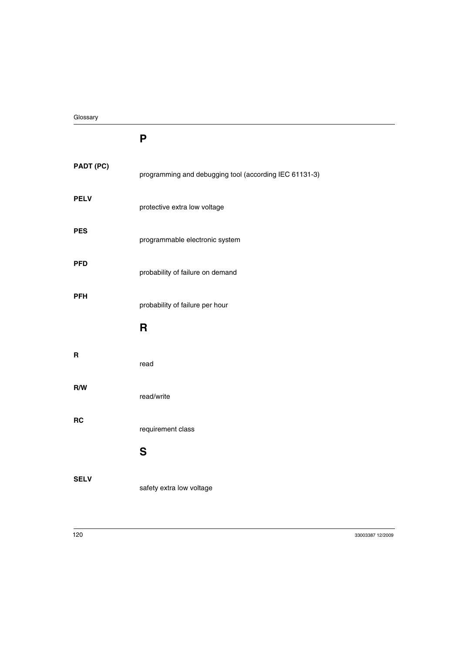### **P**

| PADT (PC)   | programming and debugging tool (according IEC 61131-3) |
|-------------|--------------------------------------------------------|
| <b>PELV</b> | protective extra low voltage                           |
| <b>PES</b>  | programmable electronic system                         |
| <b>PFD</b>  | probability of failure on demand                       |
| <b>PFH</b>  | probability of failure per hour                        |
|             | R                                                      |
| R           | read                                                   |
| R/W         | read/write                                             |
| <b>RC</b>   | requirement class                                      |
|             | S                                                      |
| <b>SELV</b> |                                                        |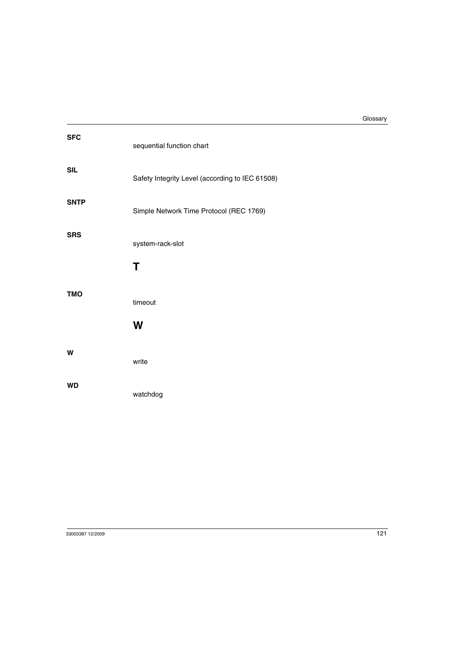| <b>SFC</b>  | sequential function chart                       |
|-------------|-------------------------------------------------|
| <b>SIL</b>  | Safety Integrity Level (according to IEC 61508) |
| <b>SNTP</b> | Simple Network Time Protocol (REC 1769)         |
| <b>SRS</b>  | system-rack-slot                                |
|             | T                                               |
| <b>TMO</b>  | timeout                                         |
|             | W                                               |
| W           | write                                           |
| <b>WD</b>   | watchdog                                        |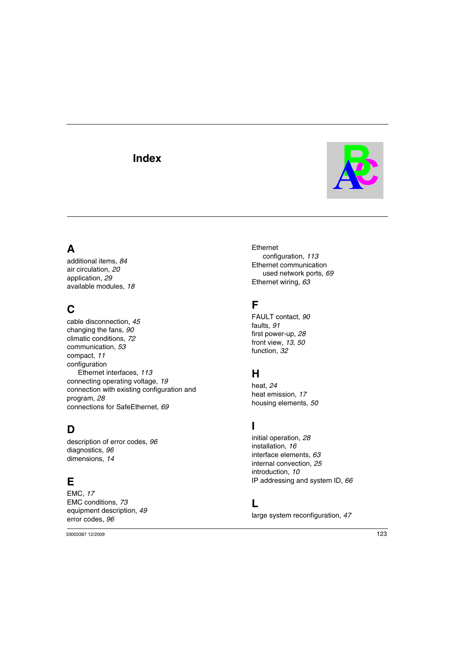## **Index**



# **A**

additional items, *[84](#page-83-0)* air circulation, *[20](#page-19-0)* application, *[29](#page-28-0)* available modules, *[18](#page-16-0)*

# **C**

cable disconnection, *[45](#page-44-0)* changing the fans, *[90](#page-89-0)* climatic conditions, *[72](#page-71-0)* communication, *[53](#page-52-0)* compact, *[11](#page-10-0)* configuration Ethernet interfaces, *[113](#page-112-0)* connecting operating voltage, *[19](#page-17-0)* connection with existing configuration and program, *[28](#page-27-0)* connections for SafeEthernet, *[69](#page-68-0)*

### **D**

description of error codes, *[96](#page-95-0)* diagnostics, *[96](#page-95-1)* dimensions, *[14](#page-12-0)*

### **E**

EMC, *[17](#page-15-0)* EMC conditions, *[73](#page-72-0)* equipment description, *[49](#page-48-0)* error codes, *[96](#page-95-2)*

Ethernet configuration, *[113](#page-112-0)* Ethernet communication used network ports, *[69](#page-68-1)* Ethernet wiring, *[63](#page-62-0)*

## **F**

FAULT contact, *[90](#page-89-1)* faults, *[91](#page-90-0)* first power-up, *[28](#page-27-1)* front view, *[13](#page-11-0)*, *[50](#page-49-0)* function, *[32](#page-31-0)*

### **H**

heat, *[24](#page-22-0)* heat emission, *[17](#page-15-0)* housing elements, *[50](#page-49-1)*

### **I**

initial operation, *[28](#page-27-2)* installation, *[16](#page-14-0)* interface elements, *[63](#page-62-1)* internal convection, *[25](#page-23-0)* introduction, *[10](#page-9-0)* IP addressing and system ID, *[66](#page-65-0)*

#### **L**

large system reconfiguration, *[47](#page-46-0)*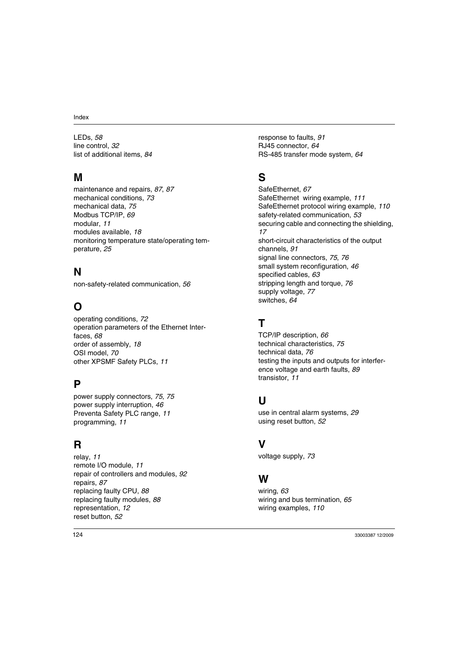LEDs, *[58](#page-57-0)* line control, *[32](#page-31-1)* list of additional items, *[84](#page-83-1)*

# **M**

maintenance and repairs, *[87](#page-86-0)*, *[87](#page-86-1)* mechanical conditions, *[73](#page-72-1)* mechanical data, *[75](#page-74-0)* Modbus TCP/IP, *[69](#page-68-2)* modular, *[11](#page-10-1)* modules available, *[18](#page-16-0)* monitoring temperature state/operating temperature, *[25](#page-24-0)*

# **N**

non-safety-related communication, *[56](#page-55-0)*

# **O**

operating conditions, *[72](#page-71-1)* operation parameters of the Ethernet Interfaces, *[68](#page-67-0)* order of assembly, *[18](#page-16-1)* OSI model, *[70](#page-69-0)* other XPSMF Safety PLCs, *[11](#page-10-2)*

## **P**

power supply connectors, *[75](#page-74-1)*, *[75](#page-74-2)* power supply interruption, *[46](#page-45-0)* Preventa Safety PLC range, *[11](#page-10-3)* programming, *[11](#page-10-4)*

### **R**

relay, *[11](#page-10-5)* remote I/O module, *[11](#page-10-6)* repair of controllers and modules, *[92](#page-91-0)* repairs, *[87](#page-86-1)* replacing faulty CPU, *[88](#page-88-0)* replacing faulty modules, *[88](#page-87-0)* representation, *[12](#page-11-1)* reset button, *[52](#page-51-0)*

response to faults, *[91](#page-90-1)* RJ45 connector, *[64](#page-63-0)* RS-485 transfer mode system, *[64](#page-63-1)*

# **S**

SafeEthernet, *[67](#page-66-0)* SafeEthernet wiring example, *[111](#page-110-0)* SafeEthernet protocol wiring example, *[110](#page-109-0)* safety-related communication, *[53](#page-52-1)* securing cable and connecting the shielding, *[17](#page-15-1)* short-circuit characteristics of the output channels, *[91](#page-90-2)* signal line connectors, *[75](#page-74-3)*, *[76](#page-75-0)* small system reconfiguration, *[46](#page-46-1)* specified cables, *[63](#page-62-2)* stripping length and torque, *[76](#page-75-1)* supply voltage, *[77](#page-76-0)* switches, *[64](#page-63-2)*

# **T**

TCP/IP description, *[66](#page-65-1)* technical characteristics, *[75](#page-74-4)* technical data, *[76](#page-75-2)* testing the inputs and outputs for interference voltage and earth faults, *[89](#page-88-1)* transistor, *[11](#page-10-5)*

## **U**

use in central alarm systems, *[29](#page-28-1)* using reset button, *[52](#page-51-1)*

#### **V**

voltage supply, *[73](#page-73-0)*

#### **W**

wiring, *[63](#page-62-3)* wiring and bus termination, *[65](#page-64-0)* wiring examples, *[110](#page-109-1)*